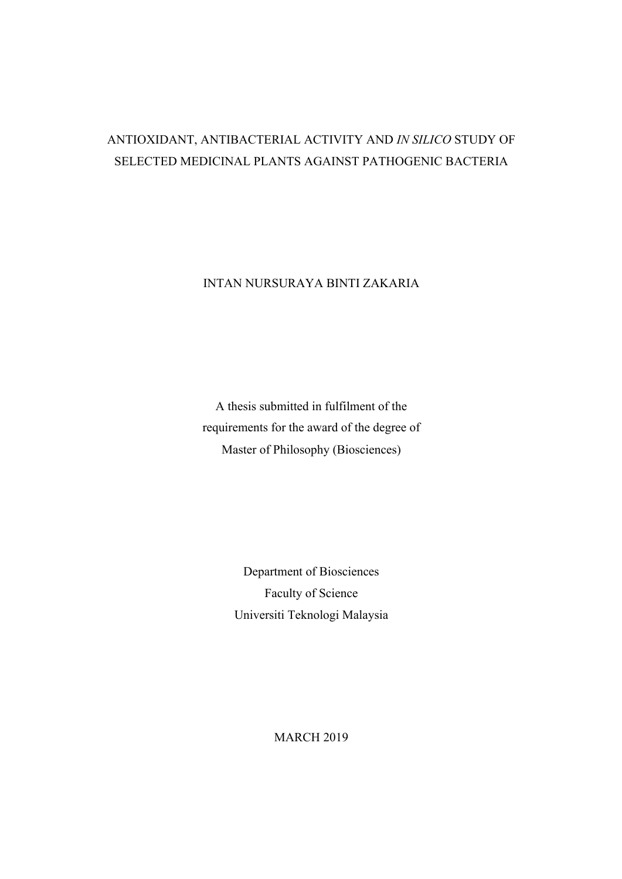# ANTIOXIDANT, ANTIBACTERIAL ACTIVITY AND *IN SILICO* STUDY OF SELECTED MEDICINAL PLANTS AGAINST PATHOGENIC BACTERIA

INTAN NURSURAYA BINTI ZAKARIA

A thesis submitted in fulfilment of the requirements for the award of the degree of Master of Philosophy (Biosciences)

> Department of Biosciences Faculty of Science Universiti Teknologi Malaysia

> > MARCH 2019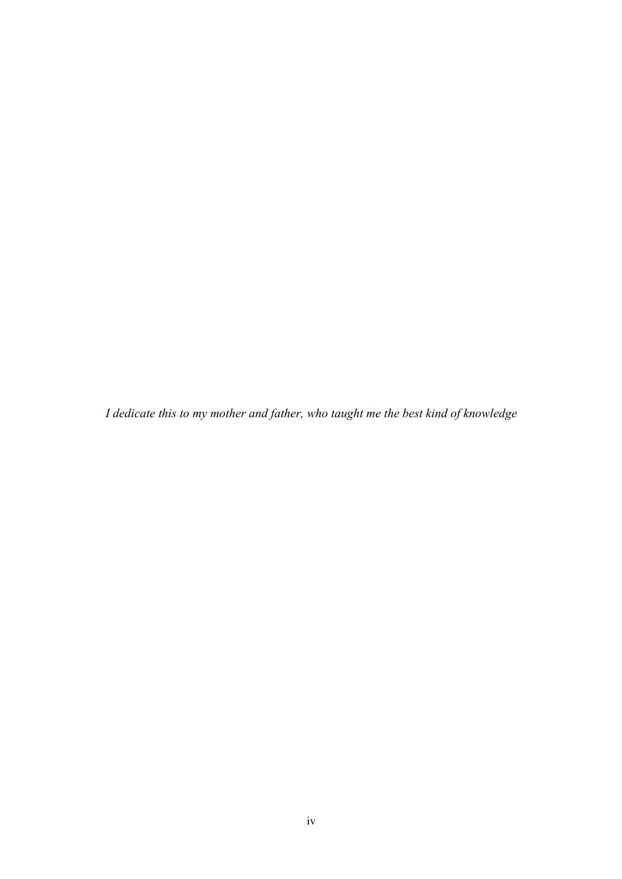*I dedicate this to my mother and father, who taught me the best kind of knowledge*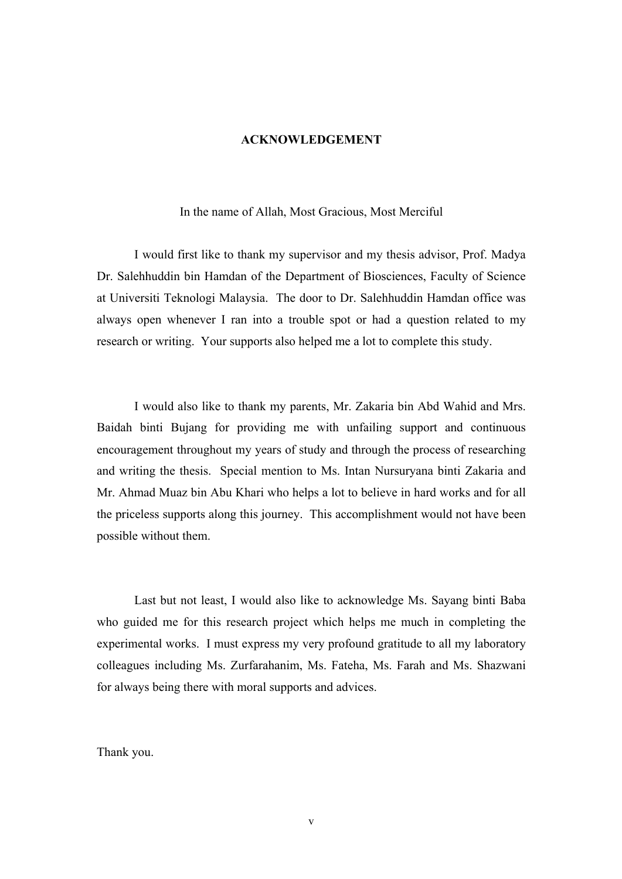#### **ACKNOWLEDGEMENT**

### In the name of Allah, Most Gracious, Most Merciful

I would first like to thank my supervisor and my thesis advisor, Prof. Madya Dr. Salehhuddin bin Hamdan of the Department of Biosciences, Faculty of Science at Universiti Teknologi Malaysia. The door to Dr. Salehhuddin Hamdan office was always open whenever I ran into a trouble spot or had a question related to my research or writing. Your supports also helped me a lot to complete this study.

I would also like to thank my parents, Mr. Zakaria bin Abd Wahid and Mrs. Baidah binti Bujang for providing me with unfailing support and continuous encouragement throughout my years of study and through the process of researching and writing the thesis. Special mention to Ms. Intan Nursuryana binti Zakaria and Mr. Ahmad Muaz bin Abu Khari who helps a lot to believe in hard works and for all the priceless supports along this journey. This accomplishment would not have been possible without them.

Last but not least, I would also like to acknowledge Ms. Sayang binti Baba who guided me for this research project which helps me much in completing the experimental works. I must express my very profound gratitude to all my laboratory colleagues including Ms. Zurfarahanim, Ms. Fateha, Ms. Farah and Ms. Shazwani for always being there with moral supports and advices.

Thank you.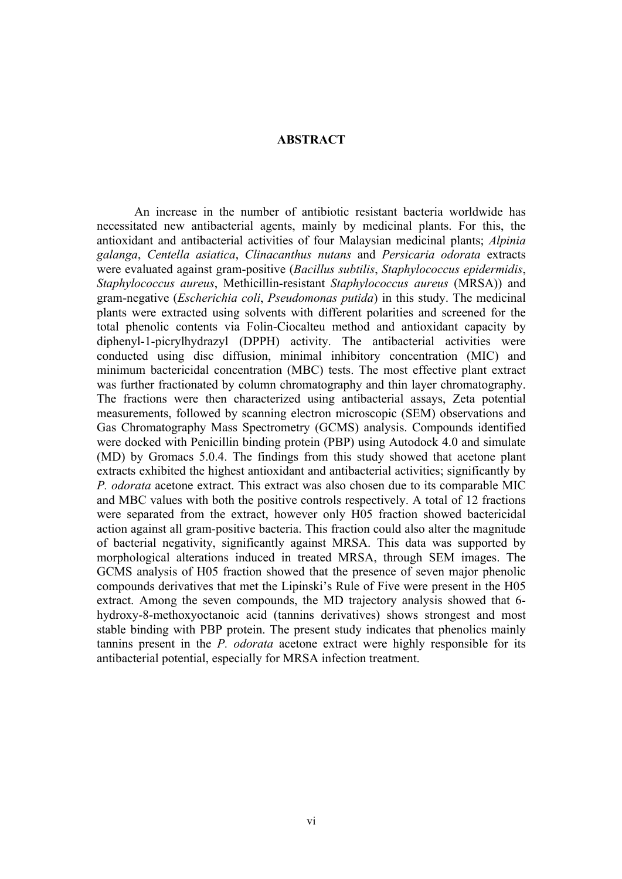### **ABSTRACT**

An increase in the number of antibiotic resistant bacteria worldwide has necessitated new antibacterial agents, mainly by medicinal plants. For this, the antioxidant and antibacterial activities of four Malaysian medicinal plants; *Alpinia galanga*, *Centella asiatica*, *Clinacanthus nutans* and *Persicaria odorata* extracts were evaluated against gram-positive (*Bacillus subtilis*, *Staphylococcus epidermidis*, *Staphylococcus aureus*, Methicillin-resistant *Staphylococcus aureus* (MRSA)) and gram-negative (*Escherichia coli*, *Pseudomonas putida*) in this study. The medicinal plants were extracted using solvents with different polarities and screened for the total phenolic contents via Folin-Ciocalteu method and antioxidant capacity by diphenyl-1-picrylhydrazyl (DPPH) activity. The antibacterial activities were conducted using disc diffusion, minimal inhibitory concentration (MIC) and minimum bactericidal concentration (MBC) tests. The most effective plant extract was further fractionated by column chromatography and thin layer chromatography. The fractions were then characterized using antibacterial assays, Zeta potential measurements, followed by scanning electron microscopic (SEM) observations and Gas Chromatography Mass Spectrometry (GCMS) analysis. Compounds identified were docked with Penicillin binding protein (PBP) using Autodock 4.0 and simulate (MD) by Gromacs 5.0.4. The findings from this study showed that acetone plant extracts exhibited the highest antioxidant and antibacterial activities; significantly by *P. odorata* acetone extract. This extract was also chosen due to its comparable MIC and MBC values with both the positive controls respectively. A total of 12 fractions were separated from the extract, however only H05 fraction showed bactericidal action against all gram-positive bacteria. This fraction could also alter the magnitude of bacterial negativity, significantly against MRSA. This data was supported by morphological alterations induced in treated MRSA, through SEM images. The GCMS analysis of H05 fraction showed that the presence of seven major phenolic compounds derivatives that met the Lipinski's Rule of Five were present in the H05 extract. Among the seven compounds, the MD trajectory analysis showed that 6 hydroxy-8-methoxyoctanoic acid (tannins derivatives) shows strongest and most stable binding with PBP protein. The present study indicates that phenolics mainly tannins present in the *P. odorata* acetone extract were highly responsible for its antibacterial potential, especially for MRSA infection treatment.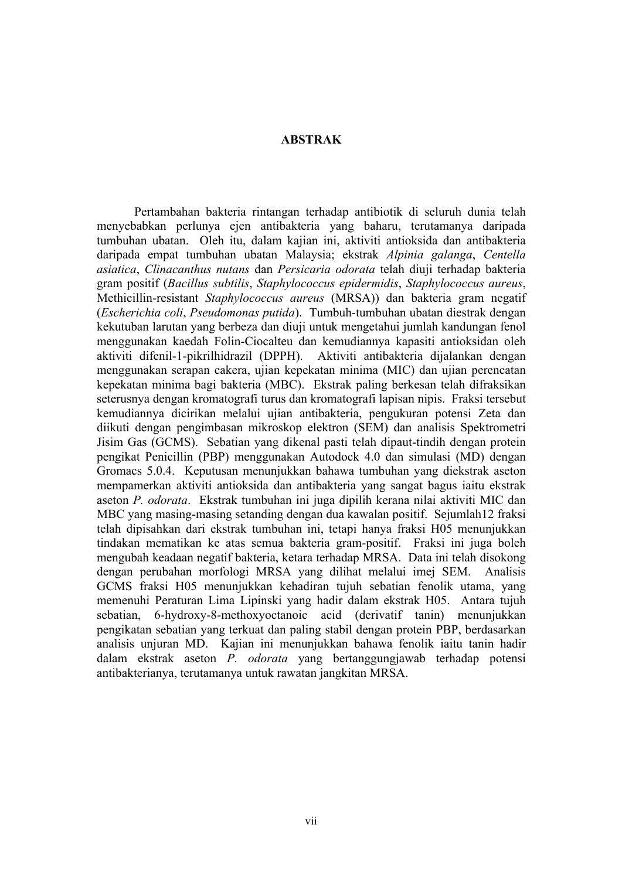### **ABSTRAK**

Pertambahan bakteria rintangan terhadap antibiotik di seluruh dunia telah menyebabkan perlunya ejen antibakteria yang baharu, terutamanya daripada tumbuhan ubatan. Oleh itu, dalam kajian ini, aktiviti antioksida dan antibakteria daripada empat tumbuhan ubatan Malaysia; ekstrak *Alpinia galanga*, *Centella asiatica*, *Clinacanthus nutans* dan *Persicaria odorata* telah diuji terhadap bakteria gram positif (*Bacillus subtilis*, *Staphylococcus epidermidis*, *Staphylococcus aureus*, Methicillin-resistant *Staphylococcus aureus* (MRSA)) dan bakteria gram negatif (*Escherichia coli*, *Pseudomonas putida*). Tumbuh-tumbuhan ubatan diestrak dengan kekutuban larutan yang berbeza dan diuji untuk mengetahui jumlah kandungan fenol menggunakan kaedah Folin-Ciocalteu dan kemudiannya kapasiti antioksidan oleh aktiviti difenil-1-pikrilhidrazil (DPPH). Aktiviti antibakteria dijalankan dengan menggunakan serapan cakera, ujian kepekatan minima (MIC) dan ujian perencatan kepekatan minima bagi bakteria (MBC). Ekstrak paling berkesan telah difraksikan seterusnya dengan kromatografi turus dan kromatografi lapisan nipis. Fraksi tersebut kemudiannya dicirikan melalui ujian antibakteria, pengukuran potensi Zeta dan diikuti dengan pengimbasan mikroskop elektron (SEM) dan analisis Spektrometri Jisim Gas (GCMS). Sebatian yang dikenal pasti telah dipaut-tindih dengan protein pengikat Penicillin (PBP) menggunakan Autodock 4.0 dan simulasi (MD) dengan Gromacs 5.0.4. Keputusan menunjukkan bahawa tumbuhan yang diekstrak aseton mempamerkan aktiviti antioksida dan antibakteria yang sangat bagus iaitu ekstrak aseton *P. odorata*. Ekstrak tumbuhan ini juga dipilih kerana nilai aktiviti MIC dan MBC yang masing-masing setanding dengan dua kawalan positif. Sejumlah12 fraksi telah dipisahkan dari ekstrak tumbuhan ini, tetapi hanya fraksi H05 menunjukkan tindakan mematikan ke atas semua bakteria gram-positif. Fraksi ini juga boleh mengubah keadaan negatif bakteria, ketara terhadap MRSA. Data ini telah disokong dengan perubahan morfologi MRSA yang dilihat melalui imej SEM. Analisis GCMS fraksi H05 menunjukkan kehadiran tujuh sebatian fenolik utama, yang memenuhi Peraturan Lima Lipinski yang hadir dalam ekstrak H05. Antara tujuh sebatian, 6-hydroxy-8-methoxyoctanoic acid (derivatif tanin) menunjukkan pengikatan sebatian yang terkuat dan paling stabil dengan protein PBP, berdasarkan analisis unjuran MD. Kajian ini menunjukkan bahawa fenolik iaitu tanin hadir dalam ekstrak aseton *P. odorata* yang bertanggungjawab terhadap potensi antibakterianya, terutamanya untuk rawatan jangkitan MRSA.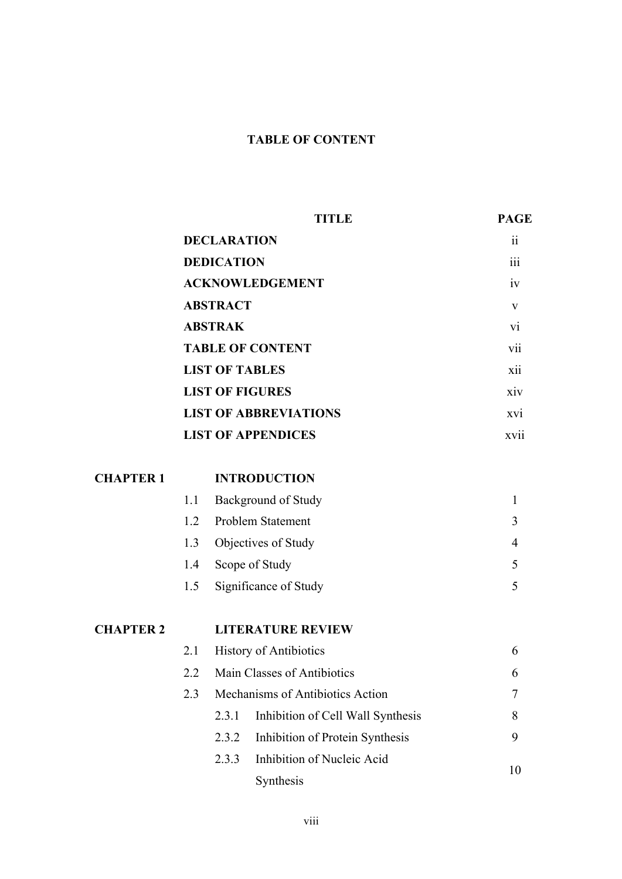# **TABLE OF CONTENT**

|                  |                    |                         | <b>TITLE</b>                      | <b>PAGE</b>     |
|------------------|--------------------|-------------------------|-----------------------------------|-----------------|
|                  | <b>DECLARATION</b> |                         |                                   | $\overline{11}$ |
|                  |                    | <b>DEDICATION</b>       |                                   | 111             |
|                  |                    |                         | <b>ACKNOWLEDGEMENT</b>            | iv              |
|                  |                    | <b>ABSTRACT</b>         |                                   | V               |
|                  |                    | <b>ABSTRAK</b>          |                                   | V1              |
|                  |                    | <b>TABLE OF CONTENT</b> | V11                               |                 |
|                  |                    |                         | <b>LIST OF TABLES</b>             | xii             |
|                  |                    |                         | <b>LIST OF FIGURES</b>            | xiv             |
|                  |                    |                         | <b>LIST OF ABBREVIATIONS</b>      | xvi             |
|                  |                    |                         | <b>LIST OF APPENDICES</b>         | xvii            |
| <b>CHAPTER 1</b> |                    |                         | <b>INTRODUCTION</b>               |                 |
|                  | 1.1                |                         | Background of Study               | $\mathbf{1}$    |
|                  | 1.2                |                         | <b>Problem Statement</b>          | 3               |
|                  | 1.3                |                         | Objectives of Study               | $\overline{4}$  |
|                  | 1.4                |                         | Scope of Study                    | 5               |
|                  | 1.5                |                         | Significance of Study             | 5               |
| <b>CHAPTER 2</b> |                    |                         | <b>LITERATURE REVIEW</b>          |                 |
|                  | 2.1                |                         | <b>History of Antibiotics</b>     | 6               |
|                  | 2.2                |                         | Main Classes of Antibiotics       | 6               |
|                  | 2.3                |                         | Mechanisms of Antibiotics Action  | 7               |
|                  |                    | 2.3.1                   | Inhibition of Cell Wall Synthesis | 8               |
|                  |                    | 2.3.2                   | Inhibition of Protein Synthesis   | 9               |
|                  |                    | 2.3.3                   | Inhibition of Nucleic Acid        | 10              |
|                  |                    |                         | Synthesis                         |                 |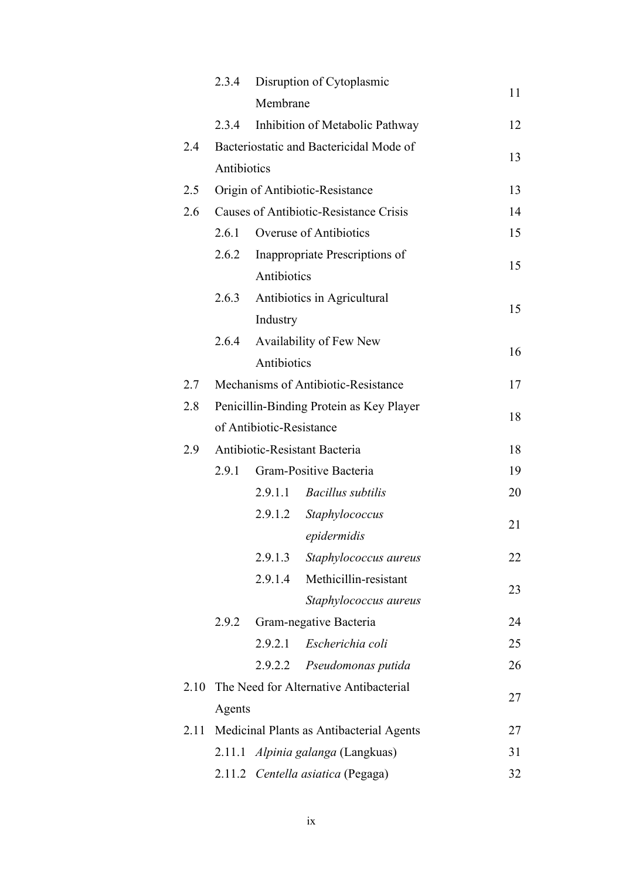|      | 2.3.4       |                          | Disruption of Cytoplasmic                     |    |
|------|-------------|--------------------------|-----------------------------------------------|----|
|      |             | Membrane                 |                                               | 11 |
|      | 2.3.4       |                          | Inhibition of Metabolic Pathway               | 12 |
| 2.4  |             |                          | Bacteriostatic and Bactericidal Mode of       |    |
|      | Antibiotics |                          |                                               | 13 |
| 2.5  |             |                          | Origin of Antibiotic-Resistance               | 13 |
| 2.6  |             |                          | <b>Causes of Antibiotic-Resistance Crisis</b> | 14 |
|      | 2.6.1       |                          | Overuse of Antibiotics                        | 15 |
|      | 2.6.2       |                          | Inappropriate Prescriptions of                | 15 |
|      |             | Antibiotics              |                                               |    |
|      |             |                          | 2.6.3 Antibiotics in Agricultural             | 15 |
|      |             | Industry                 |                                               |    |
|      | 2.6.4       |                          | Availability of Few New                       | 16 |
|      |             | Antibiotics              |                                               |    |
| 2.7  |             |                          | Mechanisms of Antibiotic-Resistance           | 17 |
| 2.8  |             |                          | Penicillin-Binding Protein as Key Player      | 18 |
|      |             | of Antibiotic-Resistance |                                               |    |
| 2.9  |             |                          | Antibiotic-Resistant Bacteria                 | 18 |
|      |             |                          | 2.9.1 Gram-Positive Bacteria                  | 19 |
|      |             |                          | 2.9.1.1 Bacillus subtilis                     | 20 |
|      |             | 2.9.1.2                  | Staphylococcus                                | 21 |
|      |             |                          | epidermidis                                   |    |
|      |             | 2.9.1.3                  | Staphylococcus aureus                         | 22 |
|      |             | 2.9.1.4                  | Methicillin-resistant                         | 23 |
|      |             |                          | Staphylococcus aureus                         |    |
|      | 2.9.2       |                          | Gram-negative Bacteria                        | 24 |
|      |             | 2.9.2.1                  | Escherichia coli                              | 25 |
|      |             | 2.9.2.2                  | Pseudomonas putida                            | 26 |
| 2.10 |             |                          | The Need for Alternative Antibacterial        | 27 |
|      | Agents      |                          |                                               |    |
| 2.11 |             |                          | Medicinal Plants as Antibacterial Agents      | 27 |
|      | 2.11.1      |                          | <i>Alpinia galanga</i> (Langkuas)             | 31 |
|      |             |                          | 2.11.2 Centella asiatica (Pegaga)             | 32 |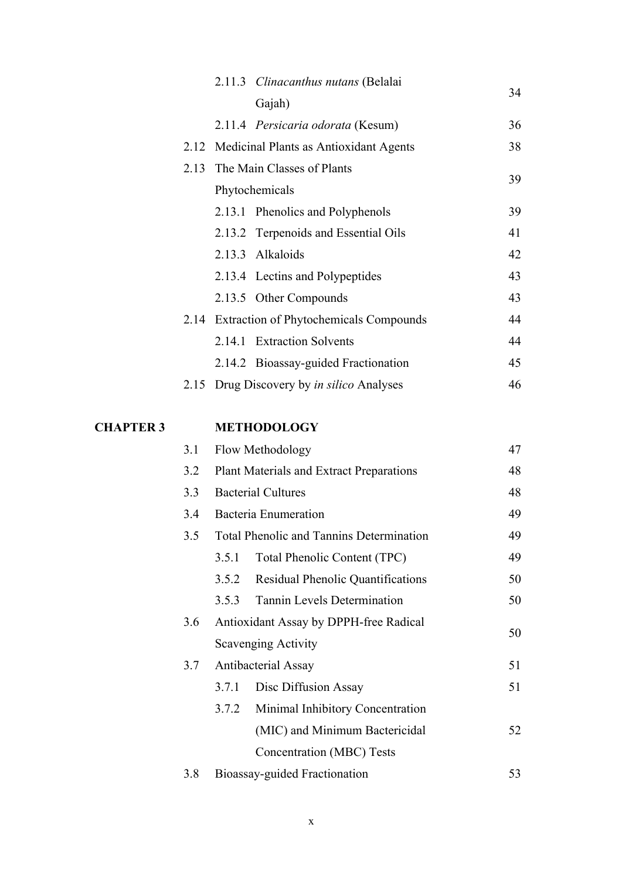|                  |     |       | 2.11.3 Clinacanthus nutans (Belalai              | 34 |
|------------------|-----|-------|--------------------------------------------------|----|
|                  |     |       | Gajah)                                           |    |
|                  |     |       | 2.11.4 Persicaria odorata (Kesum)                | 36 |
|                  |     |       | 2.12 Medicinal Plants as Antioxidant Agents      | 38 |
|                  |     |       | 2.13 The Main Classes of Plants                  | 39 |
|                  |     |       | Phytochemicals                                   |    |
|                  |     |       | 2.13.1 Phenolics and Polyphenols                 | 39 |
|                  |     |       | 2.13.2 Terpenoids and Essential Oils             | 41 |
|                  |     |       | 2.13.3 Alkaloids                                 | 42 |
|                  |     |       | 2.13.4 Lectins and Polypeptides                  | 43 |
|                  |     |       | 2.13.5 Other Compounds                           | 43 |
|                  |     |       | 2.14 Extraction of Phytochemicals Compounds      | 44 |
|                  |     |       | 2.14.1 Extraction Solvents                       | 44 |
|                  |     |       | 2.14.2 Bioassay-guided Fractionation             | 45 |
|                  |     |       | 2.15 Drug Discovery by <i>in silico</i> Analyses | 46 |
| <b>CHAPTER 3</b> |     |       | <b>METHODOLOGY</b>                               |    |
|                  | 3.1 |       | Flow Methodology                                 | 47 |
|                  | 3.2 |       | <b>Plant Materials and Extract Preparations</b>  | 48 |
|                  | 3.3 |       | <b>Bacterial Cultures</b>                        | 48 |
|                  | 3.4 |       | Bacteria Enumeration                             | 49 |
|                  | 3.5 |       | <b>Total Phenolic and Tannins Determination</b>  | 49 |
|                  |     | 3.5.1 | Total Phenolic Content (TPC)                     | 49 |
|                  |     | 3.5.2 | Residual Phenolic Quantifications                | 50 |
|                  |     | 3.5.3 | Tannin Levels Determination                      | 50 |
|                  | 3.6 |       | Antioxidant Assay by DPPH-free Radical           |    |
|                  |     |       | Scavenging Activity                              | 50 |
|                  | 3.7 |       | Antibacterial Assay                              | 51 |
|                  |     | 3.7.1 | Disc Diffusion Assay                             | 51 |
|                  |     | 3.7.2 | Minimal Inhibitory Concentration                 |    |
|                  |     |       | (MIC) and Minimum Bactericidal                   | 52 |
|                  |     |       | <b>Concentration (MBC) Tests</b>                 |    |
|                  | 3.8 |       | Bioassay-guided Fractionation                    | 53 |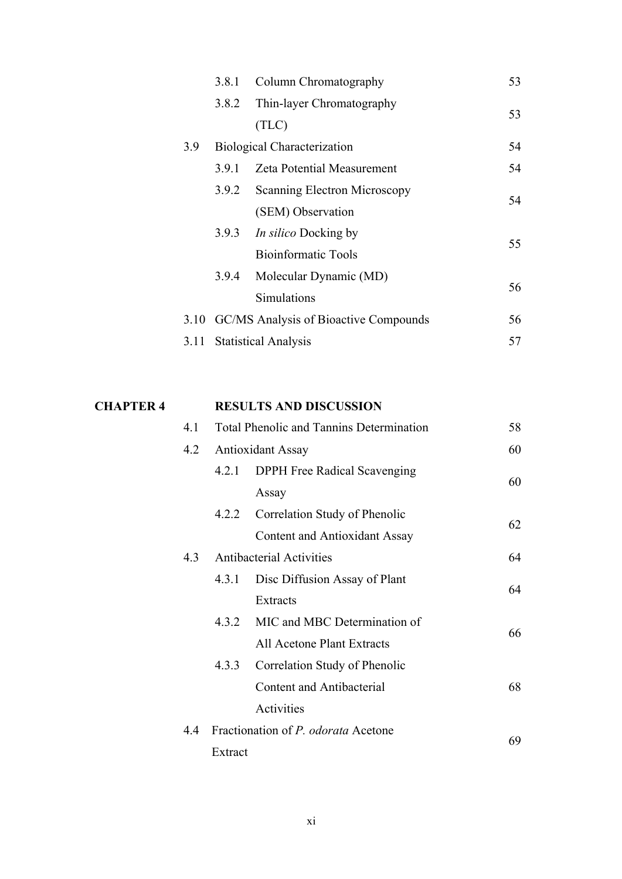|     |                                 | 3.8.1 Column Chromatography                | 53 |
|-----|---------------------------------|--------------------------------------------|----|
|     | 3.8.2                           | Thin-layer Chromatography                  | 53 |
|     |                                 | (TLC)                                      |    |
| 3.9 |                                 | <b>Biological Characterization</b>         | 54 |
|     | 3.9.1                           | <b>Zeta Potential Measurement</b>          | 54 |
|     | 3.9.2                           | Scanning Electron Microscopy               | 54 |
|     |                                 | (SEM) Observation                          |    |
|     |                                 | 3.9.3 <i>In silico</i> Docking by          | 55 |
|     |                                 | <b>Bioinformatic Tools</b>                 |    |
|     |                                 | 3.9.4 Molecular Dynamic (MD)               | 56 |
|     |                                 | Simulations                                |    |
|     |                                 | 3.10 GC/MS Analysis of Bioactive Compounds | 56 |
|     | 57<br>3.11 Statistical Analysis |                                            |    |

| 4.1 | <b>Total Phenolic and Tannins Determination</b><br>58 |                                      |    |    |
|-----|-------------------------------------------------------|--------------------------------------|----|----|
| 4.2 |                                                       | <b>Antioxidant Assay</b>             | 60 |    |
|     | 4.2.1                                                 | <b>DPPH</b> Free Radical Scavenging  | 60 |    |
|     |                                                       | Assay                                |    |    |
|     | 4.2.2                                                 | Correlation Study of Phenolic        | 62 |    |
|     |                                                       | <b>Content and Antioxidant Assay</b> |    |    |
| 4.3 |                                                       | <b>Antibacterial Activities</b>      | 64 |    |
|     | 4.3.1                                                 | Disc Diffusion Assay of Plant        | 64 |    |
|     |                                                       | Extracts                             |    |    |
|     |                                                       | 4.3.2 MIC and MBC Determination of   | 66 |    |
|     |                                                       | All Acetone Plant Extracts           |    |    |
|     | 4.3.3                                                 | Correlation Study of Phenolic        |    |    |
|     |                                                       | Content and Antibacterial            | 68 |    |
|     |                                                       | Activities                           |    |    |
| 4.4 |                                                       | Fractionation of P. odorata Acetone  |    | 69 |
|     | Extract                                               |                                      |    |    |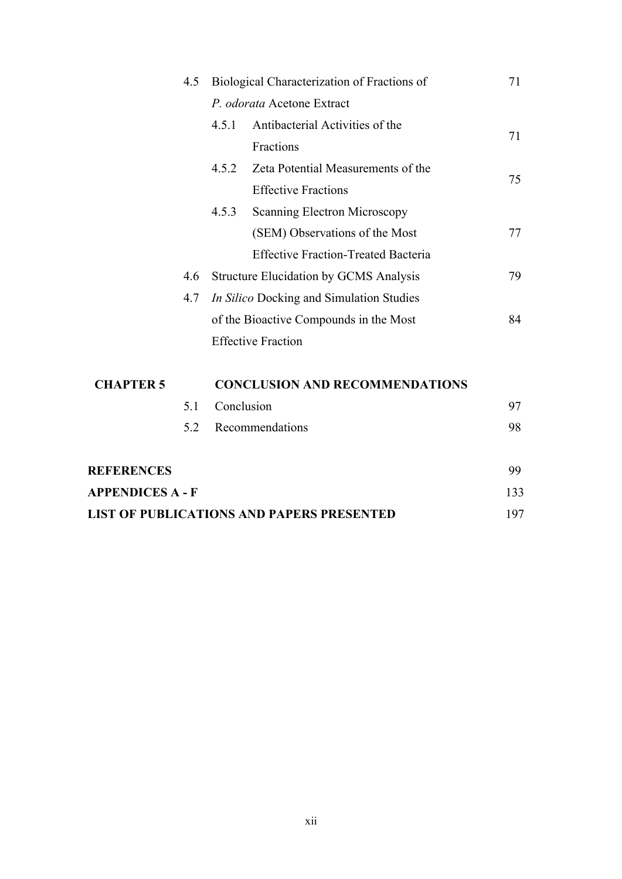|                                                  | Biological Characterization of Fractions of<br>4.5 |            |                                               | 71  |
|--------------------------------------------------|----------------------------------------------------|------------|-----------------------------------------------|-----|
|                                                  |                                                    |            | P. odorata Acetone Extract                    |     |
|                                                  |                                                    | 4.5.1      | Antibacterial Activities of the               |     |
|                                                  |                                                    |            | Fractions                                     | 71  |
|                                                  |                                                    | 4.5.2      | Zeta Potential Measurements of the            |     |
|                                                  |                                                    |            | <b>Effective Fractions</b>                    | 75  |
|                                                  |                                                    | 4.5.3      | <b>Scanning Electron Microscopy</b>           |     |
|                                                  |                                                    |            | (SEM) Observations of the Most                | 77  |
|                                                  |                                                    |            | <b>Effective Fraction-Treated Bacteria</b>    |     |
|                                                  | 4.6                                                |            | <b>Structure Elucidation by GCMS Analysis</b> | 79  |
|                                                  | 4.7                                                |            | In Silico Docking and Simulation Studies      |     |
|                                                  |                                                    |            | of the Bioactive Compounds in the Most        | 84  |
|                                                  |                                                    |            | <b>Effective Fraction</b>                     |     |
| <b>CHAPTER 5</b>                                 |                                                    |            | <b>CONCLUSION AND RECOMMENDATIONS</b>         |     |
|                                                  | 5.1                                                | Conclusion |                                               | 97  |
|                                                  | 5.2                                                |            | Recommendations                               | 98  |
| <b>REFERENCES</b>                                |                                                    |            |                                               | 99  |
| <b>APPENDICES A - F</b>                          |                                                    |            |                                               | 133 |
| <b>LIST OF PUBLICATIONS AND PAPERS PRESENTED</b> |                                                    |            | 197                                           |     |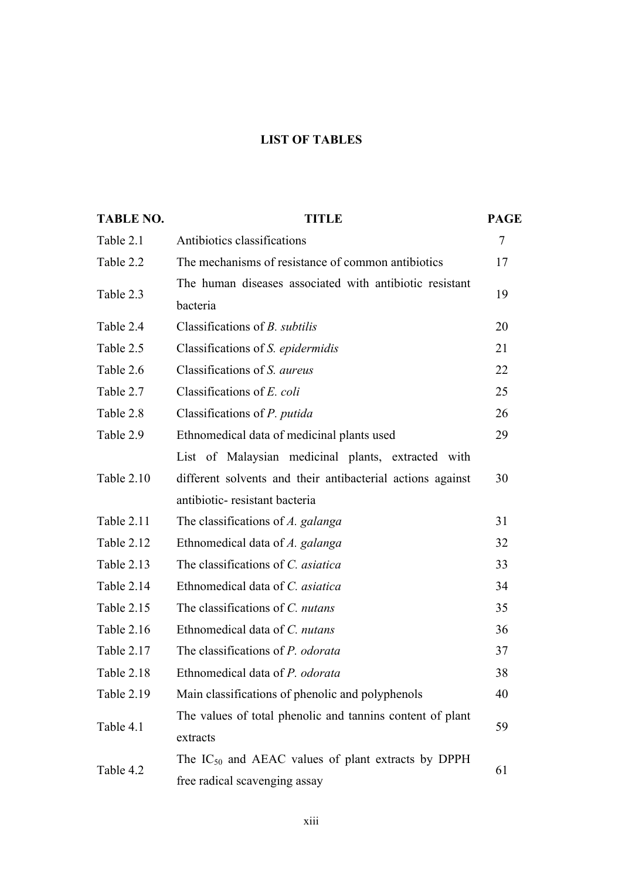### **LIST OF TABLES**

| <b>TABLE NO.</b> | <b>TITLE</b>                                                                             | <b>PAGE</b> |  |  |
|------------------|------------------------------------------------------------------------------------------|-------------|--|--|
| Table 2.1        | Antibiotics classifications                                                              | 7           |  |  |
| Table 2.2        | The mechanisms of resistance of common antibiotics                                       | 17          |  |  |
| Table 2.3        | The human diseases associated with antibiotic resistant<br>bacteria                      | 19          |  |  |
| Table 2.4        | Classifications of <i>B. subtilis</i>                                                    | 20          |  |  |
| Table 2.5        | Classifications of S. epidermidis                                                        | 21          |  |  |
| Table 2.6        | Classifications of S. aureus                                                             | 22          |  |  |
| Table 2.7        | Classifications of E. coli                                                               | 25          |  |  |
| Table 2.8        | Classifications of P. putida                                                             | 26          |  |  |
| Table 2.9        | Ethnomedical data of medicinal plants used                                               | 29          |  |  |
|                  | List of Malaysian medicinal plants, extracted with                                       |             |  |  |
| Table 2.10       | different solvents and their antibacterial actions against                               | 30          |  |  |
|                  | antibiotic-resistant bacteria                                                            |             |  |  |
| Table 2.11       | The classifications of A. galanga                                                        | 31          |  |  |
| Table 2.12       | Ethnomedical data of A. galanga                                                          | 32          |  |  |
| Table 2.13       | The classifications of C. asiatica                                                       | 33          |  |  |
| Table 2.14       | Ethnomedical data of C. asiatica                                                         | 34          |  |  |
| Table 2.15       | The classifications of C. nutans                                                         | 35          |  |  |
| Table 2.16       | Ethnomedical data of C. nutans                                                           | 36          |  |  |
| Table 2.17       | The classifications of P. odorata                                                        | 37          |  |  |
| Table 2.18       | Ethnomedical data of P. odorata                                                          | 38          |  |  |
| Table 2.19       | Main classifications of phenolic and polyphenols                                         | 40          |  |  |
| Table 4.1        | The values of total phenolic and tannins content of plant                                | 59          |  |  |
|                  | extracts                                                                                 |             |  |  |
| Table 4.2        | The $IC_{50}$ and AEAC values of plant extracts by DPPH<br>free radical scavenging assay |             |  |  |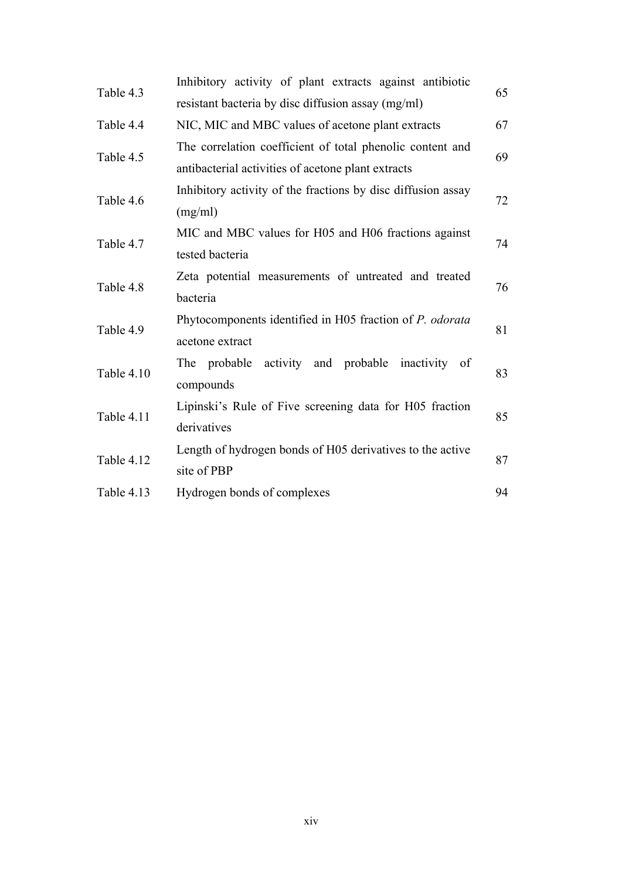| Table 4.3  | Inhibitory activity of plant extracts against antibiotic     | 65 |  |  |  |
|------------|--------------------------------------------------------------|----|--|--|--|
|            | resistant bacteria by disc diffusion assay (mg/ml)           |    |  |  |  |
| Table 4.4  | NIC, MIC and MBC values of acetone plant extracts            | 67 |  |  |  |
| Table 4.5  | The correlation coefficient of total phenolic content and    | 69 |  |  |  |
|            | antibacterial activities of acetone plant extracts           |    |  |  |  |
| Table 4.6  | Inhibitory activity of the fractions by disc diffusion assay | 72 |  |  |  |
|            | (mg/ml)                                                      |    |  |  |  |
| Table 4.7  | MIC and MBC values for H05 and H06 fractions against         | 74 |  |  |  |
|            | tested bacteria                                              |    |  |  |  |
| Table 4.8  | Zeta potential measurements of untreated and treated         | 76 |  |  |  |
|            | bacteria                                                     |    |  |  |  |
| Table 4.9  | Phytocomponents identified in H05 fraction of P. odorata     | 81 |  |  |  |
|            | acetone extract                                              |    |  |  |  |
| Table 4.10 | The probable activity and probable inactivity of             | 83 |  |  |  |
|            | compounds                                                    |    |  |  |  |
| Table 4.11 | Lipinski's Rule of Five screening data for H05 fraction      | 85 |  |  |  |
|            | derivatives                                                  |    |  |  |  |
| Table 4.12 | Length of hydrogen bonds of H05 derivatives to the active    | 87 |  |  |  |
|            | site of PBP                                                  |    |  |  |  |
| Table 4.13 | Hydrogen bonds of complexes                                  | 94 |  |  |  |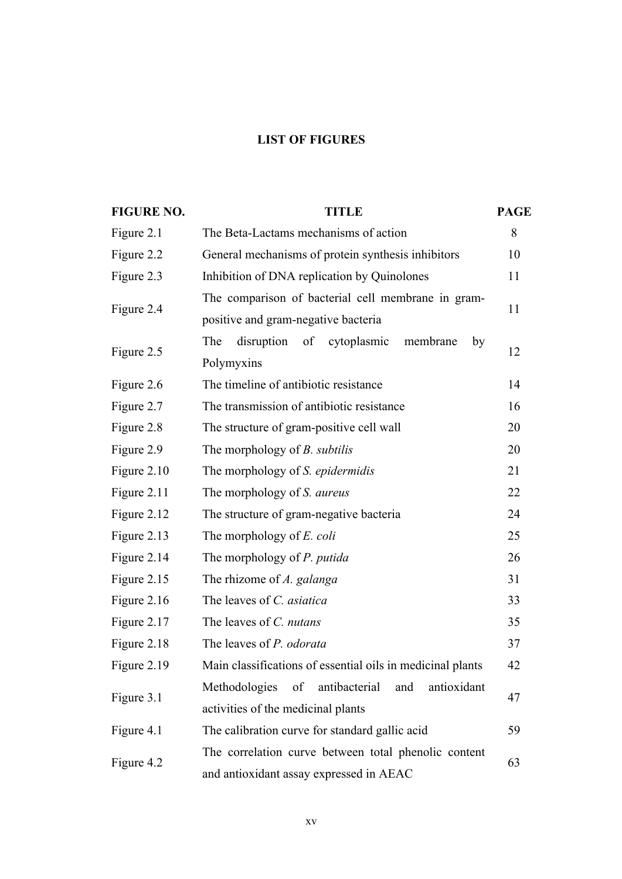# **LIST OF FIGURES**

| <b>FIGURE NO.</b> | <b>TITLE</b><br><b>PAGE</b>                                                                     |    |  |  |  |  |
|-------------------|-------------------------------------------------------------------------------------------------|----|--|--|--|--|
| Figure 2.1        | The Beta-Lactams mechanisms of action                                                           |    |  |  |  |  |
| Figure 2.2        | General mechanisms of protein synthesis inhibitors                                              |    |  |  |  |  |
| Figure 2.3        | Inhibition of DNA replication by Quinolones                                                     | 11 |  |  |  |  |
|                   | The comparison of bacterial cell membrane in gram-                                              |    |  |  |  |  |
| Figure 2.4        | positive and gram-negative bacteria                                                             |    |  |  |  |  |
|                   | disruption of<br>cytoplasmic<br>The<br>membrane<br>by                                           | 12 |  |  |  |  |
| Figure 2.5        | Polymyxins                                                                                      |    |  |  |  |  |
| Figure 2.6        | The timeline of antibiotic resistance                                                           | 14 |  |  |  |  |
| Figure 2.7        | The transmission of antibiotic resistance                                                       | 16 |  |  |  |  |
| Figure 2.8        | The structure of gram-positive cell wall                                                        | 20 |  |  |  |  |
| Figure 2.9        | The morphology of <i>B. subtilis</i>                                                            | 20 |  |  |  |  |
| Figure 2.10       | The morphology of <i>S. epidermidis</i>                                                         | 21 |  |  |  |  |
| Figure 2.11       | The morphology of <i>S. aureus</i>                                                              |    |  |  |  |  |
| Figure 2.12       | The structure of gram-negative bacteria                                                         |    |  |  |  |  |
| Figure 2.13       | The morphology of <i>E. coli</i>                                                                |    |  |  |  |  |
| Figure 2.14       | The morphology of <i>P. putida</i>                                                              |    |  |  |  |  |
| Figure 2.15       | The rhizome of A. galanga                                                                       |    |  |  |  |  |
| Figure 2.16       | The leaves of C. asiatica                                                                       |    |  |  |  |  |
| Figure 2.17       | The leaves of C. nutans                                                                         |    |  |  |  |  |
| Figure 2.18       | The leaves of P. odorata                                                                        |    |  |  |  |  |
| Figure 2.19       | Main classifications of essential oils in medicinal plants                                      | 42 |  |  |  |  |
|                   | Methodologies<br>antibacterial<br>antioxidant<br>of<br>and                                      |    |  |  |  |  |
| Figure 3.1        | activities of the medicinal plants                                                              |    |  |  |  |  |
| Figure 4.1        | The calibration curve for standard gallic acid                                                  | 59 |  |  |  |  |
|                   | The correlation curve between total phenolic content<br>and antioxidant assay expressed in AEAC |    |  |  |  |  |
| Figure 4.2        |                                                                                                 |    |  |  |  |  |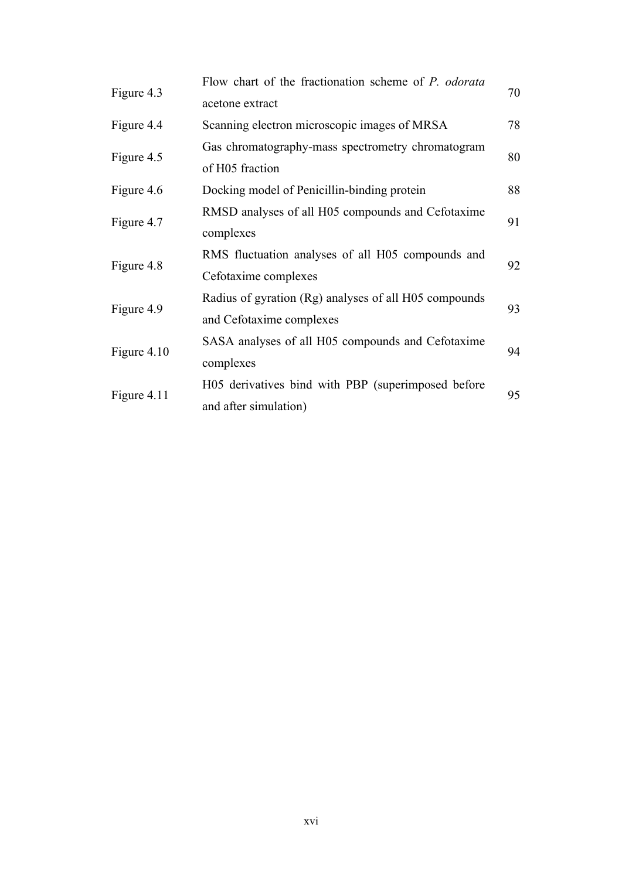|             | Flow chart of the fractionation scheme of P. odorata                              |    |  |  |  |
|-------------|-----------------------------------------------------------------------------------|----|--|--|--|
| Figure 4.3  | acetone extract                                                                   |    |  |  |  |
| Figure 4.4  | Scanning electron microscopic images of MRSA                                      | 78 |  |  |  |
|             | Gas chromatography-mass spectrometry chromatogram                                 |    |  |  |  |
| Figure 4.5  | of H05 fraction                                                                   | 80 |  |  |  |
| Figure 4.6  | Docking model of Penicillin-binding protein                                       | 88 |  |  |  |
|             | RMSD analyses of all H05 compounds and Cefotaxime                                 |    |  |  |  |
| Figure 4.7  | complexes                                                                         | 91 |  |  |  |
| Figure 4.8  | RMS fluctuation analyses of all H05 compounds and                                 | 92 |  |  |  |
|             | Cefotaxime complexes                                                              |    |  |  |  |
| Figure 4.9  | Radius of gyration (Rg) analyses of all H05 compounds<br>and Cefotaxime complexes |    |  |  |  |
|             |                                                                                   |    |  |  |  |
| Figure 4.10 | SASA analyses of all H05 compounds and Cefotaxime                                 |    |  |  |  |
|             | complexes                                                                         | 94 |  |  |  |
|             | H05 derivatives bind with PBP (superimposed before                                |    |  |  |  |
| Figure 4.11 | 95<br>and after simulation)                                                       |    |  |  |  |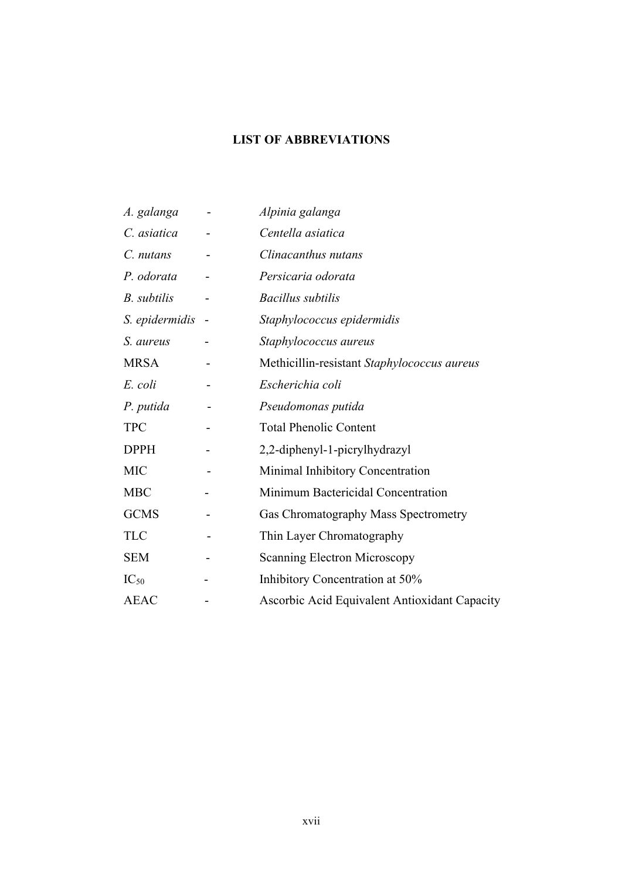# **LIST OF ABBREVIATIONS**

| A. galanga     | Alpinia galanga                               |
|----------------|-----------------------------------------------|
| C. asiatica    | Centella asiatica                             |
| C. nutans      | Clinacanthus nutans                           |
| P. odorata     | Persicaria odorata                            |
| B. subtilis    | <b>Bacillus</b> subtilis                      |
| S. epidermidis | Staphylococcus epidermidis                    |
| S. aureus      | Staphylococcus aureus                         |
| <b>MRSA</b>    | Methicillin-resistant Staphylococcus aureus   |
| E. coli        | Escherichia coli                              |
| P. putida      | Pseudomonas putida                            |
| <b>TPC</b>     | <b>Total Phenolic Content</b>                 |
| <b>DPPH</b>    | 2,2-diphenyl-1-picrylhydrazyl                 |
| <b>MIC</b>     | Minimal Inhibitory Concentration              |
| <b>MBC</b>     | Minimum Bactericidal Concentration            |
| <b>GCMS</b>    | Gas Chromatography Mass Spectrometry          |
| <b>TLC</b>     | Thin Layer Chromatography                     |
| <b>SEM</b>     | <b>Scanning Electron Microscopy</b>           |
| $IC_{50}$      | Inhibitory Concentration at 50%               |
| <b>AEAC</b>    | Ascorbic Acid Equivalent Antioxidant Capacity |
|                |                                               |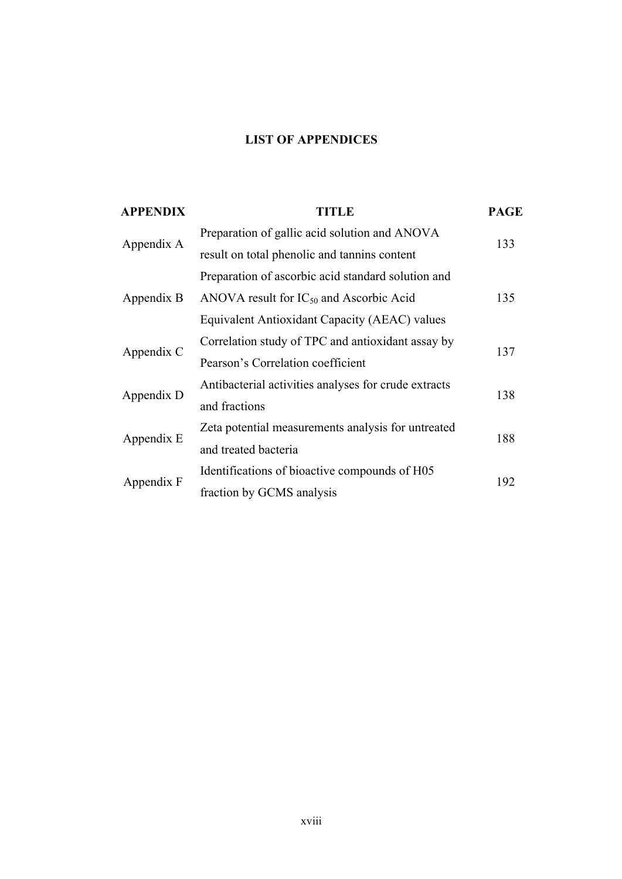# **LIST OF APPENDICES**

| <b>APPENDIX</b> | <b>TITLE</b>                                         | <b>PAGE</b> |
|-----------------|------------------------------------------------------|-------------|
| Appendix A      | Preparation of gallic acid solution and ANOVA        | 133         |
|                 | result on total phenolic and tannins content         |             |
| Appendix B      | Preparation of ascorbic acid standard solution and   | 135         |
|                 | ANOVA result for $IC_{50}$ and Ascorbic Acid         |             |
|                 | Equivalent Antioxidant Capacity (AEAC) values        |             |
| Appendix C      | Correlation study of TPC and antioxidant assay by    | 137         |
|                 | Pearson's Correlation coefficient                    |             |
| Appendix D      | Antibacterial activities analyses for crude extracts | 138         |
|                 | and fractions                                        |             |
| Appendix E      | Zeta potential measurements analysis for untreated   | 188         |
|                 | and treated bacteria                                 |             |
| Appendix F      | Identifications of bioactive compounds of H05        | 192         |
|                 | fraction by GCMS analysis                            |             |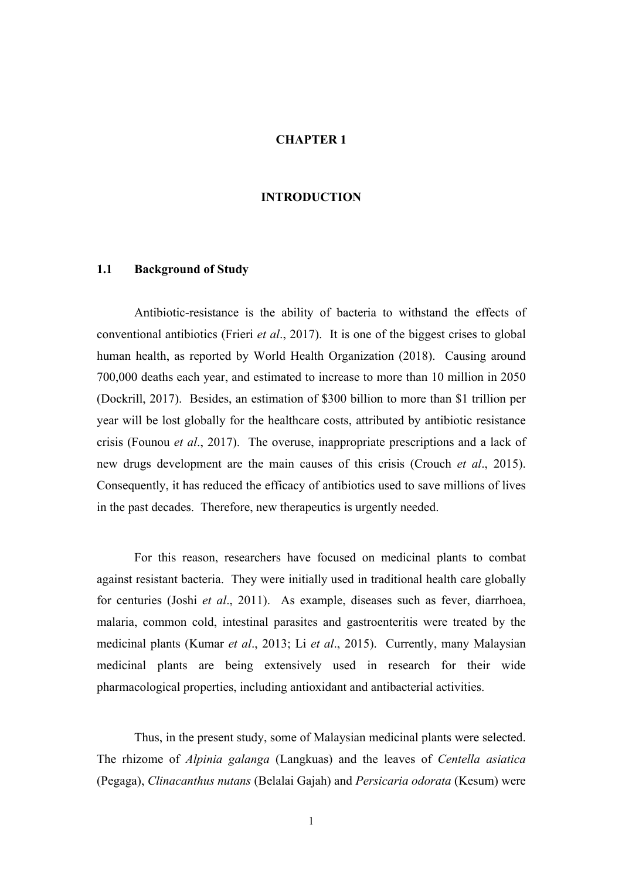### **CHAPTER 1**

### **INTRODUCTION**

# **1.1 Background of Study**

Antibiotic-resistance is the ability of bacteria to withstand the effects of conventional antibiotics (Frieri *et al*., 2017). It is one of the biggest crises to global human health, as reported by World Health Organization (2018). Causing around 700,000 deaths each year, and estimated to increase to more than 10 million in 2050 (Dockrill, 2017). Besides, an estimation of \$300 billion to more than \$1 trillion per year will be lost globally for the healthcare costs, attributed by antibiotic resistance crisis (Founou *et al*., 2017). The overuse, inappropriate prescriptions and a lack of new drugs development are the main causes of this crisis (Crouch *et al*., 2015). Consequently, it has reduced the efficacy of antibiotics used to save millions of lives in the past decades. Therefore, new therapeutics is urgently needed.

For this reason, researchers have focused on medicinal plants to combat against resistant bacteria. They were initially used in traditional health care globally for centuries (Joshi *et al*., 2011). As example, diseases such as fever, diarrhoea, malaria, common cold, intestinal parasites and gastroenteritis were treated by the medicinal plants (Kumar *et al*., 2013; Li *et al*., 2015). Currently, many Malaysian medicinal plants are being extensively used in research for their wide pharmacological properties, including antioxidant and antibacterial activities.

Thus, in the present study, some of Malaysian medicinal plants were selected. The rhizome of *Alpinia galanga* (Langkuas) and the leaves of *Centella asiatica* (Pegaga), *Clinacanthus nutans* (Belalai Gajah) and *Persicaria odorata* (Kesum) were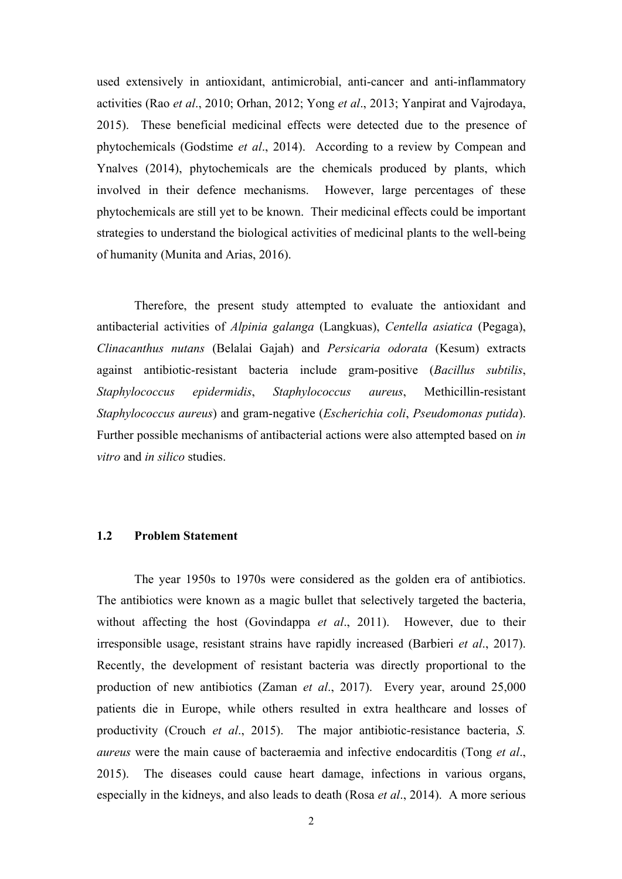used extensively in antioxidant, antimicrobial, anti-cancer and anti-inflammatory activities (Rao *et al*., 2010; Orhan, 2012; Yong *et al*., 2013; Yanpirat and Vajrodaya, 2015). These beneficial medicinal effects were detected due to the presence of phytochemicals (Godstime *et al*., 2014). According to a review by Compean and Ynalves (2014), phytochemicals are the chemicals produced by plants, which involved in their defence mechanisms. However, large percentages of these phytochemicals are still yet to be known. Their medicinal effects could be important strategies to understand the biological activities of medicinal plants to the well-being of humanity (Munita and Arias, 2016).

Therefore, the present study attempted to evaluate the antioxidant and antibacterial activities of *Alpinia galanga* (Langkuas), *Centella asiatica* (Pegaga), *Clinacanthus nutans* (Belalai Gajah) and *Persicaria odorata* (Kesum) extracts against antibiotic-resistant bacteria include gram-positive (*Bacillus subtilis*, *Staphylococcus epidermidis*, *Staphylococcus aureus*, Methicillin-resistant *Staphylococcus aureus*) and gram-negative (*Escherichia coli*, *Pseudomonas putida*). Further possible mechanisms of antibacterial actions were also attempted based on *in vitro* and *in silico* studies.

# **1.2 Problem Statement**

The year 1950s to 1970s were considered as the golden era of antibiotics. The antibiotics were known as a magic bullet that selectively targeted the bacteria, without affecting the host (Govindappa *et al*., 2011). However, due to their irresponsible usage, resistant strains have rapidly increased (Barbieri *et al*., 2017). Recently, the development of resistant bacteria was directly proportional to the production of new antibiotics (Zaman *et al*., 2017). Every year, around 25,000 patients die in Europe, while others resulted in extra healthcare and losses of productivity (Crouch *et al*., 2015). The major antibiotic-resistance bacteria, *S. aureus* were the main cause of bacteraemia and infective endocarditis (Tong *et al*., 2015). The diseases could cause heart damage, infections in various organs, especially in the kidneys, and also leads to death (Rosa *et al*., 2014). A more serious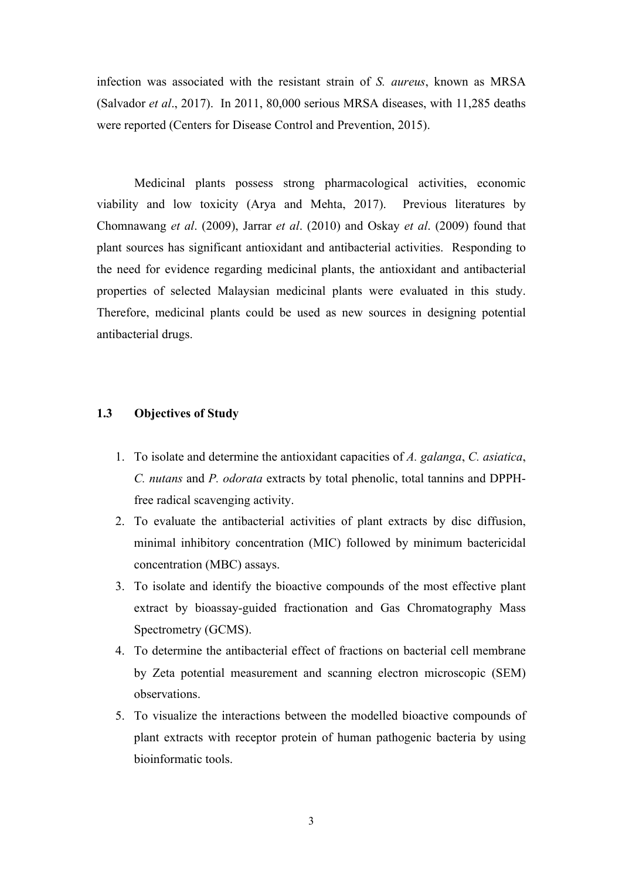infection was associated with the resistant strain of *S. aureus*, known as MRSA (Salvador *et al*., 2017). In 2011, 80,000 serious MRSA diseases, with 11,285 deaths were reported (Centers for Disease Control and Prevention, 2015).

Medicinal plants possess strong pharmacological activities, economic viability and low toxicity (Arya and Mehta, 2017). Previous literatures by Chomnawang *et al*. (2009), Jarrar *et al*. (2010) and Oskay *et al*. (2009) found that plant sources has significant antioxidant and antibacterial activities. Responding to the need for evidence regarding medicinal plants, the antioxidant and antibacterial properties of selected Malaysian medicinal plants were evaluated in this study. Therefore, medicinal plants could be used as new sources in designing potential antibacterial drugs.

### **1.3 Objectives of Study**

- 1. To isolate and determine the antioxidant capacities of *A. galanga*, *C. asiatica*, *C. nutans* and *P. odorata* extracts by total phenolic, total tannins and DPPHfree radical scavenging activity.
- 2. To evaluate the antibacterial activities of plant extracts by disc diffusion, minimal inhibitory concentration (MIC) followed by minimum bactericidal concentration (MBC) assays.
- 3. To isolate and identify the bioactive compounds of the most effective plant extract by bioassay-guided fractionation and Gas Chromatography Mass Spectrometry (GCMS).
- 4. To determine the antibacterial effect of fractions on bacterial cell membrane by Zeta potential measurement and scanning electron microscopic (SEM) observations.
- 5. To visualize the interactions between the modelled bioactive compounds of plant extracts with receptor protein of human pathogenic bacteria by using bioinformatic tools.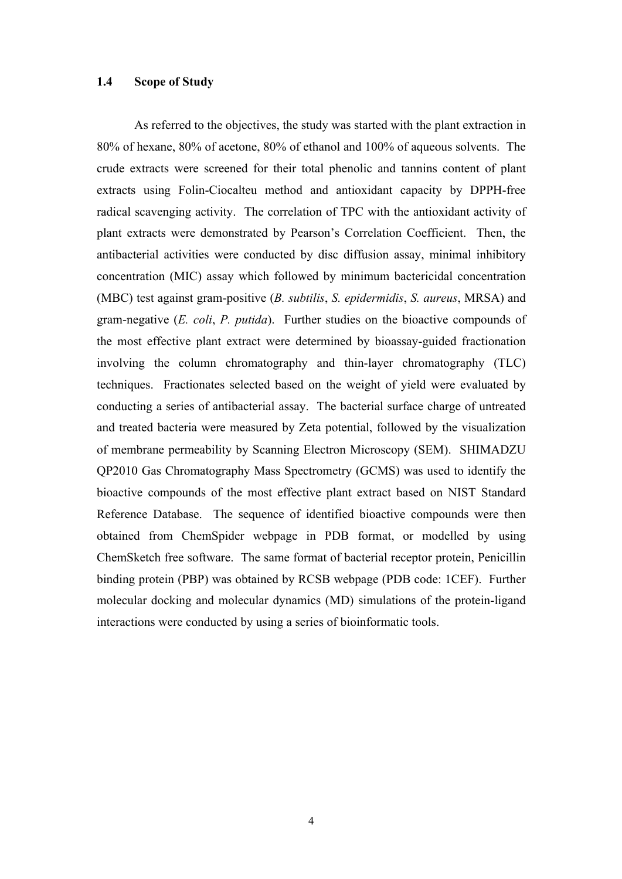### **1.4 Scope of Study**

As referred to the objectives, the study was started with the plant extraction in 80% of hexane, 80% of acetone, 80% of ethanol and 100% of aqueous solvents. The crude extracts were screened for their total phenolic and tannins content of plant extracts using Folin-Ciocalteu method and antioxidant capacity by DPPH-free radical scavenging activity. The correlation of TPC with the antioxidant activity of plant extracts were demonstrated by Pearson's Correlation Coefficient. Then, the antibacterial activities were conducted by disc diffusion assay, minimal inhibitory concentration (MIC) assay which followed by minimum bactericidal concentration (MBC) test against gram-positive (*B. subtilis*, *S. epidermidis*, *S. aureus*, MRSA) and gram-negative (*E. coli*, *P. putida*). Further studies on the bioactive compounds of the most effective plant extract were determined by bioassay-guided fractionation involving the column chromatography and thin-layer chromatography (TLC) techniques. Fractionates selected based on the weight of yield were evaluated by conducting a series of antibacterial assay. The bacterial surface charge of untreated and treated bacteria were measured by Zeta potential, followed by the visualization of membrane permeability by Scanning Electron Microscopy (SEM). SHIMADZU QP2010 Gas Chromatography Mass Spectrometry (GCMS) was used to identify the bioactive compounds of the most effective plant extract based on NIST Standard Reference Database. The sequence of identified bioactive compounds were then obtained from ChemSpider webpage in PDB format, or modelled by using ChemSketch free software. The same format of bacterial receptor protein, Penicillin binding protein (PBP) was obtained by RCSB webpage (PDB code: 1CEF). Further molecular docking and molecular dynamics (MD) simulations of the protein-ligand interactions were conducted by using a series of bioinformatic tools.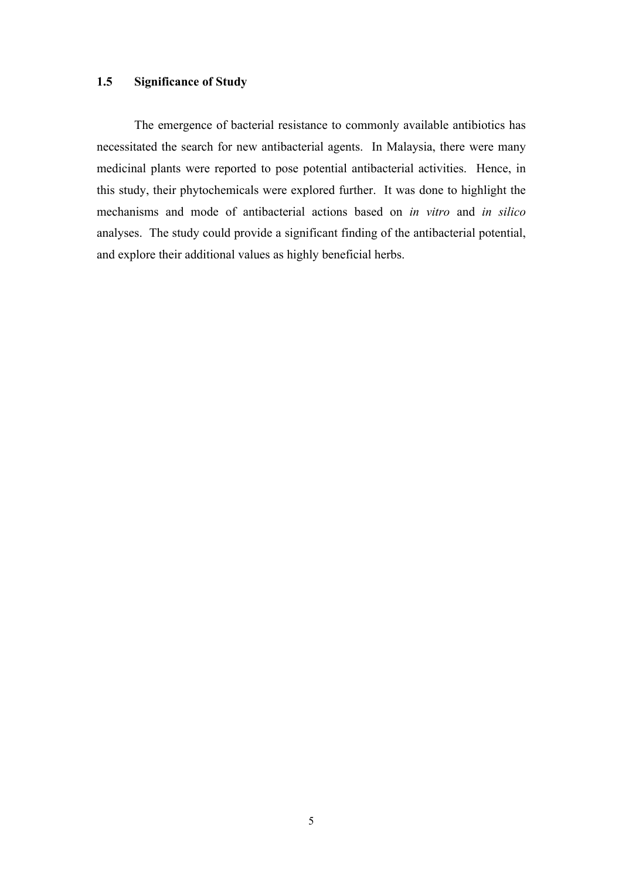# **1.5 Significance of Study**

The emergence of bacterial resistance to commonly available antibiotics has necessitated the search for new antibacterial agents. In Malaysia, there were many medicinal plants were reported to pose potential antibacterial activities. Hence, in this study, their phytochemicals were explored further. It was done to highlight the mechanisms and mode of antibacterial actions based on *in vitro* and *in silico* analyses. The study could provide a significant finding of the antibacterial potential, and explore their additional values as highly beneficial herbs.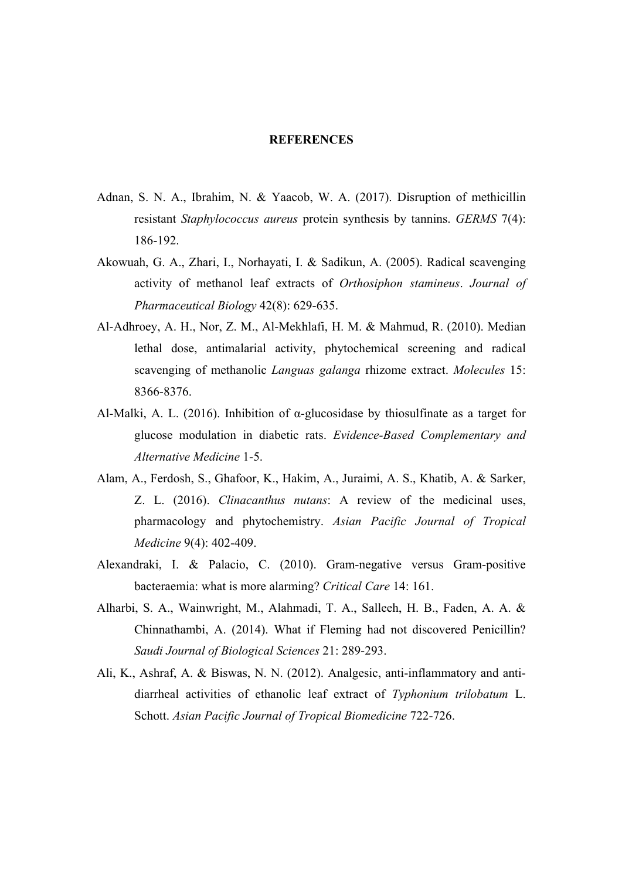#### **REFERENCES**

- Adnan, S. N. A., Ibrahim, N. & Yaacob, W. A. (2017). Disruption of methicillin resistant *Staphylococcus aureus* protein synthesis by tannins. *GERMS* 7(4): 186-192.
- Akowuah, G. A., Zhari, I., Norhayati, I. & Sadikun, A. (2005). Radical scavenging activity of methanol leaf extracts of *Orthosiphon stamineus*. *Journal of Pharmaceutical Biology* 42(8): 629-635.
- Al-Adhroey, A. H., Nor, Z. M., Al-Mekhlafi, H. M. & Mahmud, R. (2010). Median lethal dose, antimalarial activity, phytochemical screening and radical scavenging of methanolic *Languas galanga* rhizome extract. *Molecules* 15: 8366-8376.
- Al-Malki, A. L. (2016). Inhibition of  $\alpha$ -glucosidase by thiosulfinate as a target for glucose modulation in diabetic rats. *Evidence-Based Complementary and Alternative Medicine* 1-5.
- Alam, A., Ferdosh, S., Ghafoor, K., Hakim, A., Juraimi, A. S., Khatib, A. & Sarker, Z. L. (2016). *Clinacanthus nutans*: A review of the medicinal uses, pharmacology and phytochemistry. *Asian Pacific Journal of Tropical Medicine* 9(4): 402-409.
- Alexandraki, I. & Palacio, C. (2010). Gram-negative versus Gram-positive bacteraemia: what is more alarming? *Critical Care* 14: 161.
- Alharbi, S. A., Wainwright, M., Alahmadi, T. A., Salleeh, H. B., Faden, A. A. & Chinnathambi, A. (2014). What if Fleming had not discovered Penicillin? *Saudi Journal of Biological Sciences* 21: 289-293.
- Ali, K., Ashraf, A. & Biswas, N. N. (2012). Analgesic, anti-inflammatory and antidiarrheal activities of ethanolic leaf extract of *Typhonium trilobatum* L. Schott. *Asian Pacific Journal of Tropical Biomedicine* 722-726.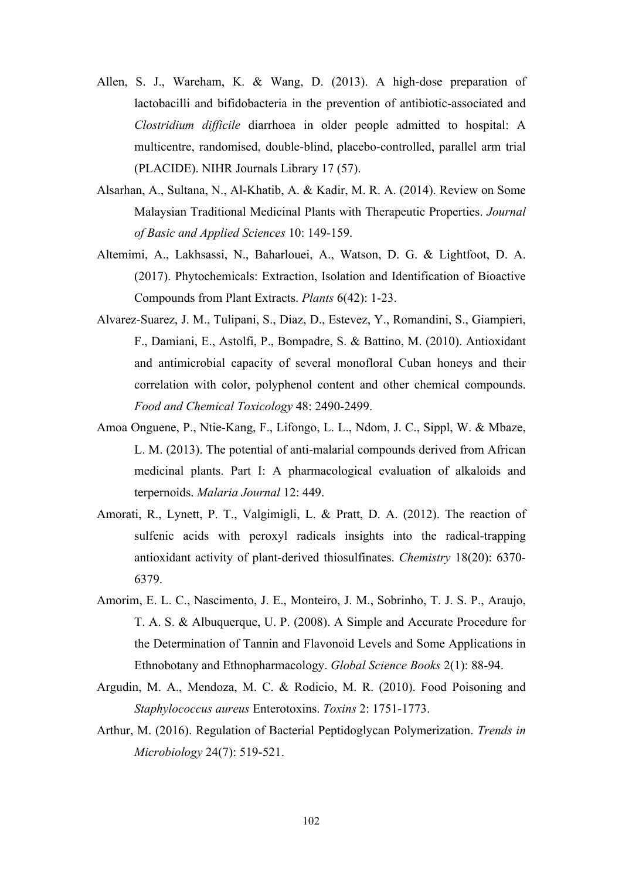- Allen, S. J., Wareham, K. & Wang, D. (2013). A high-dose preparation of lactobacilli and bifidobacteria in the prevention of antibiotic-associated and *Clostridium difficile* diarrhoea in older people admitted to hospital: A multicentre, randomised, double-blind, placebo-controlled, parallel arm trial (PLACIDE). NIHR Journals Library 17 (57).
- Alsarhan, A., Sultana, N., Al-Khatib, A. & Kadir, M. R. A. (2014). Review on Some Malaysian Traditional Medicinal Plants with Therapeutic Properties. *Journal of Basic and Applied Sciences* 10: 149-159.
- Altemimi, A., Lakhsassi, N., Baharlouei, A., Watson, D. G. & Lightfoot, D. A. (2017). Phytochemicals: Extraction, Isolation and Identification of Bioactive Compounds from Plant Extracts. *Plants* 6(42): 1-23.
- Alvarez-Suarez, J. M., Tulipani, S., Diaz, D., Estevez, Y., Romandini, S., Giampieri, F., Damiani, E., Astolfi, P., Bompadre, S. & Battino, M. (2010). Antioxidant and antimicrobial capacity of several monofloral Cuban honeys and their correlation with color, polyphenol content and other chemical compounds. *Food and Chemical Toxicology* 48: 2490-2499.
- Amoa Onguene, P., Ntie-Kang, F., Lifongo, L. L., Ndom, J. C., Sippl, W. & Mbaze, L. M. (2013). The potential of anti-malarial compounds derived from African medicinal plants. Part I: A pharmacological evaluation of alkaloids and terpernoids. *Malaria Journal* 12: 449.
- Amorati, R., Lynett, P. T., Valgimigli, L. & Pratt, D. A. (2012). The reaction of sulfenic acids with peroxyl radicals insights into the radical-trapping antioxidant activity of plant-derived thiosulfinates. *Chemistry* 18(20): 6370- 6379.
- Amorim, E. L. C., Nascimento, J. E., Monteiro, J. M., Sobrinho, T. J. S. P., Araujo, T. A. S. & Albuquerque, U. P. (2008). A Simple and Accurate Procedure for the Determination of Tannin and Flavonoid Levels and Some Applications in Ethnobotany and Ethnopharmacology. *Global Science Books* 2(1): 88-94.
- Argudin, M. A., Mendoza, M. C. & Rodicio, M. R. (2010). Food Poisoning and *Staphylococcus aureus* Enterotoxins. *Toxins* 2: 1751-1773.
- Arthur, M. (2016). Regulation of Bacterial Peptidoglycan Polymerization. *Trends in Microbiology* 24(7): 519-521.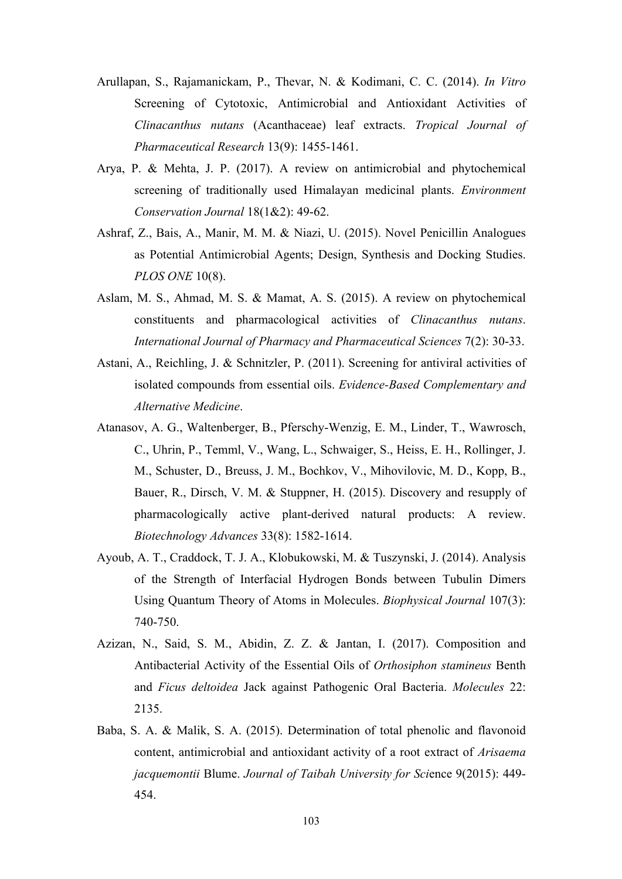- Arullapan, S., Rajamanickam, P., Thevar, N. & Kodimani, C. C. (2014). *In Vitro* Screening of Cytotoxic, Antimicrobial and Antioxidant Activities of *Clinacanthus nutans* (Acanthaceae) leaf extracts. *Tropical Journal of Pharmaceutical Research* 13(9): 1455-1461.
- Arya, P. & Mehta, J. P. (2017). A review on antimicrobial and phytochemical screening of traditionally used Himalayan medicinal plants. *Environment Conservation Journal* 18(1&2): 49-62.
- Ashraf, Z., Bais, A., Manir, M. M. & Niazi, U. (2015). Novel Penicillin Analogues as Potential Antimicrobial Agents; Design, Synthesis and Docking Studies. *PLOS ONE* 10(8).
- Aslam, M. S., Ahmad, M. S. & Mamat, A. S. (2015). A review on phytochemical constituents and pharmacological activities of *Clinacanthus nutans*. *International Journal of Pharmacy and Pharmaceutical Sciences* 7(2): 30-33.
- Astani, A., Reichling, J. & Schnitzler, P. (2011). Screening for antiviral activities of isolated compounds from essential oils. *Evidence-Based Complementary and Alternative Medicine*.
- Atanasov, A. G., Waltenberger, B., Pferschy-Wenzig, E. M., Linder, T., Wawrosch, C., Uhrin, P., Temml, V., Wang, L., Schwaiger, S., Heiss, E. H., Rollinger, J. M., Schuster, D., Breuss, J. M., Bochkov, V., Mihovilovic, M. D., Kopp, B., Bauer, R., Dirsch, V. M. & Stuppner, H. (2015). Discovery and resupply of pharmacologically active plant-derived natural products: A review. *Biotechnology Advances* 33(8): 1582-1614.
- Ayoub, A. T., Craddock, T. J. A., Klobukowski, M. & Tuszynski, J. (2014). Analysis of the Strength of Interfacial Hydrogen Bonds between Tubulin Dimers Using Quantum Theory of Atoms in Molecules. *Biophysical Journal* 107(3): 740-750.
- Azizan, N., Said, S. M., Abidin, Z. Z. & Jantan, I. (2017). Composition and Antibacterial Activity of the Essential Oils of *Orthosiphon stamineus* Benth and *Ficus deltoidea* Jack against Pathogenic Oral Bacteria. *Molecules* 22: 2135.
- Baba, S. A. & Malik, S. A. (2015). Determination of total phenolic and flavonoid content, antimicrobial and antioxidant activity of a root extract of *Arisaema jacquemontii* Blume. *Journal of Taibah University for Sci*ence 9(2015): 449- 454.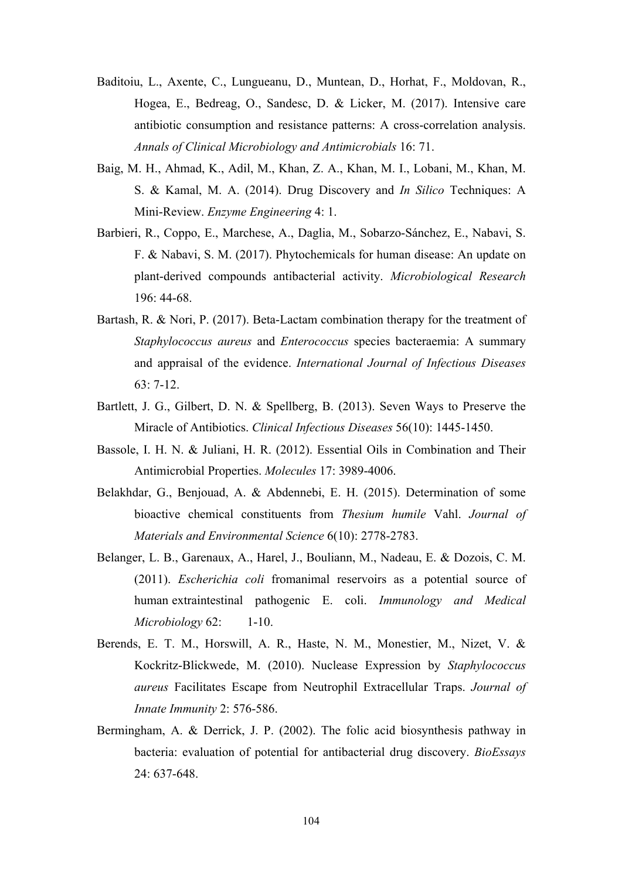- Baditoiu, L., Axente, C., Lungueanu, D., Muntean, D., Horhat, F., Moldovan, R., Hogea, E., Bedreag, O., Sandesc, D. & Licker, M. (2017). Intensive care antibiotic consumption and resistance patterns: A cross-correlation analysis. *Annals of Clinical Microbiology and Antimicrobials* 16: 71.
- Baig, M. H., Ahmad, K., Adil, M., Khan, Z. A., Khan, M. I., Lobani, M., Khan, M. S. & Kamal, M. A. (2014). Drug Discovery and *In Silico* Techniques: A Mini-Review. *Enzyme Engineering* 4: 1.
- Barbieri, R., Coppo, E., Marchese, A., Daglia, M., Sobarzo-Sánchez, E., Nabavi, S. F. & Nabavi, S. M. (2017). Phytochemicals for human disease: An update on plant-derived compounds antibacterial activity. *Microbiological Research* 196: 44-68.
- Bartash, R. & Nori, P. (2017). Beta-Lactam combination therapy for the treatment of *Staphylococcus aureus* and *Enterococcus* species bacteraemia: A summary and appraisal of the evidence. *International Journal of Infectious Diseases* 63: 7-12.
- Bartlett, J. G., Gilbert, D. N. & Spellberg, B. (2013). Seven Ways to Preserve the Miracle of Antibiotics. *Clinical Infectious Diseases* 56(10): 1445-1450.
- Bassole, I. H. N. & Juliani, H. R. (2012). Essential Oils in Combination and Their Antimicrobial Properties. *Molecules* 17: 3989-4006.
- Belakhdar, G., Benjouad, A. & Abdennebi, E. H. (2015). Determination of some bioactive chemical constituents from *Thesium humile* Vahl. *Journal of Materials and Environmental Science* 6(10): 2778-2783.
- Belanger, L. B., Garenaux, A., Harel, J., Bouliann, M., Nadeau, E. & Dozois, C. M. (2011). *Escherichia coli* fromanimal reservoirs as a potential source of human extraintestinal pathogenic E. coli. *Immunology and Medical Microbiology* 62: 1-10.
- Berends, E. T. M., Horswill, A. R., Haste, N. M., Monestier, M., Nizet, V. & Kockritz-Blickwede, M. (2010). Nuclease Expression by *Staphylococcus aureus* Facilitates Escape from Neutrophil Extracellular Traps. *Journal of Innate Immunity* 2: 576-586.
- Bermingham, A. & Derrick, J. P. (2002). The folic acid biosynthesis pathway in bacteria: evaluation of potential for antibacterial drug discovery. *BioEssays* 24: 637-648.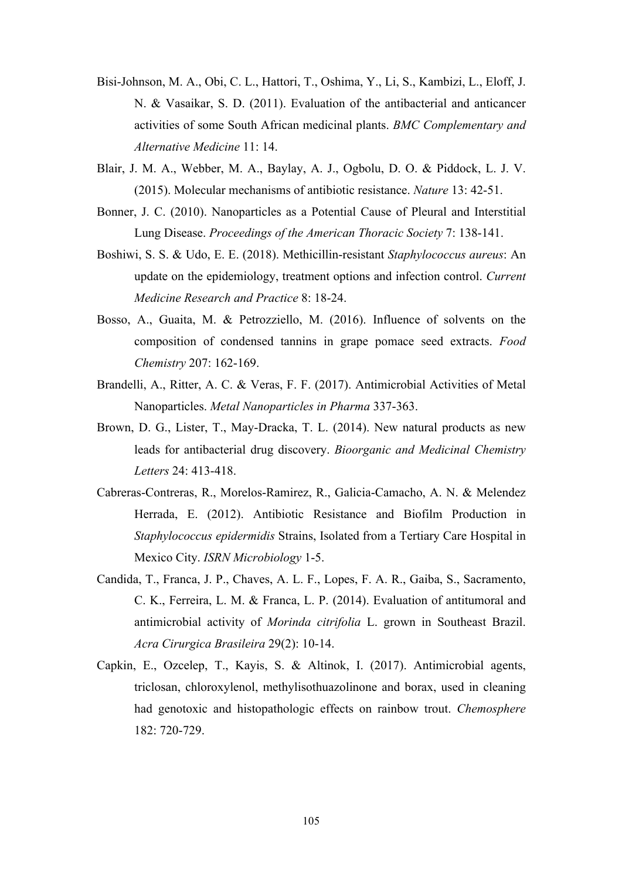- Bisi-Johnson, M. A., Obi, C. L., Hattori, T., Oshima, Y., Li, S., Kambizi, L., Eloff, J. N. & Vasaikar, S. D. (2011). Evaluation of the antibacterial and anticancer activities of some South African medicinal plants. *BMC Complementary and Alternative Medicine* 11: 14.
- Blair, J. M. A., Webber, M. A., Baylay, A. J., Ogbolu, D. O. & Piddock, L. J. V. (2015). Molecular mechanisms of antibiotic resistance. *Nature* 13: 42-51.
- Bonner, J. C. (2010). Nanoparticles as a Potential Cause of Pleural and Interstitial Lung Disease. *Proceedings of the American Thoracic Society* 7: 138-141.
- Boshiwi, S. S. & Udo, E. E. (2018). Methicillin-resistant *Staphylococcus aureus*: An update on the epidemiology, treatment options and infection control. *Current Medicine Research and Practice* 8: 18-24.
- Bosso, A., Guaita, M. & Petrozziello, M. (2016). Influence of solvents on the composition of condensed tannins in grape pomace seed extracts. *Food Chemistry* 207: 162-169.
- Brandelli, A., Ritter, A. C. & Veras, F. F. (2017). Antimicrobial Activities of Metal Nanoparticles. *Metal Nanoparticles in Pharma* 337-363.
- Brown, D. G., Lister, T., May-Dracka, T. L. (2014). New natural products as new leads for antibacterial drug discovery. *Bioorganic and Medicinal Chemistry Letters* 24: 413-418.
- Cabreras-Contreras, R., Morelos-Ramirez, R., Galicia-Camacho, A. N. & Melendez Herrada, E. (2012). Antibiotic Resistance and Biofilm Production in *Staphylococcus epidermidis* Strains, Isolated from a Tertiary Care Hospital in Mexico City. *ISRN Microbiology* 1-5.
- Candida, T., Franca, J. P., Chaves, A. L. F., Lopes, F. A. R., Gaiba, S., Sacramento, C. K., Ferreira, L. M. & Franca, L. P. (2014). Evaluation of antitumoral and antimicrobial activity of *Morinda citrifolia* L. grown in Southeast Brazil. *Acra Cirurgica Brasileira* 29(2): 10-14.
- Capkin, E., Ozcelep, T., Kayis, S. & Altinok, I. (2017). Antimicrobial agents, triclosan, chloroxylenol, methylisothuazolinone and borax, used in cleaning had genotoxic and histopathologic effects on rainbow trout. *Chemosphere* 182: 720-729.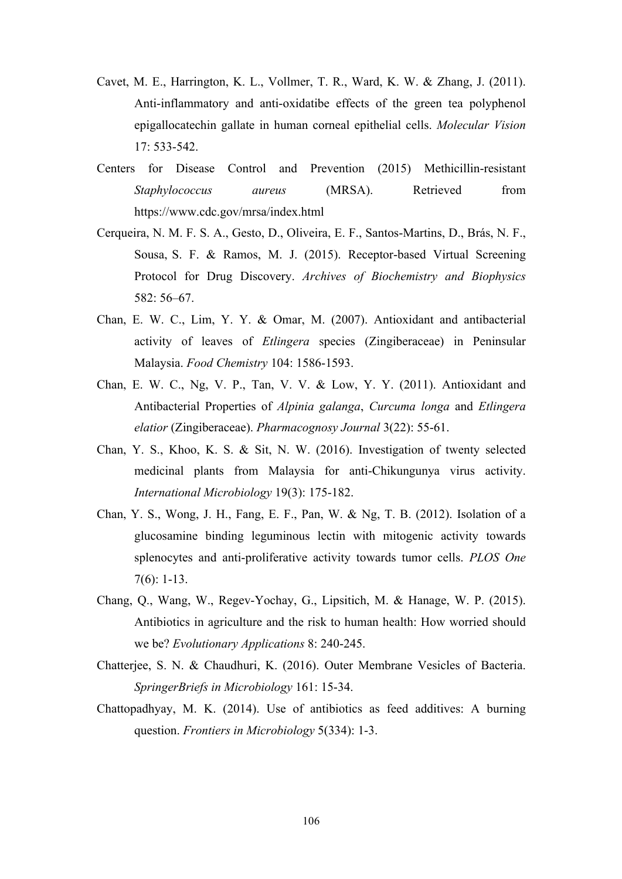- Cavet, M. E., Harrington, K. L., Vollmer, T. R., Ward, K. W. & Zhang, J. (2011). Anti-inflammatory and anti-oxidatibe effects of the green tea polyphenol epigallocatechin gallate in human corneal epithelial cells. *Molecular Vision* 17: 533-542.
- Centers for Disease Control and Prevention (2015) Methicillin-resistant *Staphylococcus aureus* (MRSA). Retrieved from https://www.cdc.gov/mrsa/index.html
- Cerqueira, N. M. F. S. A., Gesto, D., Oliveira, E. F., Santos-Martins, D., Brás, N. F., Sousa, S. F. & Ramos, M. J. (2015). Receptor-based Virtual Screening Protocol for Drug Discovery. *Archives of Biochemistry and Biophysics* 582: 56–67.
- Chan, E. W. C., Lim, Y. Y. & Omar, M. (2007). Antioxidant and antibacterial activity of leaves of *Etlingera* species (Zingiberaceae) in Peninsular Malaysia. *Food Chemistry* 104: 1586-1593.
- Chan, E. W. C., Ng, V. P., Tan, V. V. & Low, Y. Y. (2011). Antioxidant and Antibacterial Properties of *Alpinia galanga*, *Curcuma longa* and *Etlingera elatior* (Zingiberaceae). *Pharmacognosy Journal* 3(22): 55-61.
- Chan, Y. S., Khoo, K. S. & Sit, N. W. (2016). Investigation of twenty selected medicinal plants from Malaysia for anti-Chikungunya virus activity. *International Microbiology* 19(3): 175-182.
- Chan, Y. S., Wong, J. H., Fang, E. F., Pan, W. & Ng, T. B. (2012). Isolation of a glucosamine binding leguminous lectin with mitogenic activity towards splenocytes and anti-proliferative activity towards tumor cells. *PLOS One* 7(6): 1-13.
- Chang, Q., Wang, W., Regev-Yochay, G., Lipsitich, M. & Hanage, W. P. (2015). Antibiotics in agriculture and the risk to human health: How worried should we be? *Evolutionary Applications* 8: 240-245.
- Chatterjee, S. N. & Chaudhuri, K. (2016). Outer Membrane Vesicles of Bacteria. *SpringerBriefs in Microbiology* 161: 15-34.
- Chattopadhyay, M. K. (2014). Use of antibiotics as feed additives: A burning question. *Frontiers in Microbiology* 5(334): 1-3.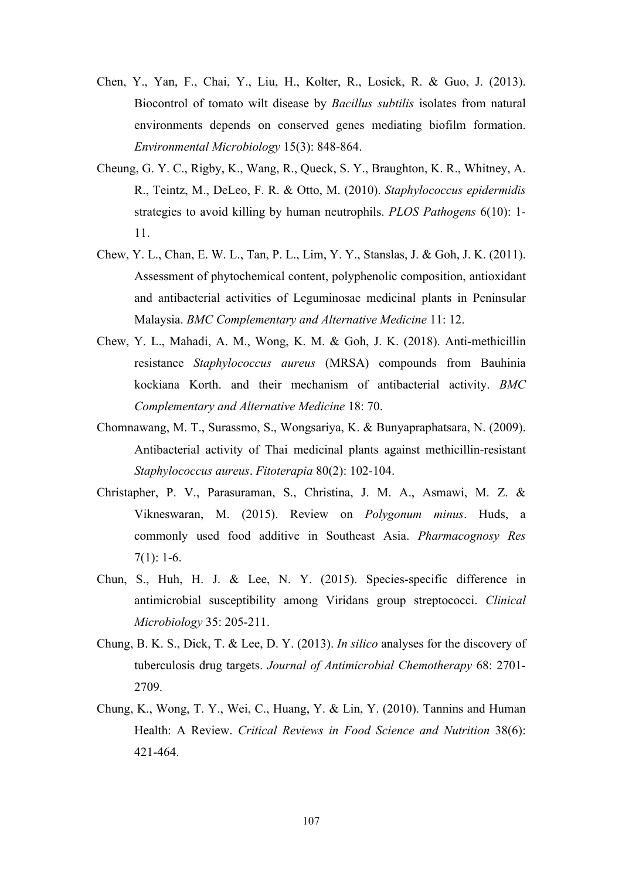- Chen, Y., Yan, F., Chai, Y., Liu, H., Kolter, R., Losick, R. & Guo, J. (2013). Biocontrol of tomato wilt disease by *Bacillus subtilis* isolates from natural environments depends on conserved genes mediating biofilm formation. *Environmental Microbiology* 15(3): 848-864.
- Cheung, G. Y. C., Rigby, K., Wang, R., Queck, S. Y., Braughton, K. R., Whitney, A. R., Teintz, M., DeLeo, F. R. & Otto, M. (2010). *Staphylococcus epidermidis* strategies to avoid killing by human neutrophils. *PLOS Pathogens* 6(10): 1- 11.
- Chew, Y. L., Chan, E. W. L., Tan, P. L., Lim, Y. Y., Stanslas, J. & Goh, J. K. (2011). Assessment of phytochemical content, polyphenolic composition, antioxidant and antibacterial activities of Leguminosae medicinal plants in Peninsular Malaysia. *BMC Complementary and Alternative Medicine* 11: 12.
- Chew, Y. L., Mahadi, A. M., Wong, K. M. & Goh, J. K. (2018). Anti-methicillin resistance *Staphylococcus aureus* (MRSA) compounds from Bauhinia kockiana Korth. and their mechanism of antibacterial activity. *BMC Complementary and Alternative Medicine* 18: 70.
- Chomnawang, M. T., Surassmo, S., Wongsariya, K. & Bunyapraphatsara, N. (2009). Antibacterial activity of Thai medicinal plants against methicillin-resistant *Staphylococcus aureus*. *Fitoterapia* 80(2): 102-104.
- Christapher, P. V., Parasuraman, S., Christina, J. M. A., Asmawi, M. Z. & Vikneswaran, M. (2015). Review on *Polygonum minus*. Huds, a commonly used food additive in Southeast Asia. *Pharmacognosy Res*  $7(1): 1-6.$
- Chun, S., Huh, H. J. & Lee, N. Y. (2015). Species-specific difference in antimicrobial susceptibility among Viridans group streptococci. *Clinical Microbiology* 35: 205-211.
- Chung, B. K. S., Dick, T. & Lee, D. Y. (2013). *In silico* analyses for the discovery of tuberculosis drug targets. *Journal of Antimicrobial Chemotherapy* 68: 2701- 2709.
- Chung, K., Wong, T. Y., Wei, C., Huang, Y. & Lin, Y. (2010). Tannins and Human Health: A Review. *Critical Reviews in Food Science and Nutrition* 38(6): 421-464.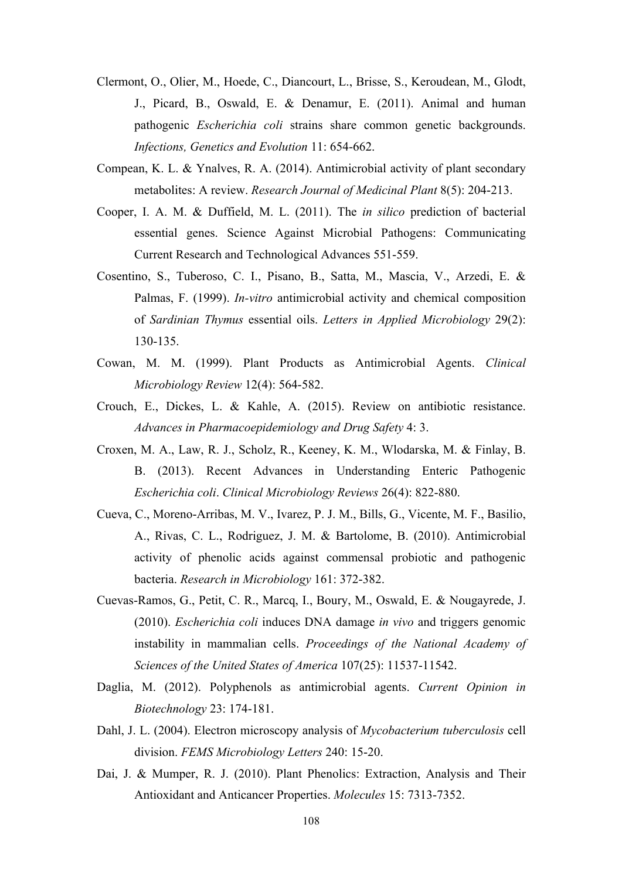- Clermont, O., Olier, M., Hoede, C., Diancourt, L., Brisse, S., Keroudean, M., Glodt, J., Picard, B., Oswald, E. & Denamur, E. (2011). Animal and human pathogenic *Escherichia coli* strains share common genetic backgrounds. *Infections, Genetics and Evolution* 11: 654-662.
- Compean, K. L. & Ynalves, R. A. (2014). Antimicrobial activity of plant secondary metabolites: A review. *Research Journal of Medicinal Plant* 8(5): 204-213.
- Cooper, I. A. M. & Duffield, M. L. (2011). The *in silico* prediction of bacterial essential genes. Science Against Microbial Pathogens: Communicating Current Research and Technological Advances 551-559.
- Cosentino, S., Tuberoso, C. I., Pisano, B., Satta, M., Mascia, V., Arzedi, E. & Palmas, F. (1999). *In-vitro* antimicrobial activity and chemical composition of *Sardinian Thymus* essential oils. *Letters in Applied Microbiology* 29(2): 130-135.
- Cowan, M. M. (1999). Plant Products as Antimicrobial Agents. *Clinical Microbiology Review* 12(4): 564-582.
- Crouch, E., Dickes, L. & Kahle, A. (2015). Review on antibiotic resistance. *Advances in Pharmacoepidemiology and Drug Safety* 4: 3.
- Croxen, M. A., Law, R. J., Scholz, R., Keeney, K. M., Wlodarska, M. & Finlay, B. B. (2013). Recent Advances in Understanding Enteric Pathogenic *Escherichia coli*. *Clinical Microbiology Reviews* 26(4): 822-880.
- Cueva, C., Moreno-Arribas, M. V., Ivarez, P. J. M., Bills, G., Vicente, M. F., Basilio, A., Rivas, C. L., Rodriguez, J. M. & Bartolome, B. (2010). Antimicrobial activity of phenolic acids against commensal probiotic and pathogenic bacteria. *Research in Microbiology* 161: 372-382.
- Cuevas-Ramos, G., Petit, C. R., Marcq, I., Boury, M., Oswald, E. & Nougayrede, J. (2010). *Escherichia coli* induces DNA damage *in vivo* and triggers genomic instability in mammalian cells. *Proceedings of the National Academy of Sciences of the United States of America* 107(25): 11537-11542.
- Daglia, M. (2012). Polyphenols as antimicrobial agents. *Current Opinion in Biotechnology* 23: 174-181.
- Dahl, J. L. (2004). Electron microscopy analysis of *Mycobacterium tuberculosis* cell division. *FEMS Microbiology Letters* 240: 15-20.
- Dai, J. & Mumper, R. J. (2010). Plant Phenolics: Extraction, Analysis and Their Antioxidant and Anticancer Properties. *Molecules* 15: 7313-7352.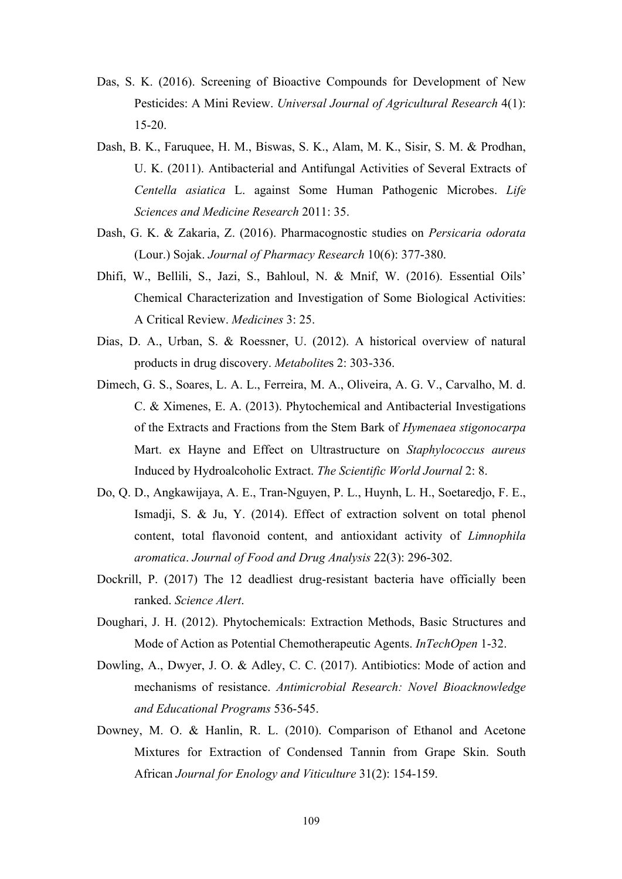- Das, S. K. (2016). Screening of Bioactive Compounds for Development of New Pesticides: A Mini Review. *Universal Journal of Agricultural Research* 4(1): 15-20.
- Dash, B. K., Faruquee, H. M., Biswas, S. K., Alam, M. K., Sisir, S. M. & Prodhan, U. K. (2011). Antibacterial and Antifungal Activities of Several Extracts of *Centella asiatica* L. against Some Human Pathogenic Microbes. *Life Sciences and Medicine Research* 2011: 35.
- Dash, G. K. & Zakaria, Z. (2016). Pharmacognostic studies on *Persicaria odorata* (Lour.) Sojak. *Journal of Pharmacy Research* 10(6): 377-380.
- Dhifi, W., Bellili, S., Jazi, S., Bahloul, N. & Mnif, W. (2016). Essential Oils' Chemical Characterization and Investigation of Some Biological Activities: A Critical Review. *Medicines* 3: 25.
- Dias, D. A., Urban, S. & Roessner, U. (2012). A historical overview of natural products in drug discovery. *Metabolite*s 2: 303-336.
- Dimech, G. S., Soares, L. A. L., Ferreira, M. A., Oliveira, A. G. V., Carvalho, M. d. C. & Ximenes, E. A. (2013). Phytochemical and Antibacterial Investigations of the Extracts and Fractions from the Stem Bark of *Hymenaea stigonocarpa* Mart. ex Hayne and Effect on Ultrastructure on *Staphylococcus aureus* Induced by Hydroalcoholic Extract. *The Scientific World Journal* 2: 8.
- Do, Q. D., Angkawijaya, A. E., Tran-Nguyen, P. L., Huynh, L. H., Soetaredjo, F. E., Ismadji, S. & Ju, Y. (2014). Effect of extraction solvent on total phenol content, total flavonoid content, and antioxidant activity of *Limnophila aromatica*. *Journal of Food and Drug Analysis* 22(3): 296-302.
- Dockrill, P. (2017) The 12 deadliest drug-resistant bacteria have officially been ranked. *Science Alert*.
- Doughari, J. H. (2012). Phytochemicals: Extraction Methods, Basic Structures and Mode of Action as Potential Chemotherapeutic Agents. *InTechOpen* 1-32.
- Dowling, A., Dwyer, J. O. & Adley, C. C. (2017). Antibiotics: Mode of action and mechanisms of resistance. *Antimicrobial Research: Novel Bioacknowledge and Educational Programs* 536-545.
- Downey, M. O. & Hanlin, R. L. (2010). Comparison of Ethanol and Acetone Mixtures for Extraction of Condensed Tannin from Grape Skin. South African *Journal for Enology and Viticulture* 31(2): 154-159.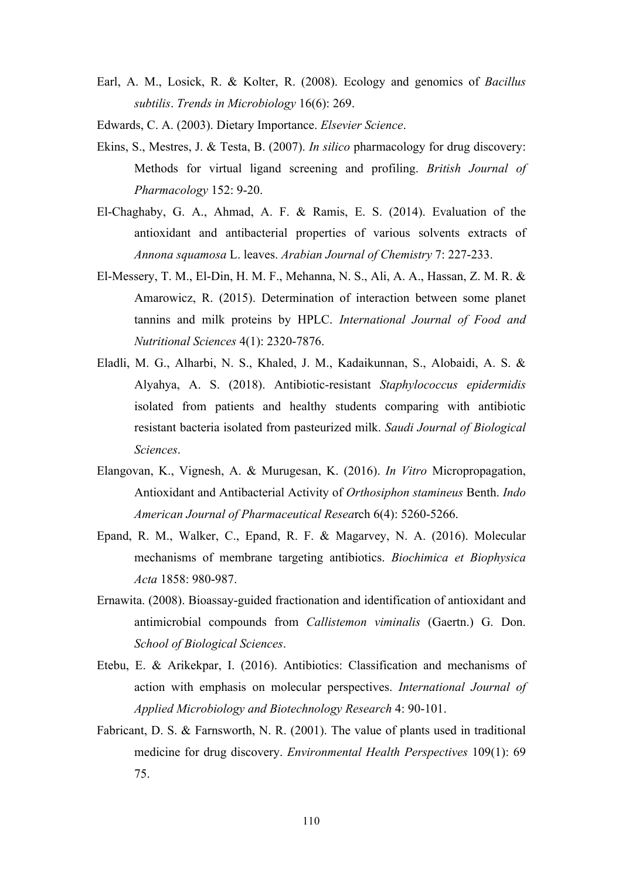- Earl, A. M., Losick, R. & Kolter, R. (2008). Ecology and genomics of *Bacillus subtilis*. *Trends in Microbiology* 16(6): 269.
- Edwards, C. A. (2003). Dietary Importance. *Elsevier Science*.
- Ekins, S., Mestres, J. & Testa, B. (2007). *In silico* pharmacology for drug discovery: Methods for virtual ligand screening and profiling. *British Journal of Pharmacology* 152: 9-20.
- El-Chaghaby, G. A., Ahmad, A. F. & Ramis, E. S. (2014). Evaluation of the antioxidant and antibacterial properties of various solvents extracts of *Annona squamosa* L. leaves. *Arabian Journal of Chemistry* 7: 227-233.
- El-Messery, T. M., El-Din, H. M. F., Mehanna, N. S., Ali, A. A., Hassan, Z. M. R. & Amarowicz, R. (2015). Determination of interaction between some planet tannins and milk proteins by HPLC. *International Journal of Food and Nutritional Sciences* 4(1): 2320-7876.
- Eladli, M. G., Alharbi, N. S., Khaled, J. M., Kadaikunnan, S., Alobaidi, A. S. & Alyahya, A. S. (2018). Antibiotic-resistant *Staphylococcus epidermidis* isolated from patients and healthy students comparing with antibiotic resistant bacteria isolated from pasteurized milk. *Saudi Journal of Biological Sciences*.
- Elangovan, K., Vignesh, A. & Murugesan, K. (2016). *In Vitro* Micropropagation, Antioxidant and Antibacterial Activity of *Orthosiphon stamineus* Benth. *Indo American Journal of Pharmaceutical Resea*rch 6(4): 5260-5266.
- Epand, R. M., Walker, C., Epand, R. F. & Magarvey, N. A. (2016). Molecular mechanisms of membrane targeting antibiotics. *Biochimica et Biophysica Acta* 1858: 980-987.
- Ernawita. (2008). Bioassay-guided fractionation and identification of antioxidant and antimicrobial compounds from *Callistemon viminalis* (Gaertn.) G. Don. *School of Biological Sciences*.
- Etebu, E. & Arikekpar, I. (2016). Antibiotics: Classification and mechanisms of action with emphasis on molecular perspectives. *International Journal of Applied Microbiology and Biotechnology Research* 4: 90-101.
- Fabricant, D. S. & Farnsworth, N. R. (2001). The value of plants used in traditional medicine for drug discovery. *Environmental Health Perspectives* 109(1): 69 75.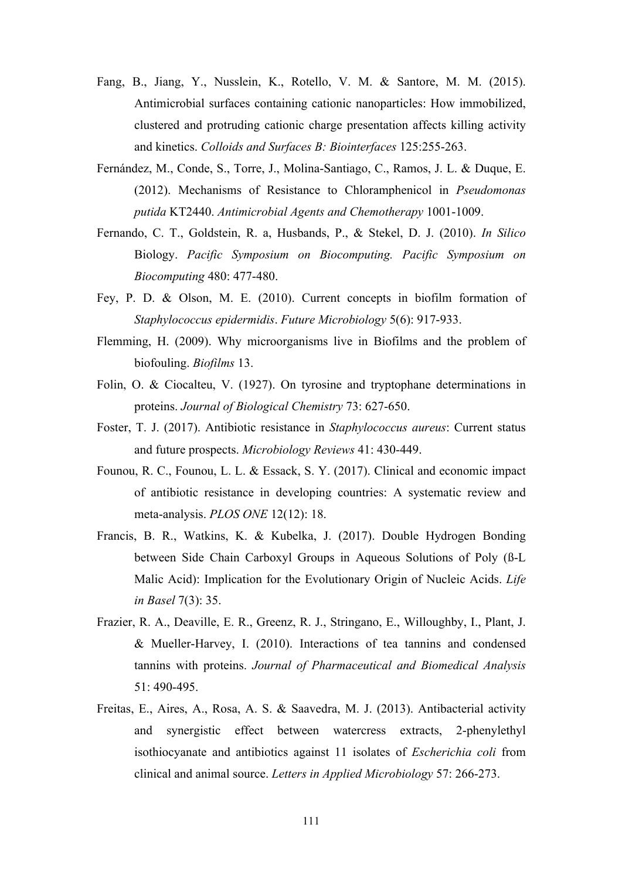- Fang, B., Jiang, Y., Nusslein, K., Rotello, V. M. & Santore, M. M. (2015). Antimicrobial surfaces containing cationic nanoparticles: How immobilized, clustered and protruding cationic charge presentation affects killing activity and kinetics. *Colloids and Surfaces B: Biointerfaces* 125:255-263.
- Fernández, M., Conde, S., Torre, J., Molina-Santiago, C., Ramos, J. L. & Duque, E. (2012). Mechanisms of Resistance to Chloramphenicol in *Pseudomonas putida* KT2440. *Antimicrobial Agents and Chemotherapy* 1001-1009.
- Fernando, C. T., Goldstein, R. a, Husbands, P., & Stekel, D. J. (2010). *In Silico* Biology. *Pacific Symposium on Biocomputing. Pacific Symposium on Biocomputing* 480: 477-480.
- Fey, P. D. & Olson, M. E. (2010). Current concepts in biofilm formation of *Staphylococcus epidermidis*. *Future Microbiology* 5(6): 917-933.
- Flemming, H. (2009). Why microorganisms live in Biofilms and the problem of biofouling. *Biofilms* 13.
- Folin, O. & Ciocalteu, V. (1927). On tyrosine and tryptophane determinations in proteins. *Journal of Biological Chemistry* 73: 627-650.
- Foster, T. J. (2017). Antibiotic resistance in *Staphylococcus aureus*: Current status and future prospects. *Microbiology Reviews* 41: 430-449.
- Founou, R. C., Founou, L. L. & Essack, S. Y. (2017). Clinical and economic impact of antibiotic resistance in developing countries: A systematic review and meta-analysis. *PLOS ONE* 12(12): 18.
- Francis, B. R., Watkins, K. & Kubelka, J. (2017). Double Hydrogen Bonding between Side Chain Carboxyl Groups in Aqueous Solutions of Poly (ß-L Malic Acid): Implication for the Evolutionary Origin of Nucleic Acids. *Life in Basel* 7(3): 35.
- Frazier, R. A., Deaville, E. R., Greenz, R. J., Stringano, E., Willoughby, I., Plant, J. & Mueller-Harvey, I. (2010). Interactions of tea tannins and condensed tannins with proteins. *Journal of Pharmaceutical and Biomedical Analysis* 51: 490-495.
- Freitas, E., Aires, A., Rosa, A. S. & Saavedra, M. J. (2013). Antibacterial activity and synergistic effect between watercress extracts, 2-phenylethyl isothiocyanate and antibiotics against 11 isolates of *Escherichia coli* from clinical and animal source. *Letters in Applied Microbiology* 57: 266-273.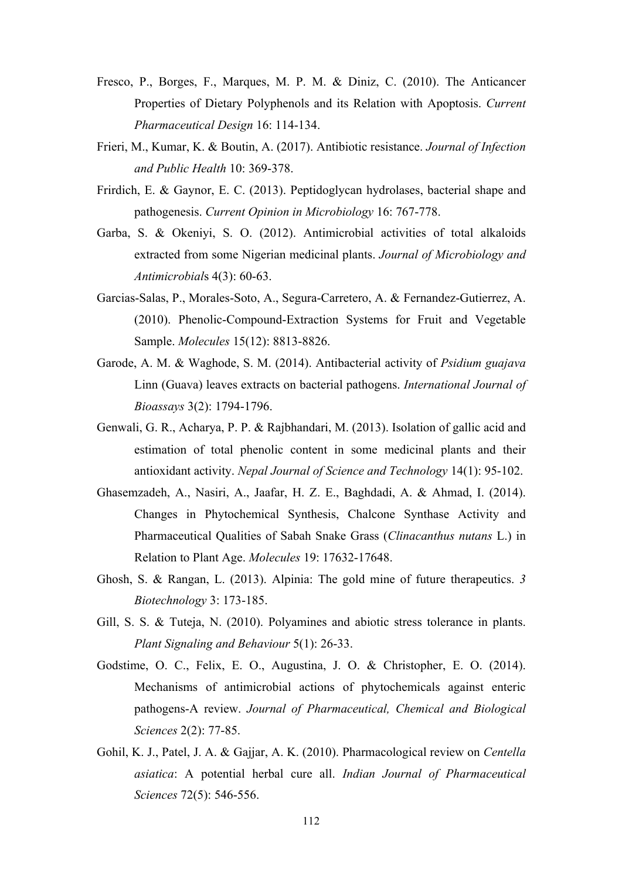- Fresco, P., Borges, F., Marques, M. P. M. & Diniz, C. (2010). The Anticancer Properties of Dietary Polyphenols and its Relation with Apoptosis. *Current Pharmaceutical Design* 16: 114-134.
- Frieri, M., Kumar, K. & Boutin, A. (2017). Antibiotic resistance. *Journal of Infection and Public Health* 10: 369-378.
- Frirdich, E. & Gaynor, E. C. (2013). Peptidoglycan hydrolases, bacterial shape and pathogenesis. *Current Opinion in Microbiology* 16: 767-778.
- Garba, S. & Okeniyi, S. O. (2012). Antimicrobial activities of total alkaloids extracted from some Nigerian medicinal plants. *Journal of Microbiology and Antimicrobial*s 4(3): 60-63.
- Garcias-Salas, P., Morales-Soto, A., Segura-Carretero, A. & Fernandez-Gutierrez, A. (2010). Phenolic-Compound-Extraction Systems for Fruit and Vegetable Sample. *Molecules* 15(12): 8813-8826.
- Garode, A. M. & Waghode, S. M. (2014). Antibacterial activity of *Psidium guajava* Linn (Guava) leaves extracts on bacterial pathogens. *International Journal of Bioassays* 3(2): 1794-1796.
- Genwali, G. R., Acharya, P. P. & Rajbhandari, M. (2013). Isolation of gallic acid and estimation of total phenolic content in some medicinal plants and their antioxidant activity. *Nepal Journal of Science and Technology* 14(1): 95-102.
- Ghasemzadeh, A., Nasiri, A., Jaafar, H. Z. E., Baghdadi, A. & Ahmad, I. (2014). Changes in Phytochemical Synthesis, Chalcone Synthase Activity and Pharmaceutical Qualities of Sabah Snake Grass (*Clinacanthus nutans* L.) in Relation to Plant Age. *Molecules* 19: 17632-17648.
- Ghosh, S. & Rangan, L. (2013). Alpinia: The gold mine of future therapeutics. *3 Biotechnology* 3: 173-185.
- Gill, S. S. & Tuteja, N. (2010). Polyamines and abiotic stress tolerance in plants. *Plant Signaling and Behaviour* 5(1): 26-33.
- Godstime, O. C., Felix, E. O., Augustina, J. O. & Christopher, E. O. (2014). Mechanisms of antimicrobial actions of phytochemicals against enteric pathogens-A review. *Journal of Pharmaceutical, Chemical and Biological Sciences* 2(2): 77-85.
- Gohil, K. J., Patel, J. A. & Gajjar, A. K. (2010). Pharmacological review on *Centella asiatica*: A potential herbal cure all. *Indian Journal of Pharmaceutical Sciences* 72(5): 546-556.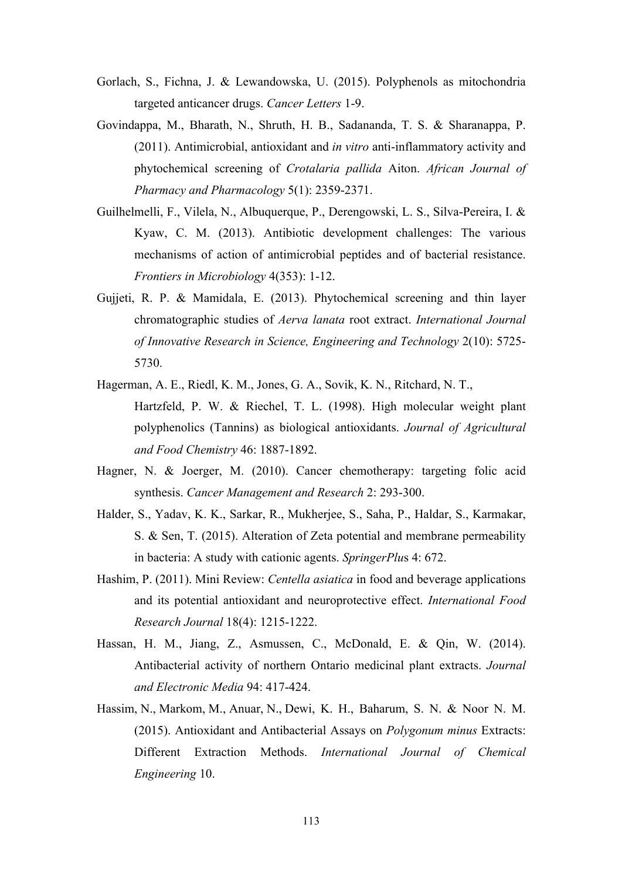- Gorlach, S., Fichna, J. & Lewandowska, U. (2015). Polyphenols as mitochondria targeted anticancer drugs. *Cancer Letters* 1-9.
- Govindappa, M., Bharath, N., Shruth, H. B., Sadananda, T. S. & Sharanappa, P. (2011). Antimicrobial, antioxidant and *in vitro* anti-inflammatory activity and phytochemical screening of *Crotalaria pallida* Aiton. *African Journal of Pharmacy and Pharmacology* 5(1): 2359-2371.
- Guilhelmelli, F., Vilela, N., Albuquerque, P., Derengowski, L. S., Silva-Pereira, I. & Kyaw, C. M. (2013). Antibiotic development challenges: The various mechanisms of action of antimicrobial peptides and of bacterial resistance. *Frontiers in Microbiology* 4(353): 1-12.
- Gujjeti, R. P. & Mamidala, E. (2013). Phytochemical screening and thin layer chromatographic studies of *Aerva lanata* root extract. *International Journal of Innovative Research in Science, Engineering and Technology* 2(10): 5725- 5730.
- Hagerman, A. E., Riedl, K. M., Jones, G. A., Sovik, K. N., Ritchard, N. T., Hartzfeld, P. W. & Riechel, T. L. (1998). High molecular weight plant polyphenolics (Tannins) as biological antioxidants. *Journal of Agricultural and Food Chemistry* 46: 1887-1892.
- Hagner, N. & Joerger, M. (2010). Cancer chemotherapy: targeting folic acid synthesis. *Cancer Management and Research* 2: 293-300.
- Halder, S., Yadav, K. K., Sarkar, R., Mukherjee, S., Saha, P., Haldar, S., Karmakar, S. & Sen, T. (2015). Alteration of Zeta potential and membrane permeability in bacteria: A study with cationic agents. *SpringerPlu*s 4: 672.
- Hashim, P. (2011). Mini Review: *Centella asiatica* in food and beverage applications and its potential antioxidant and neuroprotective effect. *International Food Research Journal* 18(4): 1215-1222.
- Hassan, H. M., Jiang, Z., Asmussen, C., McDonald, E. & Qin, W. (2014). Antibacterial activity of northern Ontario medicinal plant extracts. *Journal and Electronic Media* 94: 417-424.
- Hassim, N., Markom, M., Anuar, N., Dewi, K. H., Baharum, S. N. & Noor N. M. (2015). Antioxidant and Antibacterial Assays on *Polygonum minus* Extracts: Different Extraction Methods. *International Journal of Chemical Engineering* 10.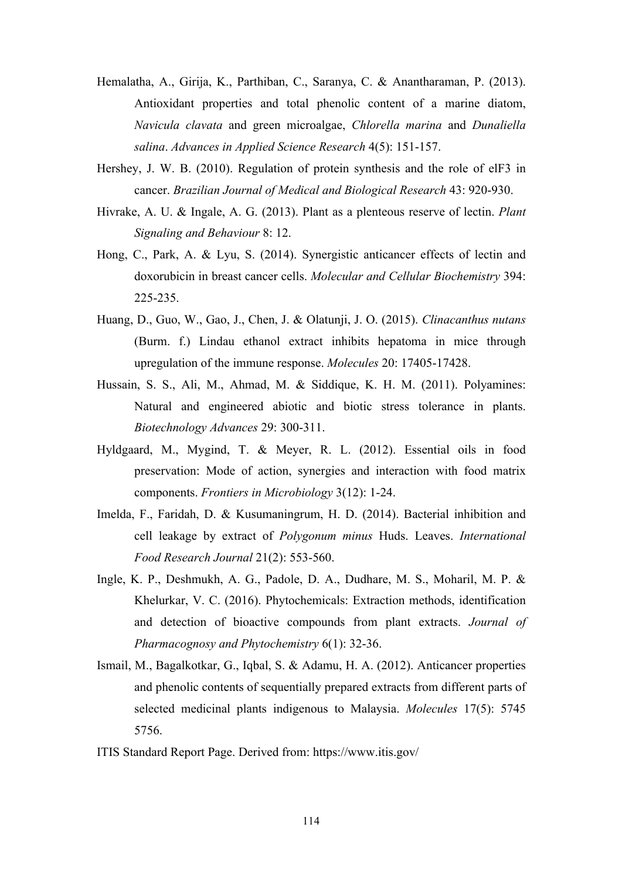- Hemalatha, A., Girija, K., Parthiban, C., Saranya, C. & Anantharaman, P. (2013). Antioxidant properties and total phenolic content of a marine diatom, *Navicula clavata* and green microalgae, *Chlorella marina* and *Dunaliella salina*. *Advances in Applied Science Research* 4(5): 151-157.
- Hershey, J. W. B. (2010). Regulation of protein synthesis and the role of elF3 in cancer. *Brazilian Journal of Medical and Biological Research* 43: 920-930.
- Hivrake, A. U. & Ingale, A. G. (2013). Plant as a plenteous reserve of lectin. *Plant Signaling and Behaviour* 8: 12.
- Hong, C., Park, A. & Lyu, S. (2014). Synergistic anticancer effects of lectin and doxorubicin in breast cancer cells. *Molecular and Cellular Biochemistry* 394: 225-235.
- Huang, D., Guo, W., Gao, J., Chen, J. & Olatunji, J. O. (2015). *Clinacanthus nutans* (Burm. f.) Lindau ethanol extract inhibits hepatoma in mice through upregulation of the immune response. *Molecules* 20: 17405-17428.
- Hussain, S. S., Ali, M., Ahmad, M. & Siddique, K. H. M. (2011). Polyamines: Natural and engineered abiotic and biotic stress tolerance in plants. *Biotechnology Advances* 29: 300-311.
- Hyldgaard, M., Mygind, T. & Meyer, R. L. (2012). Essential oils in food preservation: Mode of action, synergies and interaction with food matrix components. *Frontiers in Microbiology* 3(12): 1-24.
- Imelda, F., Faridah, D. & Kusumaningrum, H. D. (2014). Bacterial inhibition and cell leakage by extract of *Polygonum minus* Huds. Leaves. *International Food Research Journal* 21(2): 553-560.
- Ingle, K. P., Deshmukh, A. G., Padole, D. A., Dudhare, M. S., Moharil, M. P. & Khelurkar, V. C. (2016). Phytochemicals: Extraction methods, identification and detection of bioactive compounds from plant extracts. *Journal of Pharmacognosy and Phytochemistry* 6(1): 32-36.
- Ismail, M., Bagalkotkar, G., Iqbal, S. & Adamu, H. A. (2012). Anticancer properties and phenolic contents of sequentially prepared extracts from different parts of selected medicinal plants indigenous to Malaysia. *Molecules* 17(5): 5745 5756.
- ITIS Standard Report Page. Derived from: https://www.itis.gov/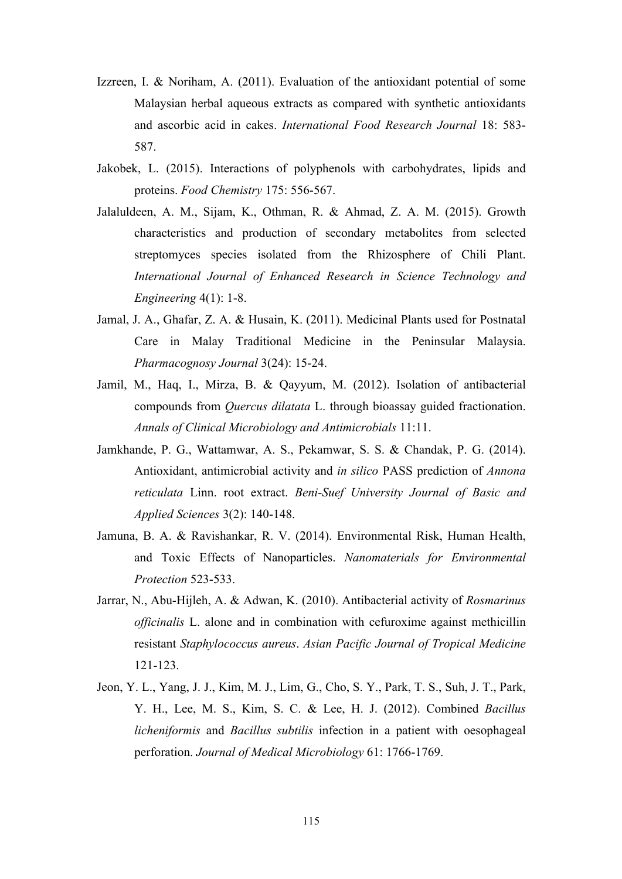- Izzreen, I. & Noriham, A. (2011). Evaluation of the antioxidant potential of some Malaysian herbal aqueous extracts as compared with synthetic antioxidants and ascorbic acid in cakes. *International Food Research Journal* 18: 583- 587.
- Jakobek, L. (2015). Interactions of polyphenols with carbohydrates, lipids and proteins. *Food Chemistry* 175: 556-567.
- Jalaluldeen, A. M., Sijam, K., Othman, R. & Ahmad, Z. A. M. (2015). Growth characteristics and production of secondary metabolites from selected streptomyces species isolated from the Rhizosphere of Chili Plant. *International Journal of Enhanced Research in Science Technology and Engineering* 4(1): 1-8.
- Jamal, J. A., Ghafar, Z. A. & Husain, K. (2011). Medicinal Plants used for Postnatal Care in Malay Traditional Medicine in the Peninsular Malaysia. *Pharmacognosy Journal* 3(24): 15-24.
- Jamil, M., Haq, I., Mirza, B. & Qayyum, M. (2012). Isolation of antibacterial compounds from *Quercus dilatata* L. through bioassay guided fractionation. *Annals of Clinical Microbiology and Antimicrobials* 11:11.
- Jamkhande, P. G., Wattamwar, A. S., Pekamwar, S. S. & Chandak, P. G. (2014). Antioxidant, antimicrobial activity and *in silico* PASS prediction of *Annona reticulata* Linn. root extract. *Beni-Suef University Journal of Basic and Applied Sciences* 3(2): 140-148.
- Jamuna, B. A. & Ravishankar, R. V. (2014). Environmental Risk, Human Health, and Toxic Effects of Nanoparticles. *Nanomaterials for Environmental Protection* 523-533.
- Jarrar, N., Abu-Hijleh, A. & Adwan, K. (2010). Antibacterial activity of *Rosmarinus officinalis* L. alone and in combination with cefuroxime against methicillin resistant *Staphylococcus aureus*. *Asian Pacific Journal of Tropical Medicine* 121-123.
- Jeon, Y. L., Yang, J. J., Kim, M. J., Lim, G., Cho, S. Y., Park, T. S., Suh, J. T., Park, Y. H., Lee, M. S., Kim, S. C. & Lee, H. J. (2012). Combined *Bacillus licheniformis* and *Bacillus subtilis* infection in a patient with oesophageal perforation. *Journal of Medical Microbiology* 61: 1766-1769.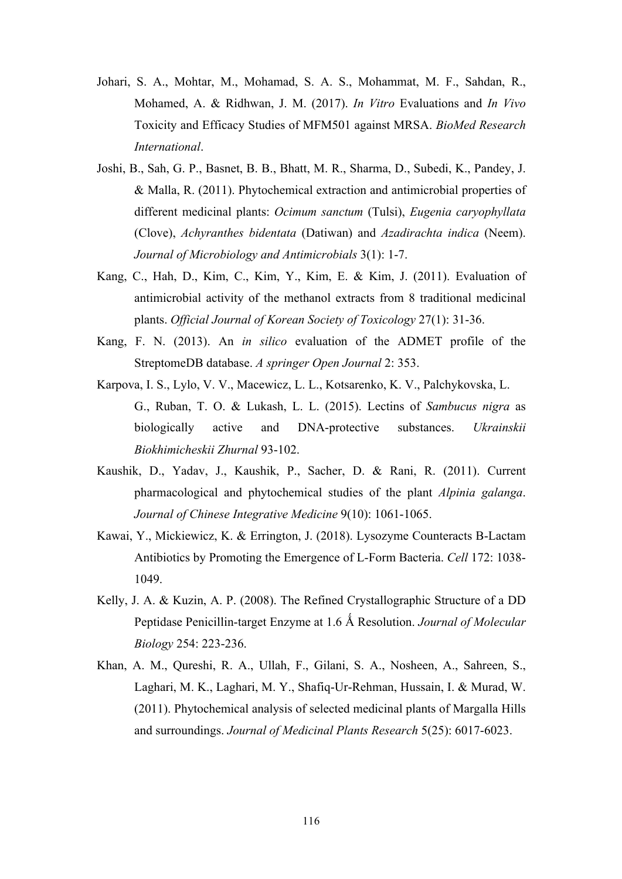- Johari, S. A., Mohtar, M., Mohamad, S. A. S., Mohammat, M. F., Sahdan, R., Mohamed, A. & Ridhwan, J. M. (2017). *In Vitro* Evaluations and *In Vivo* Toxicity and Efficacy Studies of MFM501 against MRSA. *BioMed Research International*.
- Joshi, B., Sah, G. P., Basnet, B. B., Bhatt, M. R., Sharma, D., Subedi, K., Pandey, J. & Malla, R. (2011). Phytochemical extraction and antimicrobial properties of different medicinal plants: *Ocimum sanctum* (Tulsi), *Eugenia caryophyllata* (Clove), *Achyranthes bidentata* (Datiwan) and *Azadirachta indica* (Neem). *Journal of Microbiology and Antimicrobials* 3(1): 1-7.
- Kang, C., Hah, D., Kim, C., Kim, Y., Kim, E. & Kim, J. (2011). Evaluation of antimicrobial activity of the methanol extracts from 8 traditional medicinal plants. *Official Journal of Korean Society of Toxicology* 27(1): 31-36.
- Kang, F. N. (2013). An *in silico* evaluation of the ADMET profile of the StreptomeDB database. *A springer Open Journal* 2: 353.
- Karpova, I. S., Lylo, V. V., Macewicz, L. L., Kotsarenko, K. V., Palchykovska, L. G., Ruban, T. O. & Lukash, L. L. (2015). Lectins of *Sambucus nigra* as biologically active and DNA-protective substances. *Ukrainskii Biokhimicheskii Zhurnal* 93-102.
- Kaushik, D., Yadav, J., Kaushik, P., Sacher, D. & Rani, R. (2011). Current pharmacological and phytochemical studies of the plant *Alpinia galanga*. *Journal of Chinese Integrative Medicine* 9(10): 1061-1065.
- Kawai, Y., Mickiewicz, K. & Errington, J. (2018). Lysozyme Counteracts B-Lactam Antibiotics by Promoting the Emergence of L-Form Bacteria. *Cell* 172: 1038- 1049.
- Kelly, J. A. & Kuzin, A. P. (2008). The Refined Crystallographic Structure of a DD Peptidase Penicillin-target Enzyme at 1.6 Ǻ Resolution. *Journal of Molecular Biology* 254: 223-236.
- Khan, A. M., Qureshi, R. A., Ullah, F., Gilani, S. A., Nosheen, A., Sahreen, S., Laghari, M. K., Laghari, M. Y., Shafiq-Ur-Rehman, Hussain, I. & Murad, W. (2011). Phytochemical analysis of selected medicinal plants of Margalla Hills and surroundings. *Journal of Medicinal Plants Research* 5(25): 6017-6023.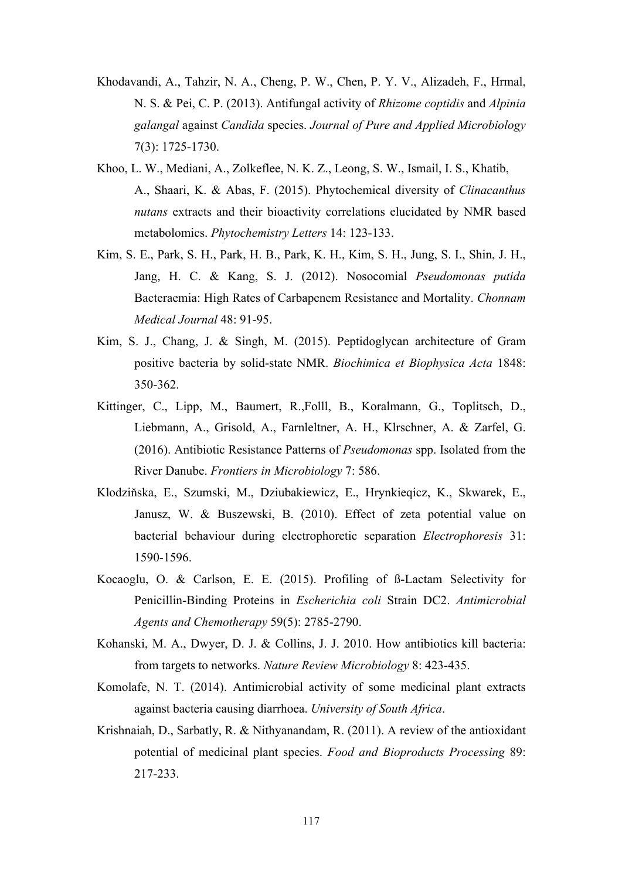- Khodavandi, A., Tahzir, N. A., Cheng, P. W., Chen, P. Y. V., Alizadeh, F., Hrmal, N. S. & Pei, C. P. (2013). Antifungal activity of *Rhizome coptidis* and *Alpinia galangal* against *Candida* species. *Journal of Pure and Applied Microbiology* 7(3): 1725-1730.
- Khoo, L. W., Mediani, A., Zolkeflee, N. K. Z., Leong, S. W., Ismail, I. S., Khatib, A., Shaari, K. & Abas, F. (2015). Phytochemical diversity of *Clinacanthus nutans* extracts and their bioactivity correlations elucidated by NMR based metabolomics. *Phytochemistry Letters* 14: 123-133.
- Kim, S. E., Park, S. H., Park, H. B., Park, K. H., Kim, S. H., Jung, S. I., Shin, J. H., Jang, H. C. & Kang, S. J. (2012). Nosocomial *Pseudomonas putida* Bacteraemia: High Rates of Carbapenem Resistance and Mortality. *Chonnam Medical Journal* 48: 91-95.
- Kim, S. J., Chang, J. & Singh, M. (2015). Peptidoglycan architecture of Gram positive bacteria by solid-state NMR. *Biochimica et Biophysica Acta* 1848: 350-362.
- Kittinger, C., Lipp, M., Baumert, R.,Folll, B., Koralmann, G., Toplitsch, D., Liebmann, A., Grisold, A., Farnleltner, A. H., Klrschner, A. & Zarfel, G. (2016). Antibiotic Resistance Patterns of *Pseudomonas* spp. Isolated from the River Danube. *Frontiers in Microbiology* 7: 586.
- Klodziňska, E., Szumski, M., Dziubakiewicz, E., Hrynkieqicz, K., Skwarek, E., Janusz, W. & Buszewski, B. (2010). Effect of zeta potential value on bacterial behaviour during electrophoretic separation *Electrophoresis* 31: 1590-1596.
- Kocaoglu, O. & Carlson, E. E. (2015). Profiling of ß-Lactam Selectivity for Penicillin-Binding Proteins in *Escherichia coli* Strain DC2. *Antimicrobial Agents and Chemotherapy* 59(5): 2785-2790.
- Kohanski, M. A., Dwyer, D. J. & Collins, J. J. 2010. How antibiotics kill bacteria: from targets to networks. *Nature Review Microbiology* 8: 423-435.
- Komolafe, N. T. (2014). Antimicrobial activity of some medicinal plant extracts against bacteria causing diarrhoea. *University of South Africa*.
- Krishnaiah, D., Sarbatly, R. & Nithyanandam, R. (2011). A review of the antioxidant potential of medicinal plant species. *Food and Bioproducts Processing* 89: 217-233.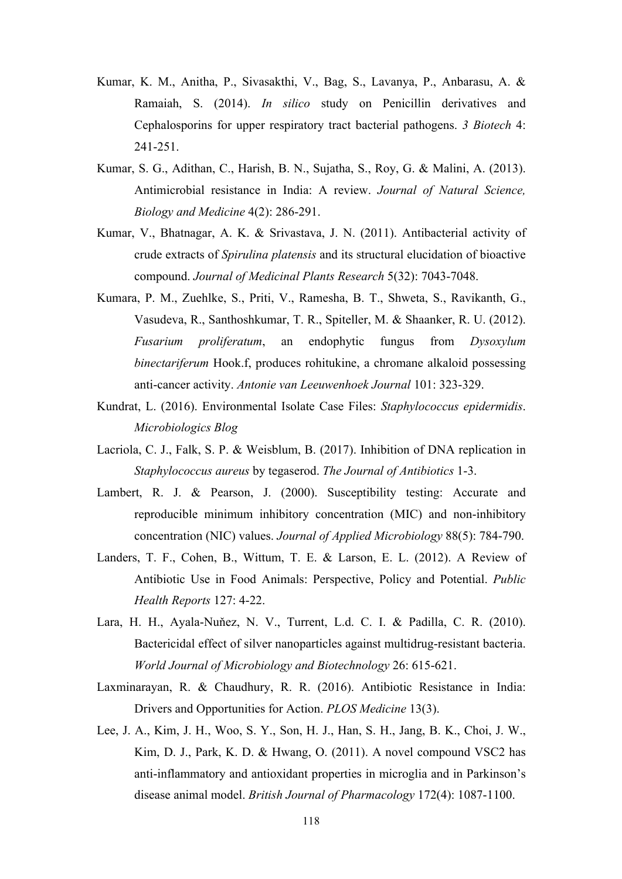- Kumar, K. M., Anitha, P., Sivasakthi, V., Bag, S., Lavanya, P., Anbarasu, A. & Ramaiah, S. (2014). *In silico* study on Penicillin derivatives and Cephalosporins for upper respiratory tract bacterial pathogens. *3 Biotech* 4: 241-251.
- Kumar, S. G., Adithan, C., Harish, B. N., Sujatha, S., Roy, G. & Malini, A. (2013). Antimicrobial resistance in India: A review. *Journal of Natural Science, Biology and Medicine* 4(2): 286-291.
- Kumar, V., Bhatnagar, A. K. & Srivastava, J. N. (2011). Antibacterial activity of crude extracts of *Spirulina platensis* and its structural elucidation of bioactive compound. *Journal of Medicinal Plants Research* 5(32): 7043-7048.
- Kumara, P. M., Zuehlke, S., Priti, V., Ramesha, B. T., Shweta, S., Ravikanth, G., Vasudeva, R., Santhoshkumar, T. R., Spiteller, M. & Shaanker, R. U. (2012). *Fusarium proliferatum*, an endophytic fungus from *Dysoxylum binectariferum* Hook.f, produces rohitukine, a chromane alkaloid possessing anti-cancer activity. *Antonie van Leeuwenhoek Journal* 101: 323-329.
- Kundrat, L. (2016). Environmental Isolate Case Files: *Staphylococcus epidermidis*. *Microbiologics Blog*
- Lacriola, C. J., Falk, S. P. & Weisblum, B. (2017). Inhibition of DNA replication in *Staphylococcus aureus* by tegaserod. *The Journal of Antibiotics* 1-3.
- Lambert, R. J. & Pearson, J. (2000). Susceptibility testing: Accurate and reproducible minimum inhibitory concentration (MIC) and non-inhibitory concentration (NIC) values. *Journal of Applied Microbiology* 88(5): 784-790.
- Landers, T. F., Cohen, B., Wittum, T. E. & Larson, E. L. (2012). A Review of Antibiotic Use in Food Animals: Perspective, Policy and Potential. *Public Health Reports* 127: 4-22.
- Lara, H. H., Ayala-Nuňez, N. V., Turrent, L.d. C. I. & Padilla, C. R. (2010). Bactericidal effect of silver nanoparticles against multidrug-resistant bacteria. *World Journal of Microbiology and Biotechnology* 26: 615-621.
- Laxminarayan, R. & Chaudhury, R. R. (2016). Antibiotic Resistance in India: Drivers and Opportunities for Action. *PLOS Medicine* 13(3).
- Lee, J. A., Kim, J. H., Woo, S. Y., Son, H. J., Han, S. H., Jang, B. K., Choi, J. W., Kim, D. J., Park, K. D. & Hwang, O. (2011). A novel compound VSC2 has anti-inflammatory and antioxidant properties in microglia and in Parkinson's disease animal model. *British Journal of Pharmacology* 172(4): 1087-1100.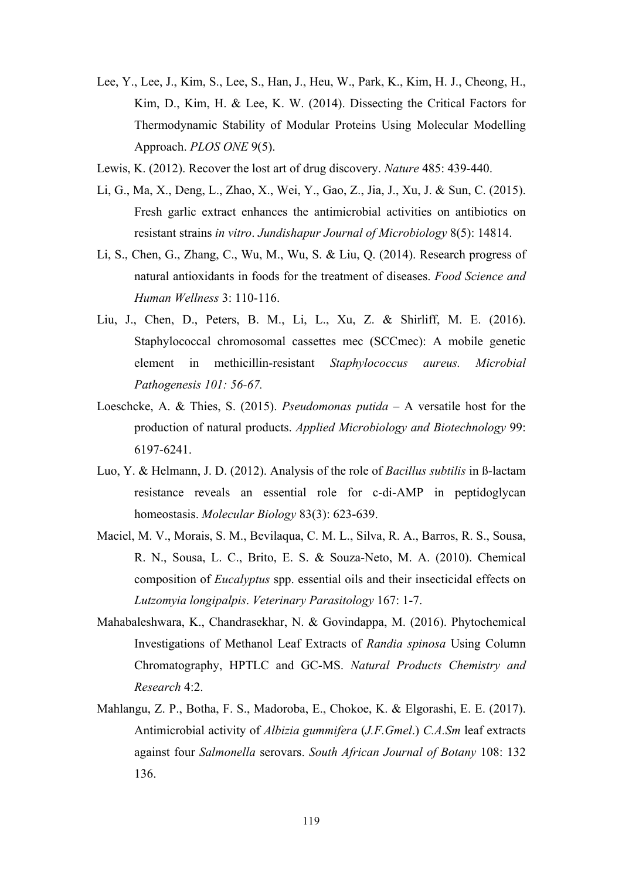- Lee, Y., Lee, J., Kim, S., Lee, S., Han, J., Heu, W., Park, K., Kim, H. J., Cheong, H., Kim, D., Kim, H. & Lee, K. W. (2014). Dissecting the Critical Factors for Thermodynamic Stability of Modular Proteins Using Molecular Modelling Approach. *PLOS ONE* 9(5).
- Lewis, K. (2012). Recover the lost art of drug discovery. *Nature* 485: 439-440.
- Li, G., Ma, X., Deng, L., Zhao, X., Wei, Y., Gao, Z., Jia, J., Xu, J. & Sun, C. (2015). Fresh garlic extract enhances the antimicrobial activities on antibiotics on resistant strains *in vitro*. *Jundishapur Journal of Microbiology* 8(5): 14814.
- Li, S., Chen, G., Zhang, C., Wu, M., Wu, S. & Liu, Q. (2014). Research progress of natural antioxidants in foods for the treatment of diseases. *Food Science and Human Wellness* 3: 110-116.
- Liu, J., Chen, D., Peters, B. M., Li, L., Xu, Z. & Shirliff, M. E. (2016). Staphylococcal chromosomal cassettes mec (SCCmec): A mobile genetic element in methicillin-resistant *Staphylococcus aureus. Microbial Pathogenesis 101: 56-67.*
- Loeschcke, A. & Thies, S. (2015). *Pseudomonas putida* A versatile host for the production of natural products. *Applied Microbiology and Biotechnology* 99: 6197-6241.
- Luo, Y. & Helmann, J. D. (2012). Analysis of the role of *Bacillus subtilis* in ß-lactam resistance reveals an essential role for c-di-AMP in peptidoglycan homeostasis. *Molecular Biology* 83(3): 623-639.
- Maciel, M. V., Morais, S. M., Bevilaqua, C. M. L., Silva, R. A., Barros, R. S., Sousa, R. N., Sousa, L. C., Brito, E. S. & Souza-Neto, M. A. (2010). Chemical composition of *Eucalyptus* spp. essential oils and their insecticidal effects on *Lutzomyia longipalpis*. *Veterinary Parasitology* 167: 1-7.
- Mahabaleshwara, K., Chandrasekhar, N. & Govindappa, M. (2016). Phytochemical Investigations of Methanol Leaf Extracts of *Randia spinosa* Using Column Chromatography, HPTLC and GC-MS. *Natural Products Chemistry and Research* 4:2.
- Mahlangu, Z. P., Botha, F. S., Madoroba, E., Chokoe, K. & Elgorashi, E. E. (2017). Antimicrobial activity of *Albizia gummifera* (*J.F.Gmel*.) *C.A.Sm* leaf extracts against four *Salmonella* serovars. *South African Journal of Botany* 108: 132 136.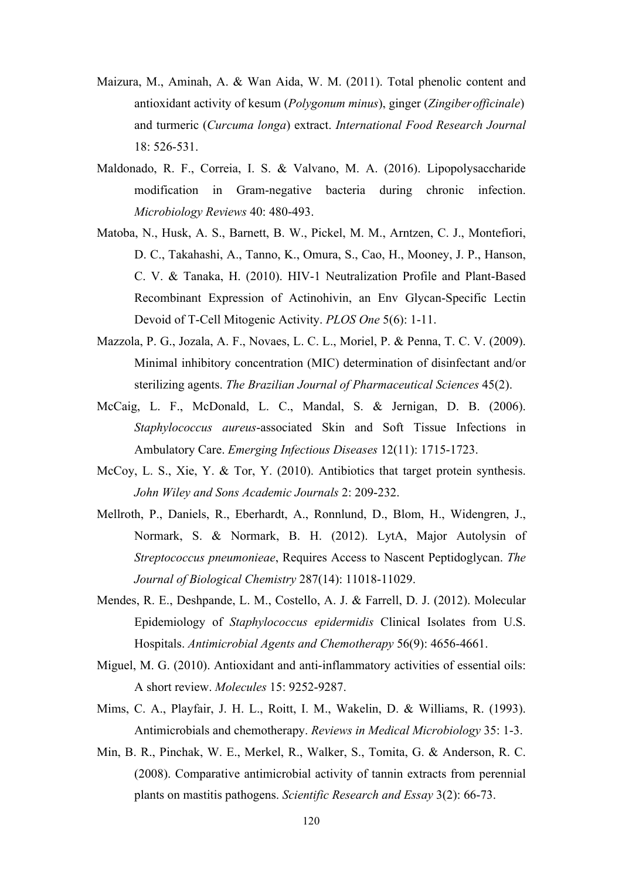- Maizura, M., Aminah, A. & Wan Aida, W. M. (2011). Total phenolic content and antioxidant activity of kesum (*Polygonum minus*), ginger (*Zingiberofficinale*) and turmeric (*Curcuma longa*) extract. *International Food Research Journal* 18: 526-531.
- Maldonado, R. F., Correia, I. S. & Valvano, M. A. (2016). Lipopolysaccharide modification in Gram-negative bacteria during chronic infection. *Microbiology Reviews* 40: 480-493.
- Matoba, N., Husk, A. S., Barnett, B. W., Pickel, M. M., Arntzen, C. J., Montefiori, D. C., Takahashi, A., Tanno, K., Omura, S., Cao, H., Mooney, J. P., Hanson, C. V. & Tanaka, H. (2010). HIV-1 Neutralization Profile and Plant-Based Recombinant Expression of Actinohivin, an Env Glycan-Specific Lectin Devoid of T-Cell Mitogenic Activity. *PLOS One* 5(6): 1-11.
- Mazzola, P. G., Jozala, A. F., Novaes, L. C. L., Moriel, P. & Penna, T. C. V. (2009). Minimal inhibitory concentration (MIC) determination of disinfectant and/or sterilizing agents. *The Brazilian Journal of Pharmaceutical Sciences* 45(2).
- McCaig, L. F., McDonald, L. C., Mandal, S. & Jernigan, D. B. (2006). *Staphylococcus aureus*-associated Skin and Soft Tissue Infections in Ambulatory Care. *Emerging Infectious Diseases* 12(11): 1715-1723.
- McCoy, L. S., Xie, Y. & Tor, Y. (2010). Antibiotics that target protein synthesis. *John Wiley and Sons Academic Journals* 2: 209-232.
- Mellroth, P., Daniels, R., Eberhardt, A., Ronnlund, D., Blom, H., Widengren, J., Normark, S. & Normark, B. H. (2012). LytA, Major Autolysin of *Streptococcus pneumonieae*, Requires Access to Nascent Peptidoglycan. *The Journal of Biological Chemistry* 287(14): 11018-11029.
- Mendes, R. E., Deshpande, L. M., Costello, A. J. & Farrell, D. J. (2012). Molecular Epidemiology of *Staphylococcus epidermidis* Clinical Isolates from U.S. Hospitals. *Antimicrobial Agents and Chemotherapy* 56(9): 4656-4661.
- Miguel, M. G. (2010). Antioxidant and anti-inflammatory activities of essential oils: A short review. *Molecules* 15: 9252-9287.
- Mims, C. A., Playfair, J. H. L., Roitt, I. M., Wakelin, D. & Williams, R. (1993). Antimicrobials and chemotherapy. *Reviews in Medical Microbiology* 35: 1-3.
- Min, B. R., Pinchak, W. E., Merkel, R., Walker, S., Tomita, G. & Anderson, R. C. (2008). Comparative antimicrobial activity of tannin extracts from perennial plants on mastitis pathogens. *Scientific Research and Essay* 3(2): 66-73.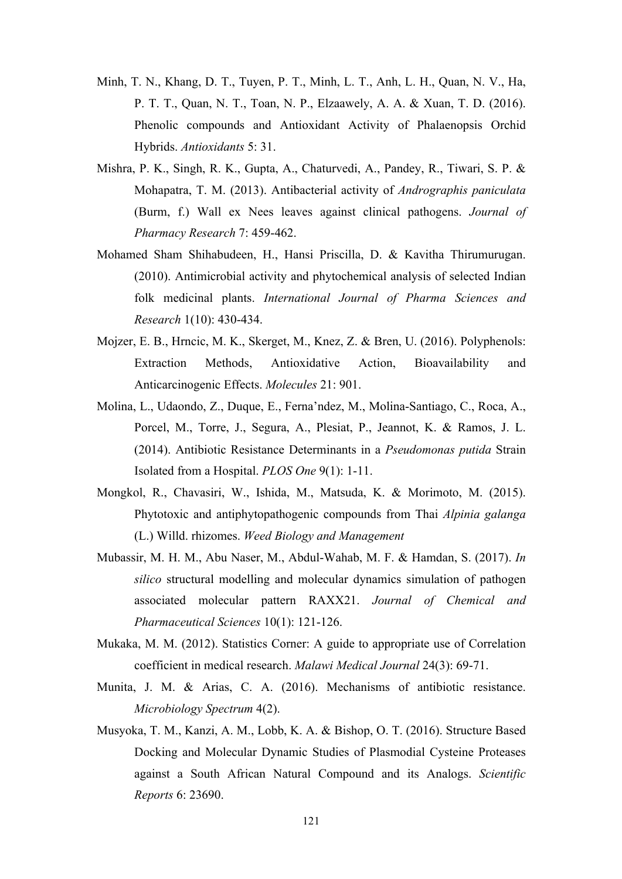- Minh, T. N., Khang, D. T., Tuyen, P. T., Minh, L. T., Anh, L. H., Quan, N. V., Ha, P. T. T., Quan, N. T., Toan, N. P., Elzaawely, A. A. & Xuan, T. D. (2016). Phenolic compounds and Antioxidant Activity of Phalaenopsis Orchid Hybrids. *Antioxidants* 5: 31.
- Mishra, P. K., Singh, R. K., Gupta, A., Chaturvedi, A., Pandey, R., Tiwari, S. P. & Mohapatra, T. M. (2013). Antibacterial activity of *Andrographis paniculata* (Burm, f.) Wall ex Nees leaves against clinical pathogens. *Journal of Pharmacy Research* 7: 459-462.
- Mohamed Sham Shihabudeen, H., Hansi Priscilla, D. & Kavitha Thirumurugan. (2010). Antimicrobial activity and phytochemical analysis of selected Indian folk medicinal plants. *International Journal of Pharma Sciences and Research* 1(10): 430-434.
- Mojzer, E. B., Hrncic, M. K., Skerget, M., Knez, Z. & Bren, U. (2016). Polyphenols: Extraction Methods, Antioxidative Action, Bioavailability and Anticarcinogenic Effects. *Molecules* 21: 901.
- Molina, L., Udaondo, Z., Duque, E., Ferna'ndez, M., Molina-Santiago, C., Roca, A., Porcel, M., Torre, J., Segura, A., Plesiat, P., Jeannot, K. & Ramos, J. L. (2014). Antibiotic Resistance Determinants in a *Pseudomonas putida* Strain Isolated from a Hospital. *PLOS One* 9(1): 1-11.
- Mongkol, R., Chavasiri, W., Ishida, M., Matsuda, K. & Morimoto, M. (2015). Phytotoxic and antiphytopathogenic compounds from Thai *Alpinia galanga* (L.) Willd. rhizomes. *Weed Biology and Management*
- Mubassir, M. H. M., Abu Naser, M., Abdul-Wahab, M. F. & Hamdan, S. (2017). *In silico* structural modelling and molecular dynamics simulation of pathogen associated molecular pattern RAXX21. *Journal of Chemical and Pharmaceutical Sciences* 10(1): 121-126.
- Mukaka, M. M. (2012). Statistics Corner: A guide to appropriate use of Correlation coefficient in medical research. *Malawi Medical Journal* 24(3): 69-71.
- Munita, J. M. & Arias, C. A. (2016). Mechanisms of antibiotic resistance. *Microbiology Spectrum* 4(2).
- Musyoka, T. M., Kanzi, A. M., Lobb, K. A. & Bishop, O. T. (2016). Structure Based Docking and Molecular Dynamic Studies of Plasmodial Cysteine Proteases against a South African Natural Compound and its Analogs. *Scientific Reports* 6: 23690.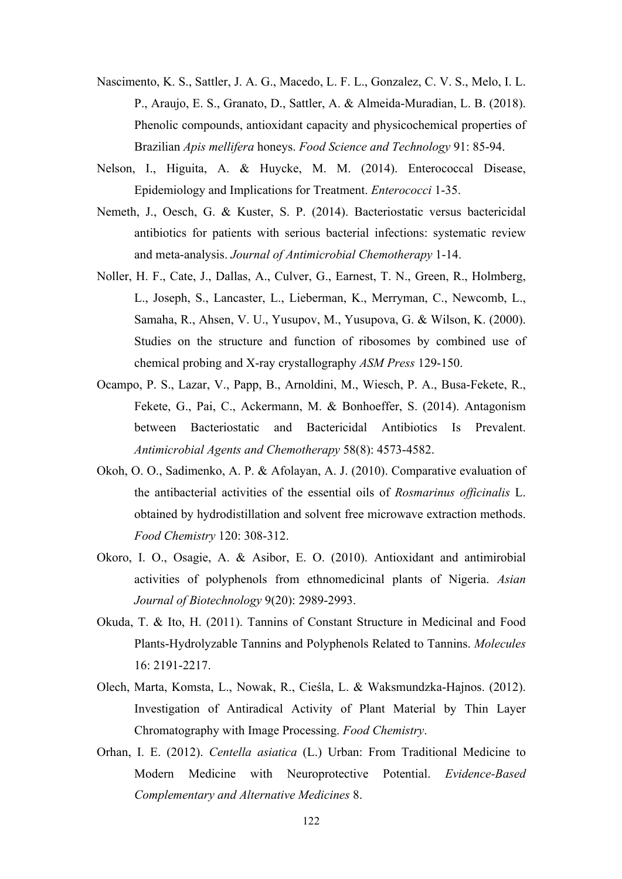- Nascimento, K. S., Sattler, J. A. G., Macedo, L. F. L., Gonzalez, C. V. S., Melo, I. L. P., Araujo, E. S., Granato, D., Sattler, A. & Almeida-Muradian, L. B. (2018). Phenolic compounds, antioxidant capacity and physicochemical properties of Brazilian *Apis mellifera* honeys. *Food Science and Technology* 91: 85-94.
- Nelson, I., Higuita, A. & Huycke, M. M. (2014). Enterococcal Disease, Epidemiology and Implications for Treatment. *Enterococci* 1-35.
- Nemeth, J., Oesch, G. & Kuster, S. P. (2014). Bacteriostatic versus bactericidal antibiotics for patients with serious bacterial infections: systematic review and meta-analysis. *Journal of Antimicrobial Chemotherapy* 1-14.
- Noller, H. F., Cate, J., Dallas, A., Culver, G., Earnest, T. N., Green, R., Holmberg, L., Joseph, S., Lancaster, L., Lieberman, K., Merryman, C., Newcomb, L., Samaha, R., Ahsen, V. U., Yusupov, M., Yusupova, G. & Wilson, K. (2000). Studies on the structure and function of ribosomes by combined use of chemical probing and X-ray crystallography *ASM Press* 129-150.
- Ocampo, P. S., Lazar, V., Papp, B., Arnoldini, M., Wiesch, P. A., Busa-Fekete, R., Fekete, G., Pai, C., Ackermann, M. & Bonhoeffer, S. (2014). Antagonism between Bacteriostatic and Bactericidal Antibiotics Is Prevalent. *Antimicrobial Agents and Chemotherapy* 58(8): 4573-4582.
- Okoh, O. O., Sadimenko, A. P. & Afolayan, A. J. (2010). Comparative evaluation of the antibacterial activities of the essential oils of *Rosmarinus officinalis* L. obtained by hydrodistillation and solvent free microwave extraction methods. *Food Chemistry* 120: 308-312.
- Okoro, I. O., Osagie, A. & Asibor, E. O. (2010). Antioxidant and antimirobial activities of polyphenols from ethnomedicinal plants of Nigeria. *Asian Journal of Biotechnology* 9(20): 2989-2993.
- Okuda, T. & Ito, H. (2011). Tannins of Constant Structure in Medicinal and Food Plants-Hydrolyzable Tannins and Polyphenols Related to Tannins. *Molecules* 16: 2191-2217.
- Olech, Marta, Komsta, L., Nowak, R., Cieśla, L. & Waksmundzka-Hajnos. (2012). Investigation of Antiradical Activity of Plant Material by Thin Layer Chromatography with Image Processing. *Food Chemistry*.
- Orhan, I. E. (2012). *Centella asiatica* (L.) Urban: From Traditional Medicine to Modern Medicine with Neuroprotective Potential. *Evidence-Based Complementary and Alternative Medicines* 8.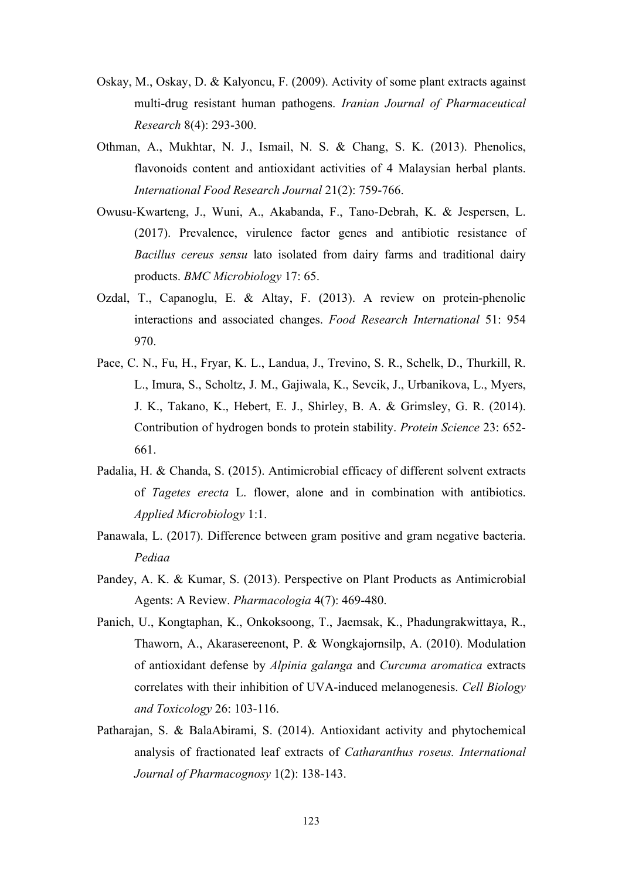- Oskay, M., Oskay, D. & Kalyoncu, F. (2009). Activity of some plant extracts against multi-drug resistant human pathogens. *Iranian Journal of Pharmaceutical Research* 8(4): 293-300.
- Othman, A., Mukhtar, N. J., Ismail, N. S. & Chang, S. K. (2013). Phenolics, flavonoids content and antioxidant activities of 4 Malaysian herbal plants. *International Food Research Journal* 21(2): 759-766.
- Owusu-Kwarteng, J., Wuni, A., Akabanda, F., Tano-Debrah, K. & Jespersen, L. (2017). Prevalence, virulence factor genes and antibiotic resistance of *Bacillus cereus sensu* lato isolated from dairy farms and traditional dairy products. *BMC Microbiology* 17: 65.
- Ozdal, T., Capanoglu, E. & Altay, F. (2013). A review on protein-phenolic interactions and associated changes. *Food Research International* 51: 954 970.
- Pace, C. N., Fu, H., Fryar, K. L., Landua, J., Trevino, S. R., Schelk, D., Thurkill, R. L., Imura, S., Scholtz, J. M., Gajiwala, K., Sevcik, J., Urbanikova, L., Myers, J. K., Takano, K., Hebert, E. J., Shirley, B. A. & Grimsley, G. R. (2014). Contribution of hydrogen bonds to protein stability. *Protein Science* 23: 652- 661.
- Padalia, H. & Chanda, S. (2015). Antimicrobial efficacy of different solvent extracts of *Tagetes erecta* L. flower, alone and in combination with antibiotics. *Applied Microbiology* 1:1.
- Panawala, L. (2017). Difference between gram positive and gram negative bacteria. *Pediaa*
- Pandey, A. K. & Kumar, S. (2013). Perspective on Plant Products as Antimicrobial Agents: A Review. *Pharmacologia* 4(7): 469-480.
- Panich, U., Kongtaphan, K., Onkoksoong, T., Jaemsak, K., Phadungrakwittaya, R., Thaworn, A., Akarasereenont, P. & Wongkajornsilp, A. (2010). Modulation of antioxidant defense by *Alpinia galanga* and *Curcuma aromatica* extracts correlates with their inhibition of UVA-induced melanogenesis. *Cell Biology and Toxicology* 26: 103-116.
- Patharajan, S. & BalaAbirami, S. (2014). Antioxidant activity and phytochemical analysis of fractionated leaf extracts of *Catharanthus roseus. International Journal of Pharmacognosy* 1(2): 138-143.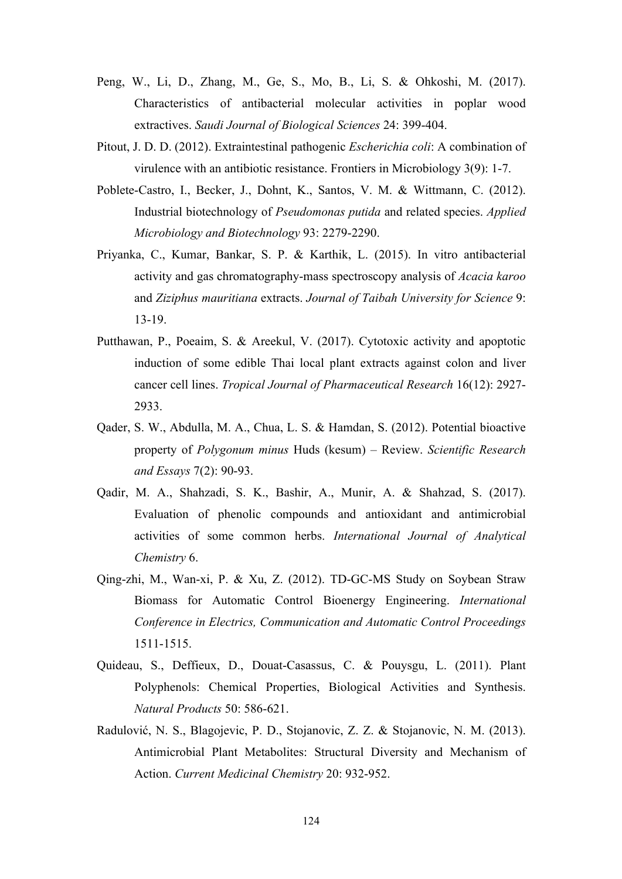- Peng, W., Li, D., Zhang, M., Ge, S., Mo, B., Li, S. & Ohkoshi, M. (2017). Characteristics of antibacterial molecular activities in poplar wood extractives. *Saudi Journal of Biological Sciences* 24: 399-404.
- Pitout, J. D. D. (2012). Extraintestinal pathogenic *Escherichia coli*: A combination of virulence with an antibiotic resistance. Frontiers in Microbiology 3(9): 1-7.
- Poblete-Castro, I., Becker, J., Dohnt, K., Santos, V. M. & Wittmann, C. (2012). Industrial biotechnology of *Pseudomonas putida* and related species. *Applied Microbiology and Biotechnology* 93: 2279-2290.
- Priyanka, C., Kumar, Bankar, S. P. & Karthik, L. (2015). In vitro antibacterial activity and gas chromatography-mass spectroscopy analysis of *Acacia karoo* and *Ziziphus mauritiana* extracts. *Journal of Taibah University for Science* 9: 13-19.
- Putthawan, P., Poeaim, S. & Areekul, V. (2017). Cytotoxic activity and apoptotic induction of some edible Thai local plant extracts against colon and liver cancer cell lines. *Tropical Journal of Pharmaceutical Research* 16(12): 2927- 2933.
- Qader, S. W., Abdulla, M. A., Chua, L. S. & Hamdan, S. (2012). Potential bioactive property of *Polygonum minus* Huds (kesum) – Review. *Scientific Research and Essays* 7(2): 90-93.
- Qadir, M. A., Shahzadi, S. K., Bashir, A., Munir, A. & Shahzad, S. (2017). Evaluation of phenolic compounds and antioxidant and antimicrobial activities of some common herbs. *International Journal of Analytical Chemistry* 6.
- Qing-zhi, M., Wan-xi, P. & Xu, Z. (2012). TD-GC-MS Study on Soybean Straw Biomass for Automatic Control Bioenergy Engineering. *International Conference in Electrics, Communication and Automatic Control Proceedings* 1511-1515.
- Quideau, S., Deffieux, D., Douat-Casassus, C. & Pouysgu, L. (2011). Plant Polyphenols: Chemical Properties, Biological Activities and Synthesis. *Natural Products* 50: 586-621.
- Radulović, N. S., Blagojevic, P. D., Stojanovic, Z. Z. & Stojanovic, N. M. (2013). Antimicrobial Plant Metabolites: Structural Diversity and Mechanism of Action. *Current Medicinal Chemistry* 20: 932-952.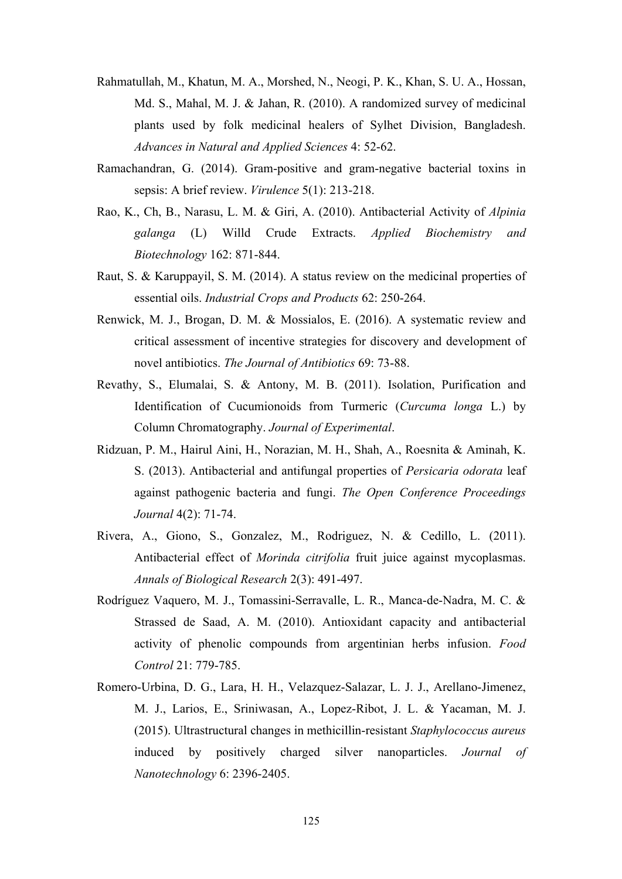- Rahmatullah, M., Khatun, M. A., Morshed, N., Neogi, P. K., Khan, S. U. A., Hossan, Md. S., Mahal, M. J. & Jahan, R. (2010). A randomized survey of medicinal plants used by folk medicinal healers of Sylhet Division, Bangladesh. *Advances in Natural and Applied Sciences* 4: 52-62.
- Ramachandran, G. (2014). Gram-positive and gram-negative bacterial toxins in sepsis: A brief review. *Virulence* 5(1): 213-218.
- Rao, K., Ch, B., Narasu, L. M. & Giri, A. (2010). Antibacterial Activity of *Alpinia galanga* (L) Willd Crude Extracts. *Applied Biochemistry and Biotechnology* 162: 871-844.
- Raut, S. & Karuppayil, S. M. (2014). A status review on the medicinal properties of essential oils. *Industrial Crops and Products* 62: 250-264.
- Renwick, M. J., Brogan, D. M. & Mossialos, E. (2016). A systematic review and critical assessment of incentive strategies for discovery and development of novel antibiotics. *The Journal of Antibiotics* 69: 73-88.
- Revathy, S., Elumalai, S. & Antony, M. B. (2011). Isolation, Purification and Identification of Cucumionoids from Turmeric (*Curcuma longa* L.) by Column Chromatography. *Journal of Experimental*.
- Ridzuan, P. M., Hairul Aini, H., Norazian, M. H., Shah, A., Roesnita & Aminah, K. S. (2013). Antibacterial and antifungal properties of *Persicaria odorata* leaf against pathogenic bacteria and fungi. *The Open Conference Proceedings Journal* 4(2): 71-74.
- Rivera, A., Giono, S., Gonzalez, M., Rodriguez, N. & Cedillo, L. (2011). Antibacterial effect of *Morinda citrifolia* fruit juice against mycoplasmas. *Annals of Biological Research* 2(3): 491-497.
- Rodríguez Vaquero, M. J., Tomassini-Serravalle, L. R., Manca-de-Nadra, M. C. & Strassed de Saad, A. M. (2010). Antioxidant capacity and antibacterial activity of phenolic compounds from argentinian herbs infusion. *Food Control* 21: 779-785.
- Romero-Urbina, D. G., Lara, H. H., Velazquez-Salazar, L. J. J., Arellano-Jimenez, M. J., Larios, E., Sriniwasan, A., Lopez-Ribot, J. L. & Yacaman, M. J. (2015). Ultrastructural changes in methicillin-resistant *Staphylococcus aureus* induced by positively charged silver nanoparticles. *Journal of Nanotechnology* 6: 2396-2405.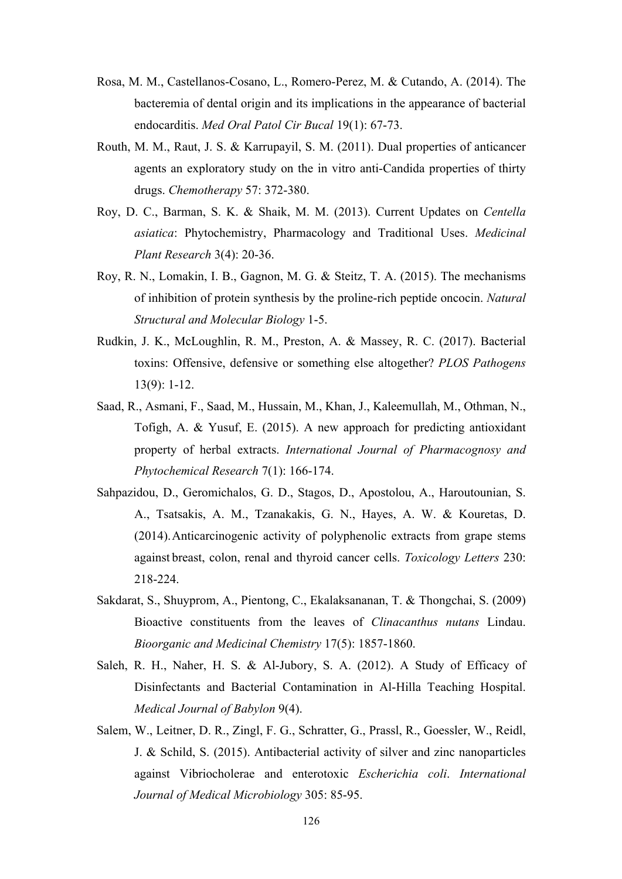- Rosa, M. M., Castellanos-Cosano, L., Romero-Perez, M. & Cutando, A. (2014). The bacteremia of dental origin and its implications in the appearance of bacterial endocarditis. *Med Oral Patol Cir Bucal* 19(1): 67-73.
- Routh, M. M., Raut, J. S. & Karrupayil, S. M. (2011). Dual properties of anticancer agents an exploratory study on the in vitro anti-Candida properties of thirty drugs. *Chemotherapy* 57: 372-380.
- Roy, D. C., Barman, S. K. & Shaik, M. M. (2013). Current Updates on *Centella asiatica*: Phytochemistry, Pharmacology and Traditional Uses. *Medicinal Plant Research* 3(4): 20-36.
- Roy, R. N., Lomakin, I. B., Gagnon, M. G. & Steitz, T. A. (2015). The mechanisms of inhibition of protein synthesis by the proline-rich peptide oncocin. *Natural Structural and Molecular Biology* 1-5.
- Rudkin, J. K., McLoughlin, R. M., Preston, A. & Massey, R. C. (2017). Bacterial toxins: Offensive, defensive or something else altogether? *PLOS Pathogens* 13(9): 1-12.
- Saad, R., Asmani, F., Saad, M., Hussain, M., Khan, J., Kaleemullah, M., Othman, N., Tofigh, A. & Yusuf, E. (2015). A new approach for predicting antioxidant property of herbal extracts. *International Journal of Pharmacognosy and Phytochemical Research* 7(1): 166-174.
- Sahpazidou, D., Geromichalos, G. D., Stagos, D., Apostolou, A., Haroutounian, S. A., Tsatsakis, A. M., Tzanakakis, G. N., Hayes, A. W. & Kouretas, D. (2014).Anticarcinogenic activity of polyphenolic extracts from grape stems against breast, colon, renal and thyroid cancer cells. *Toxicology Letters* 230: 218-224.
- Sakdarat, S., Shuyprom, A., Pientong, C., Ekalaksananan, T. & Thongchai, S. (2009) Bioactive constituents from the leaves of *Clinacanthus nutans* Lindau. *Bioorganic and Medicinal Chemistry* 17(5): 1857-1860.
- Saleh, R. H., Naher, H. S. & Al-Jubory, S. A. (2012). A Study of Efficacy of Disinfectants and Bacterial Contamination in Al-Hilla Teaching Hospital. *Medical Journal of Babylon* 9(4).
- Salem, W., Leitner, D. R., Zingl, F. G., Schratter, G., Prassl, R., Goessler, W., Reidl, J. & Schild, S. (2015). Antibacterial activity of silver and zinc nanoparticles against Vibriocholerae and enterotoxic *Escherichia coli*. *International Journal of Medical Microbiology* 305: 85-95.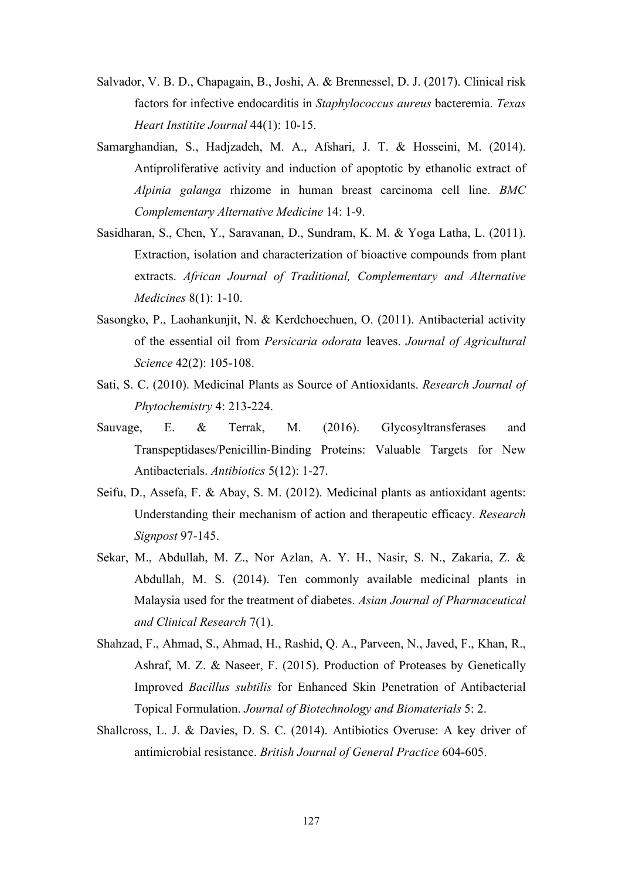- Salvador, V. B. D., Chapagain, B., Joshi, A. & Brennessel, D. J. (2017). Clinical risk factors for infective endocarditis in *Staphylococcus aureus* bacteremia. *Texas Heart Institite Journal* 44(1): 10-15.
- Samarghandian, S., Hadjzadeh, M. A., Afshari, J. T. & Hosseini, M. (2014). Antiproliferative activity and induction of apoptotic by ethanolic extract of *Alpinia galanga* rhizome in human breast carcinoma cell line. *BMC Complementary Alternative Medicine* 14: 1-9.
- Sasidharan, S., Chen, Y., Saravanan, D., Sundram, K. M. & Yoga Latha, L. (2011). Extraction, isolation and characterization of bioactive compounds from plant extracts. *African Journal of Traditional, Complementary and Alternative Medicines* 8(1): 1-10.
- Sasongko, P., Laohankunjit, N. & Kerdchoechuen, O. (2011). Antibacterial activity of the essential oil from *Persicaria odorata* leaves. *Journal of Agricultural Science* 42(2): 105-108.
- Sati, S. C. (2010). Medicinal Plants as Source of Antioxidants. *Research Journal of Phytochemistry* 4: 213-224.
- Sauvage, E. & Terrak, M. (2016). Glycosyltransferases and Transpeptidases/Penicillin-Binding Proteins: Valuable Targets for New Antibacterials. *Antibiotics* 5(12): 1-27.
- Seifu, D., Assefa, F. & Abay, S. M. (2012). Medicinal plants as antioxidant agents: Understanding their mechanism of action and therapeutic efficacy. *Research Signpost* 97-145.
- Sekar, M., Abdullah, M. Z., Nor Azlan, A. Y. H., Nasir, S. N., Zakaria, Z. & Abdullah, M. S. (2014). Ten commonly available medicinal plants in Malaysia used for the treatment of diabetes. *Asian Journal of Pharmaceutical and Clinical Research* 7(1).
- Shahzad, F., Ahmad, S., Ahmad, H., Rashid, Q. A., Parveen, N., Javed, F., Khan, R., Ashraf, M. Z. & Naseer, F. (2015). Production of Proteases by Genetically Improved *Bacillus subtilis* for Enhanced Skin Penetration of Antibacterial Topical Formulation. *Journal of Biotechnology and Biomaterials* 5: 2.
- Shallcross, L. J. & Davies, D. S. C. (2014). Antibiotics Overuse: A key driver of antimicrobial resistance. *British Journal of General Practice* 604-605.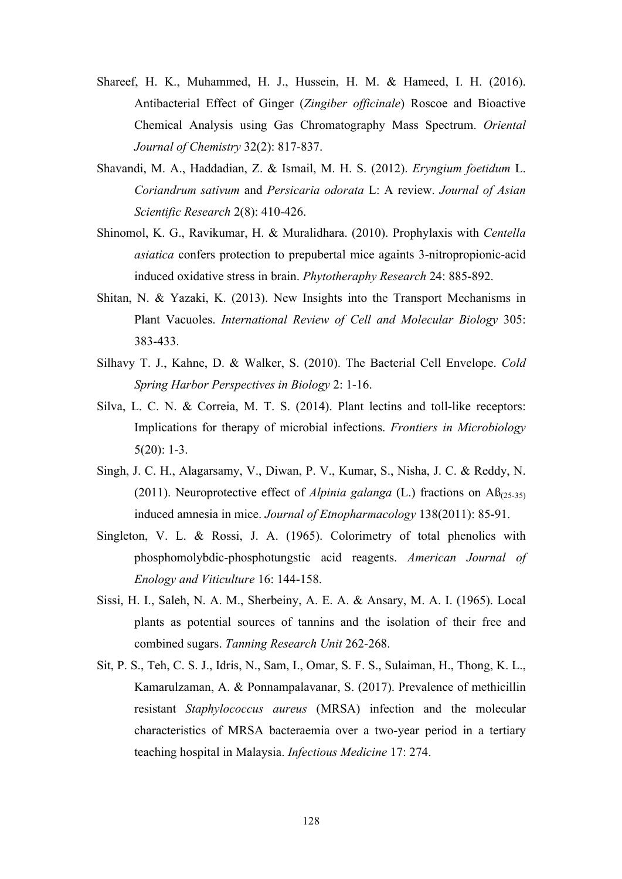- Shareef, H. K., Muhammed, H. J., Hussein, H. M. & Hameed, I. H. (2016). Antibacterial Effect of Ginger (*Zingiber officinale*) Roscoe and Bioactive Chemical Analysis using Gas Chromatography Mass Spectrum. *Oriental Journal of Chemistry* 32(2): 817-837.
- Shavandi, M. A., Haddadian, Z. & Ismail, M. H. S. (2012). *Eryngium foetidum* L. *Coriandrum sativum* and *Persicaria odorata* L: A review. *Journal of Asian Scientific Research* 2(8): 410-426.
- Shinomol, K. G., Ravikumar, H. & Muralidhara. (2010). Prophylaxis with *Centella asiatica* confers protection to prepubertal mice againts 3-nitropropionic-acid induced oxidative stress in brain. *Phytotheraphy Research* 24: 885-892.
- Shitan, N. & Yazaki, K. (2013). New Insights into the Transport Mechanisms in Plant Vacuoles. *International Review of Cell and Molecular Biology* 305: 383-433.
- Silhavy T. J., Kahne, D. & Walker, S. (2010). The Bacterial Cell Envelope. *Cold Spring Harbor Perspectives in Biology* 2: 1-16.
- Silva, L. C. N. & Correia, M. T. S. (2014). Plant lectins and toll-like receptors: Implications for therapy of microbial infections. *Frontiers in Microbiology* 5(20): 1-3.
- Singh, J. C. H., Alagarsamy, V., Diwan, P. V., Kumar, S., Nisha, J. C. & Reddy, N. (2011). Neuroprotective effect of *Alpinia galanga* (L.) fractions on Aß(25-35) induced amnesia in mice. *Journal of Etnopharmacology* 138(2011): 85-91.
- Singleton, V. L. & Rossi, J. A. (1965). Colorimetry of total phenolics with phosphomolybdic-phosphotungstic acid reagents. *American Journal of Enology and Viticulture* 16: 144-158.
- Sissi, H. I., Saleh, N. A. M., Sherbeiny, A. E. A. & Ansary, M. A. I. (1965). Local plants as potential sources of tannins and the isolation of their free and combined sugars. *Tanning Research Unit* 262-268.
- Sit, P. S., Teh, C. S. J., Idris, N., Sam, I., Omar, S. F. S., Sulaiman, H., Thong, K. L., Kamarulzaman, A. & Ponnampalavanar, S. (2017). Prevalence of methicillin resistant *Staphylococcus aureus* (MRSA) infection and the molecular characteristics of MRSA bacteraemia over a two-year period in a tertiary teaching hospital in Malaysia. *Infectious Medicine* 17: 274.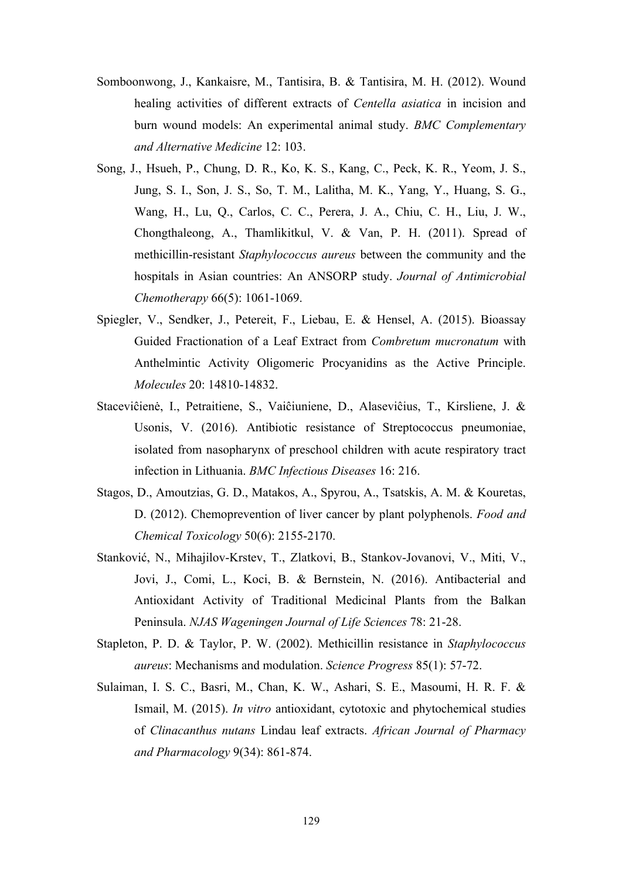- Somboonwong, J., Kankaisre, M., Tantisira, B. & Tantisira, M. H. (2012). Wound healing activities of different extracts of *Centella asiatica* in incision and burn wound models: An experimental animal study. *BMC Complementary and Alternative Medicine* 12: 103.
- Song, J., Hsueh, P., Chung, D. R., Ko, K. S., Kang, C., Peck, K. R., Yeom, J. S., Jung, S. I., Son, J. S., So, T. M., Lalitha, M. K., Yang, Y., Huang, S. G., Wang, H., Lu, Q., Carlos, C. C., Perera, J. A., Chiu, C. H., Liu, J. W., Chongthaleong, A., Thamlikitkul, V. & Van, P. H. (2011). Spread of methicillin-resistant *Staphylococcus aureus* between the community and the hospitals in Asian countries: An ANSORP study. *Journal of Antimicrobial Chemotherapy* 66(5): 1061-1069.
- Spiegler, V., Sendker, J., Petereit, F., Liebau, E. & Hensel, A. (2015). Bioassay Guided Fractionation of a Leaf Extract from *Combretum mucronatum* with Anthelmintic Activity Oligomeric Procyanidins as the Active Principle. *Molecules* 20: 14810-14832.
- Staceviĉienė, I., Petraitiene, S., Vaiĉiuniene, D., Alaseviĉius, T., Kirsliene, J. & Usonis, V. (2016). Antibiotic resistance of Streptococcus pneumoniae, isolated from nasopharynx of preschool children with acute respiratory tract infection in Lithuania. *BMC Infectious Diseases* 16: 216.
- Stagos, D., Amoutzias, G. D., Matakos, A., Spyrou, A., Tsatskis, A. M. & Kouretas, D. (2012). Chemoprevention of liver cancer by plant polyphenols. *Food and Chemical Toxicology* 50(6): 2155-2170.
- Stanković, N., Mihajilov-Krstev, T., Zlatkovi, B., Stankov-Jovanovi, V., Miti, V., Jovi, J., Comi, L., Koci, B. & Bernstein, N. (2016). Antibacterial and Antioxidant Activity of Traditional Medicinal Plants from the Balkan Peninsula. *NJAS Wageningen Journal of Life Sciences* 78: 21-28.
- Stapleton, P. D. & Taylor, P. W. (2002). Methicillin resistance in *Staphylococcus aureus*: Mechanisms and modulation. *Science Progress* 85(1): 57-72.
- Sulaiman, I. S. C., Basri, M., Chan, K. W., Ashari, S. E., Masoumi, H. R. F. & Ismail, M. (2015). *In vitro* antioxidant, cytotoxic and phytochemical studies of *Clinacanthus nutans* Lindau leaf extracts. *African Journal of Pharmacy and Pharmacology* 9(34): 861-874.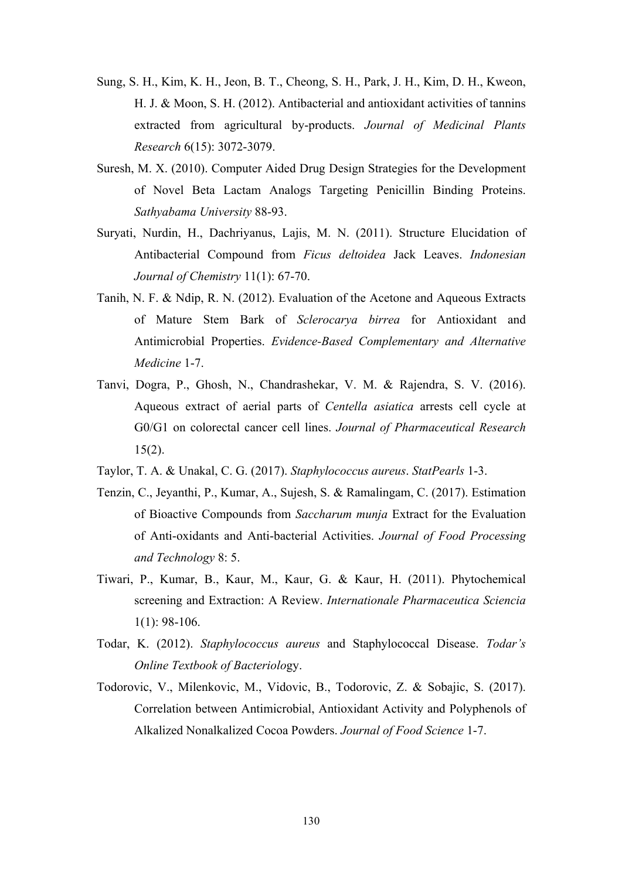- Sung, S. H., Kim, K. H., Jeon, B. T., Cheong, S. H., Park, J. H., Kim, D. H., Kweon, H. J. & Moon, S. H. (2012). Antibacterial and antioxidant activities of tannins extracted from agricultural by-products. *Journal of Medicinal Plants Research* 6(15): 3072-3079.
- Suresh, M. X. (2010). Computer Aided Drug Design Strategies for the Development of Novel Beta Lactam Analogs Targeting Penicillin Binding Proteins. *Sathyabama University* 88-93.
- Suryati, Nurdin, H., Dachriyanus, Lajis, M. N. (2011). Structure Elucidation of Antibacterial Compound from *Ficus deltoidea* Jack Leaves. *Indonesian Journal of Chemistry* 11(1): 67-70.
- Tanih, N. F. & Ndip, R. N. (2012). Evaluation of the Acetone and Aqueous Extracts of Mature Stem Bark of *Sclerocarya birrea* for Antioxidant and Antimicrobial Properties. *Evidence-Based Complementary and Alternative Medicine* 1-7.
- Tanvi, Dogra, P., Ghosh, N., Chandrashekar, V. M. & Rajendra, S. V. (2016). Aqueous extract of aerial parts of *Centella asiatica* arrests cell cycle at G0/G1 on colorectal cancer cell lines. *Journal of Pharmaceutical Research*  $15(2)$ .
- Taylor, T. A. & Unakal, C. G. (2017). *Staphylococcus aureus*. *StatPearls* 1-3.
- Tenzin, C., Jeyanthi, P., Kumar, A., Sujesh, S. & Ramalingam, C. (2017). Estimation of Bioactive Compounds from *Saccharum munja* Extract for the Evaluation of Anti-oxidants and Anti-bacterial Activities. *Journal of Food Processing and Technology* 8: 5.
- Tiwari, P., Kumar, B., Kaur, M., Kaur, G. & Kaur, H. (2011). Phytochemical screening and Extraction: A Review. *Internationale Pharmaceutica Sciencia* 1(1): 98-106.
- Todar, K. (2012). *Staphylococcus aureus* and Staphylococcal Disease. *Todar's Online Textbook of Bacteriolo*gy.
- Todorovic, V., Milenkovic, M., Vidovic, B., Todorovic, Z. & Sobajic, S. (2017). Correlation between Antimicrobial, Antioxidant Activity and Polyphenols of Alkalized Nonalkalized Cocoa Powders. *Journal of Food Science* 1-7.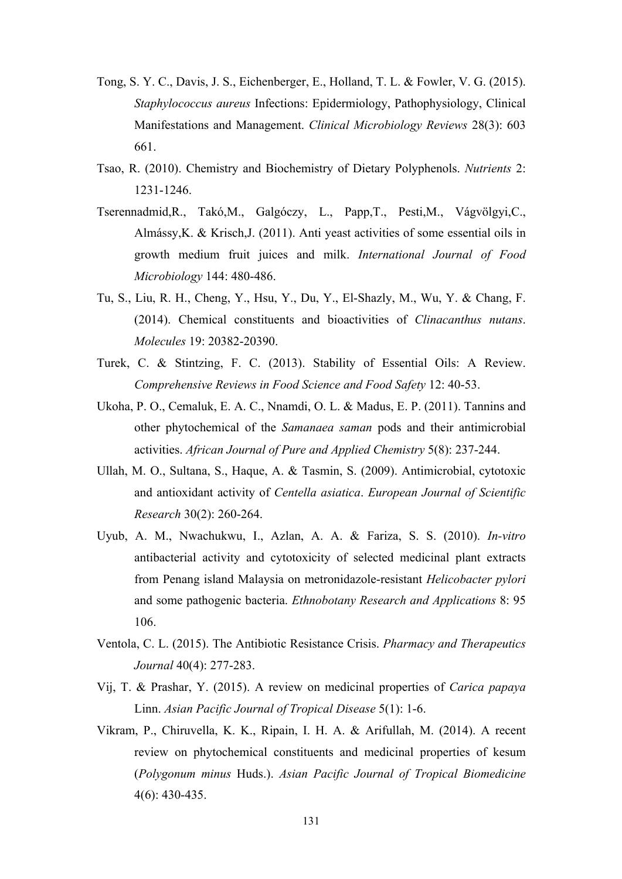- Tong, S. Y. C., Davis, J. S., Eichenberger, E., Holland, T. L. & Fowler, V. G. (2015). *Staphylococcus aureus* Infections: Epidermiology, Pathophysiology, Clinical Manifestations and Management. *Clinical Microbiology Reviews* 28(3): 603 661.
- Tsao, R. (2010). Chemistry and Biochemistry of Dietary Polyphenols. *Nutrients* 2: 1231-1246.
- Tserennadmid,R., Takó,M., Galgóczy, L., Papp,T., Pesti,M., Vágvölgyi,C., Almássy,K. & Krisch,J. (2011). Anti yeast activities of some essential oils in growth medium fruit juices and milk. *International Journal of Food Microbiology* 144: 480-486.
- Tu, S., Liu, R. H., Cheng, Y., Hsu, Y., Du, Y., El-Shazly, M., Wu, Y. & Chang, F. (2014). Chemical constituents and bioactivities of *Clinacanthus nutans*. *Molecules* 19: 20382-20390.
- Turek, C. & Stintzing, F. C. (2013). Stability of Essential Oils: A Review. *Comprehensive Reviews in Food Science and Food Safety* 12: 40-53.
- Ukoha, P. O., Cemaluk, E. A. C., Nnamdi, O. L. & Madus, E. P. (2011). Tannins and other phytochemical of the *Samanaea saman* pods and their antimicrobial activities. *African Journal of Pure and Applied Chemistry* 5(8): 237-244.
- Ullah, M. O., Sultana, S., Haque, A. & Tasmin, S. (2009). Antimicrobial, cytotoxic and antioxidant activity of *Centella asiatica*. *European Journal of Scientific Research* 30(2): 260-264.
- Uyub, A. M., Nwachukwu, I., Azlan, A. A. & Fariza, S. S. (2010). *In-vitro* antibacterial activity and cytotoxicity of selected medicinal plant extracts from Penang island Malaysia on metronidazole-resistant *Helicobacter pylori* and some pathogenic bacteria. *Ethnobotany Research and Applications* 8: 95 106.
- Ventola, C. L. (2015). The Antibiotic Resistance Crisis. *Pharmacy and Therapeutics Journal* 40(4): 277-283.
- Vij, T. & Prashar, Y. (2015). A review on medicinal properties of *Carica papaya* Linn. *Asian Pacific Journal of Tropical Disease* 5(1): 1-6.
- Vikram, P., Chiruvella, K. K., Ripain, I. H. A. & Arifullah, M. (2014). A recent review on phytochemical constituents and medicinal properties of kesum (*Polygonum minus* Huds.). *Asian Pacific Journal of Tropical Biomedicine* 4(6): 430-435.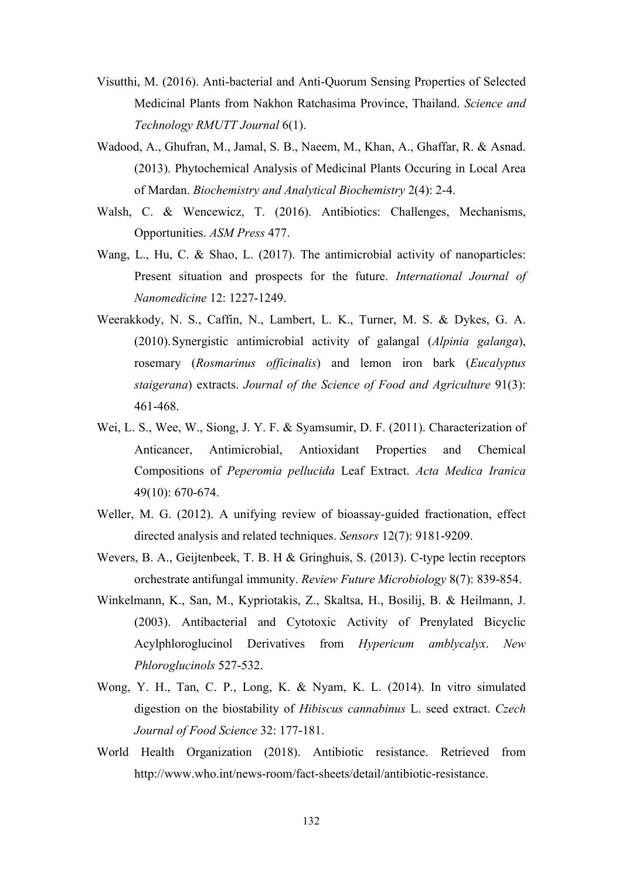- Visutthi, M. (2016). Anti-bacterial and Anti-Quorum Sensing Properties of Selected Medicinal Plants from Nakhon Ratchasima Province, Thailand. *Science and Technology RMUTT Journal* 6(1).
- Wadood, A., Ghufran, M., Jamal, S. B., Naeem, M., Khan, A., Ghaffar, R. & Asnad. (2013). Phytochemical Analysis of Medicinal Plants Occuring in Local Area of Mardan. *Biochemistry and Analytical Biochemistry* 2(4): 2-4.
- Walsh, C. & Wencewicz, T. (2016). Antibiotics: Challenges, Mechanisms, Opportunities. *ASM Press* 477.
- Wang, L., Hu, C. & Shao, L. (2017). The antimicrobial activity of nanoparticles: Present situation and prospects for the future. *International Journal of Nanomedicine* 12: 1227-1249.
- Weerakkody, N. S., Caffin, N., Lambert, L. K., Turner, M. S. & Dykes, G. A. (2010).Synergistic antimicrobial activity of galangal (*Alpinia galanga*), rosemary (*Rosmarinus officinalis*) and lemon iron bark (*Eucalyptus staigerana*) extracts. *Journal of the Science of Food and Agriculture* 91(3): 461-468.
- Wei, L. S., Wee, W., Siong, J. Y. F. & Syamsumir, D. F. (2011). Characterization of Anticancer, Antimicrobial, Antioxidant Properties and Chemical Compositions of *Peperomia pellucida* Leaf Extract. *Acta Medica Iranica* 49(10): 670-674.
- Weller, M. G. (2012). A unifying review of bioassay-guided fractionation, effect directed analysis and related techniques. *Sensors* 12(7): 9181-9209.
- Wevers, B. A., Geijtenbeek, T. B. H & Gringhuis, S. (2013). C-type lectin receptors orchestrate antifungal immunity. *Review Future Microbiology* 8(7): 839-854.
- Winkelmann, K., San, M., Kypriotakis, Z., Skaltsa, H., Bosilij, B. & Heilmann, J. (2003). Antibacterial and Cytotoxic Activity of Prenylated Bicyclic Acylphloroglucinol Derivatives from *Hypericum amblycalyx*. *New Phloroglucinols* 527-532.
- Wong, Y. H., Tan, C. P., Long, K. & Nyam, K. L. (2014). In vitro simulated digestion on the biostability of *Hibiscus cannabinus* L. seed extract. *Czech Journal of Food Science* 32: 177-181.
- World Health Organization (2018). Antibiotic resistance. Retrieved from http://www.who.int/news-room/fact-sheets/detail/antibiotic-resistance.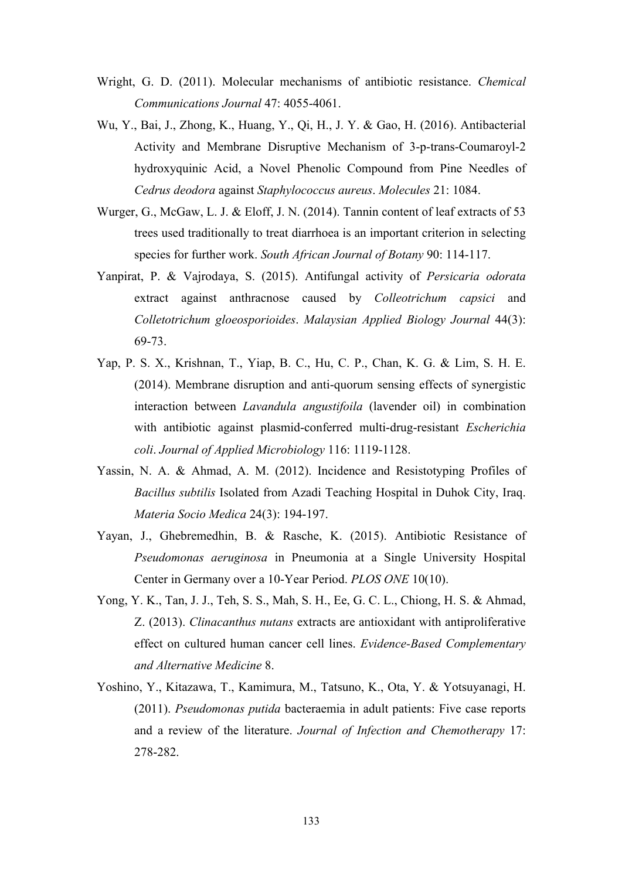- Wright, G. D. (2011). Molecular mechanisms of antibiotic resistance. *Chemical Communications Journal* 47: 4055-4061.
- Wu, Y., Bai, J., Zhong, K., Huang, Y., Qi, H., J. Y. & Gao, H. (2016). Antibacterial Activity and Membrane Disruptive Mechanism of 3-p-trans-Coumaroyl-2 hydroxyquinic Acid, a Novel Phenolic Compound from Pine Needles of *Cedrus deodora* against *Staphylococcus aureus*. *Molecules* 21: 1084.
- Wurger, G., McGaw, L. J. & Eloff, J. N. (2014). Tannin content of leaf extracts of 53 trees used traditionally to treat diarrhoea is an important criterion in selecting species for further work. *South African Journal of Botany* 90: 114-117.
- Yanpirat, P. & Vajrodaya, S. (2015). Antifungal activity of *Persicaria odorata* extract against anthracnose caused by *Colleotrichum capsici* and *Colletotrichum gloeosporioides*. *Malaysian Applied Biology Journal* 44(3): 69-73.
- Yap, P. S. X., Krishnan, T., Yiap, B. C., Hu, C. P., Chan, K. G. & Lim, S. H. E. (2014). Membrane disruption and anti-quorum sensing effects of synergistic interaction between *Lavandula angustifoila* (lavender oil) in combination with antibiotic against plasmid-conferred multi-drug-resistant *Escherichia coli*. *Journal of Applied Microbiology* 116: 1119-1128.
- Yassin, N. A. & Ahmad, A. M. (2012). Incidence and Resistotyping Profiles of *Bacillus subtilis* Isolated from Azadi Teaching Hospital in Duhok City, Iraq. *Materia Socio Medica* 24(3): 194-197.
- Yayan, J., Ghebremedhin, B. & Rasche, K. (2015). Antibiotic Resistance of *Pseudomonas aeruginosa* in Pneumonia at a Single University Hospital Center in Germany over a 10-Year Period. *PLOS ONE* 10(10).
- Yong, Y. K., Tan, J. J., Teh, S. S., Mah, S. H., Ee, G. C. L., Chiong, H. S. & Ahmad, Z. (2013). *Clinacanthus nutans* extracts are antioxidant with antiproliferative effect on cultured human cancer cell lines. *Evidence-Based Complementary and Alternative Medicine* 8.
- Yoshino, Y., Kitazawa, T., Kamimura, M., Tatsuno, K., Ota, Y. & Yotsuyanagi, H. (2011). *Pseudomonas putida* bacteraemia in adult patients: Five case reports and a review of the literature. *Journal of Infection and Chemotherapy* 17: 278-282.